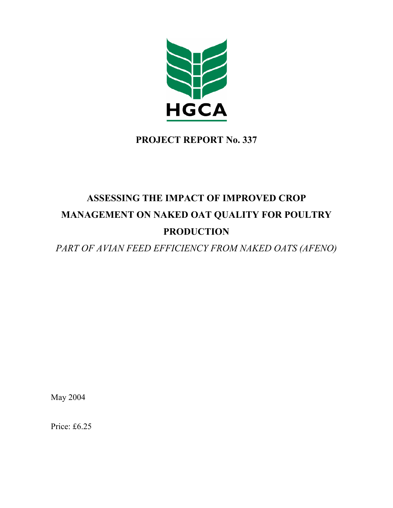

# **PROJECT REPORT No. 337**

# **ASSESSING THE IMPACT OF IMPROVED CROP MANAGEMENT ON NAKED OAT QUALITY FOR POULTRY PRODUCTION**

*PART OF AVIAN FEED EFFICIENCY FROM NAKED OATS (AFENO)* 

May 2004

Price: £6.25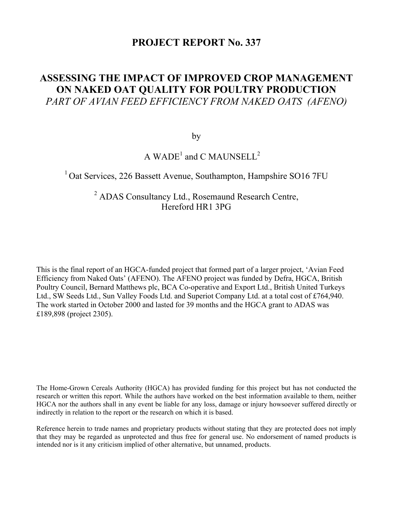# **PROJECT REPORT No. 337**

# **ASSESSING THE IMPACT OF IMPROVED CROP MANAGEMENT ON NAKED OAT QUALITY FOR POULTRY PRODUCTION**  *PART OF AVIAN FEED EFFICIENCY FROM NAKED OATS (AFENO)*

by

# A  $WADE<sup>1</sup>$  and C MAUNSELL<sup>2</sup>

# <sup>1</sup> Oat Services, 226 Bassett Avenue, Southampton, Hampshire SO16 7FU

# <sup>2</sup> ADAS Consultancy Ltd., Rosemaund Research Centre, Hereford HR1 3PG

This is the final report of an HGCA-funded project that formed part of a larger project, 'Avian Feed Efficiency from Naked Oats' (AFENO). The AFENO project was funded by Defra, HGCA, British Poultry Council, Bernard Matthews plc, BCA Co-operative and Export Ltd., British United Turkeys Ltd., SW Seeds Ltd., Sun Valley Foods Ltd. and Superiot Company Ltd. at a total cost of £764,940. The work started in October 2000 and lasted for 39 months and the HGCA grant to ADAS was £189,898 (project 2305).

The Home-Grown Cereals Authority (HGCA) has provided funding for this project but has not conducted the research or written this report. While the authors have worked on the best information available to them, neither HGCA nor the authors shall in any event be liable for any loss, damage or injury howsoever suffered directly or indirectly in relation to the report or the research on which it is based.

Reference herein to trade names and proprietary products without stating that they are protected does not imply that they may be regarded as unprotected and thus free for general use. No endorsement of named products is intended nor is it any criticism implied of other alternative, but unnamed, products.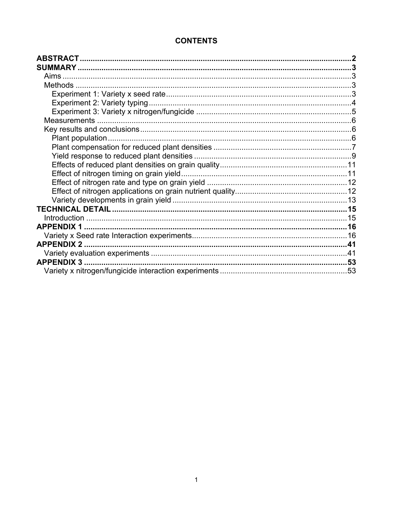# **CONTENTS**

| Aims |  |
|------|--|
|      |  |
|      |  |
|      |  |
|      |  |
|      |  |
|      |  |
|      |  |
|      |  |
|      |  |
|      |  |
|      |  |
|      |  |
|      |  |
|      |  |
|      |  |
|      |  |
|      |  |
|      |  |
|      |  |
|      |  |
|      |  |
|      |  |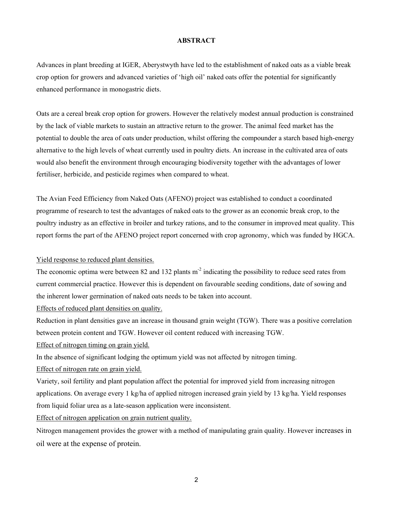#### **ABSTRACT**

Advances in plant breeding at IGER, Aberystwyth have led to the establishment of naked oats as a viable break crop option for growers and advanced varieties of 'high oil' naked oats offer the potential for significantly enhanced performance in monogastric diets.

Oats are a cereal break crop option for growers. However the relatively modest annual production is constrained by the lack of viable markets to sustain an attractive return to the grower. The animal feed market has the potential to double the area of oats under production, whilst offering the compounder a starch based high-energy alternative to the high levels of wheat currently used in poultry diets. An increase in the cultivated area of oats would also benefit the environment through encouraging biodiversity together with the advantages of lower fertiliser, herbicide, and pesticide regimes when compared to wheat.

The Avian Feed Efficiency from Naked Oats (AFENO) project was established to conduct a coordinated programme of research to test the advantages of naked oats to the grower as an economic break crop, to the poultry industry as an effective in broiler and turkey rations, and to the consumer in improved meat quality. This report forms the part of the AFENO project report concerned with crop agronomy, which was funded by HGCA.

#### Yield response to reduced plant densities.

The economic optima were between 82 and 132 plants  $m<sup>2</sup>$  indicating the possibility to reduce seed rates from current commercial practice. However this is dependent on favourable seeding conditions, date of sowing and the inherent lower germination of naked oats needs to be taken into account.

Effects of reduced plant densities on quality.

Reduction in plant densities gave an increase in thousand grain weight (TGW). There was a positive correlation between protein content and TGW. However oil content reduced with increasing TGW.

Effect of nitrogen timing on grain yield.

In the absence of significant lodging the optimum yield was not affected by nitrogen timing.

Effect of nitrogen rate on grain yield.

Variety, soil fertility and plant population affect the potential for improved yield from increasing nitrogen applications. On average every 1 kg/ha of applied nitrogen increased grain yield by 13 kg/ha. Yield responses from liquid foliar urea as a late-season application were inconsistent.

Effect of nitrogen application on grain nutrient quality.

Nitrogen management provides the grower with a method of manipulating grain quality. However increases in oil were at the expense of protein.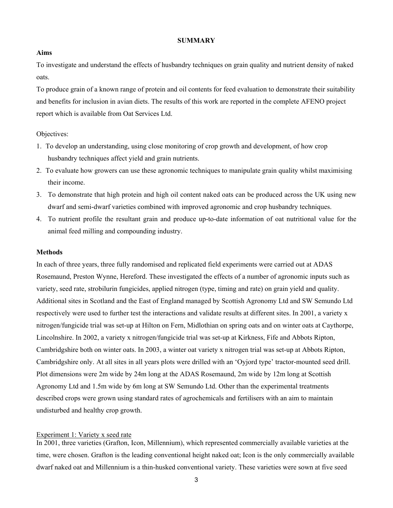#### **SUMMARY**

#### **Aims**

To investigate and understand the effects of husbandry techniques on grain quality and nutrient density of naked oats.

To produce grain of a known range of protein and oil contents for feed evaluation to demonstrate their suitability and benefits for inclusion in avian diets. The results of this work are reported in the complete AFENO project report which is available from Oat Services Ltd.

#### Objectives:

- 1. To develop an understanding, using close monitoring of crop growth and development, of how crop husbandry techniques affect yield and grain nutrients.
- 2. To evaluate how growers can use these agronomic techniques to manipulate grain quality whilst maximising their income.
- 3. To demonstrate that high protein and high oil content naked oats can be produced across the UK using new dwarf and semi-dwarf varieties combined with improved agronomic and crop husbandry techniques.
- 4. To nutrient profile the resultant grain and produce up-to-date information of oat nutritional value for the animal feed milling and compounding industry.

#### **Methods**

In each of three years, three fully randomised and replicated field experiments were carried out at ADAS Rosemaund, Preston Wynne, Hereford. These investigated the effects of a number of agronomic inputs such as variety, seed rate, strobilurin fungicides, applied nitrogen (type, timing and rate) on grain yield and quality. Additional sites in Scotland and the East of England managed by Scottish Agronomy Ltd and SW Semundo Ltd respectively were used to further test the interactions and validate results at different sites. In 2001, a variety x nitrogen/fungicide trial was set-up at Hilton on Fern, Midlothian on spring oats and on winter oats at Caythorpe, Lincolnshire. In 2002, a variety x nitrogen/fungicide trial was set-up at Kirkness, Fife and Abbots Ripton, Cambridgshire both on winter oats. In 2003, a winter oat variety x nitrogen trial was set-up at Abbots Ripton, Cambridgshire only. At all sites in all years plots were drilled with an 'Oyjord type' tractor-mounted seed drill. Plot dimensions were 2m wide by 24m long at the ADAS Rosemaund, 2m wide by 12m long at Scottish Agronomy Ltd and 1.5m wide by 6m long at SW Semundo Ltd. Other than the experimental treatments described crops were grown using standard rates of agrochemicals and fertilisers with an aim to maintain undisturbed and healthy crop growth.

#### Experiment 1: Variety x seed rate

In 2001, three varieties (Grafton, Icon, Millennium), which represented commercially available varieties at the time, were chosen. Grafton is the leading conventional height naked oat; Icon is the only commercially available dwarf naked oat and Millennium is a thin-husked conventional variety. These varieties were sown at five seed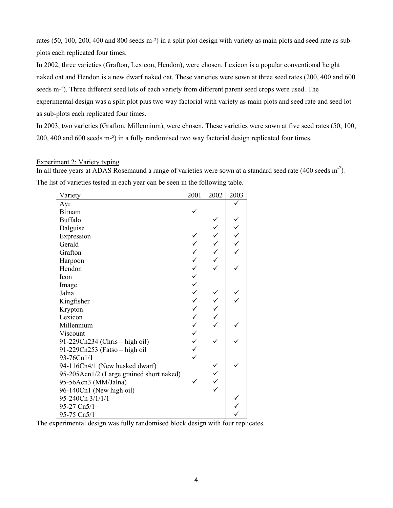rates (50, 100, 200, 400 and 800 seeds m<sup>-2</sup>) in a split plot design with variety as main plots and seed rate as subplots each replicated four times.

In 2002, three varieties (Grafton, Lexicon, Hendon), were chosen. Lexicon is a popular conventional height naked oat and Hendon is a new dwarf naked oat. These varieties were sown at three seed rates (200, 400 and 600 seeds m-<sup>2</sup>). Three different seed lots of each variety from different parent seed crops were used. The experimental design was a split plot plus two way factorial with variety as main plots and seed rate and seed lot as sub-plots each replicated four times.

In 2003, two varieties (Grafton, Millennium), were chosen. These varieties were sown at five seed rates (50, 100, 200, 400 and 600 seeds m-²) in a fully randomised two way factorial design replicated four times.

#### Experiment 2: Variety typing

In all three years at ADAS Rosemaund a range of varieties were sown at a standard seed rate (400 seeds m-2). The list of varieties tested in each year can be seen in the following table.

| Variety                                  | 2001             | 2002   | 2003 |
|------------------------------------------|------------------|--------|------|
| Ayr                                      |                  |        |      |
| <b>Birnam</b>                            |                  |        |      |
| <b>Buffalo</b>                           |                  |        |      |
| Dalguise                                 |                  |        |      |
| Expression                               |                  | へくくくへん | くくくく |
| Gerald                                   |                  |        |      |
| Grafton                                  |                  |        |      |
| Harpoon                                  |                  |        |      |
| Hendon                                   |                  |        |      |
| Icon                                     |                  |        |      |
| Image                                    | へんへんへんへんへんへんへんへん |        |      |
| Jalna                                    |                  |        |      |
| Kingfisher                               |                  | くくくく   |      |
| Krypton                                  |                  |        |      |
| Lexicon                                  |                  |        |      |
| Millennium                               |                  |        |      |
| Viscount                                 |                  |        |      |
| 91-229Cn234 (Chris – high oil)           |                  |        |      |
| 91-229Cn253 (Fatso - high oil            |                  |        |      |
| 93-76Cn1/1                               |                  |        |      |
| 94-116Cn4/1 (New husked dwarf)           |                  |        |      |
| 95-205Acn1/2 (Large grained short naked) |                  |        |      |
| 95-56Acn3 (MM/Jalna)                     |                  | くくくく   |      |
| 96-140Cn1 (New high oil)                 |                  |        |      |
| 95-240Cn 3/1/1/1                         |                  |        |      |
| 95-27 Cn5/1                              |                  |        |      |
| 95-75 Cn5/1                              |                  |        |      |

The experimental design was fully randomised block design with four replicates.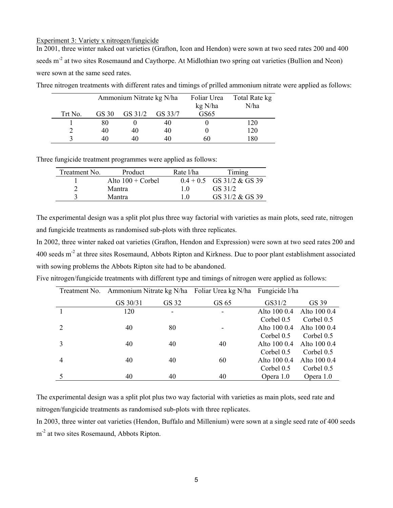#### Experiment 3: Variety x nitrogen/fungicide

In 2001, three winter naked oat varieties (Grafton, Icon and Hendon) were sown at two seed rates 200 and 400 seeds m<sup>-2</sup> at two sites Rosemaund and Caythorpe. At Midlothian two spring oat varieties (Bullion and Neon) were sown at the same seed rates.

Three nitrogen treatments with different rates and timings of prilled ammonium nitrate were applied as follows:

|         | Ammonium Nitrate kg N/ha |         |         | Foliar Urea<br>kg N/ha | Total Rate kg<br>N/ha |
|---------|--------------------------|---------|---------|------------------------|-----------------------|
| Trt No. | GS 30                    | GS 31/2 | GS 33/7 | GS65                   |                       |
|         | 80                       |         | 40      |                        | 120                   |
|         | 40                       | 40      | 40      |                        | 120                   |
|         | 40                       | 40      | 40      | 60                     | 180                   |

Three fungicide treatment programmes were applied as follows:

| Treatment No. | Product                    | Rate l/ha        | Timing                      |
|---------------|----------------------------|------------------|-----------------------------|
|               | Alto $100 + \text{Corbel}$ |                  | $0.4 + 0.5$ GS 31/2 & GS 39 |
|               | Mantra                     | 10               | GS 31/2                     |
|               | Mantra                     | $\overline{1}$ 0 | GS 31/2 & GS 39             |

The experimental design was a split plot plus three way factorial with varieties as main plots, seed rate, nitrogen and fungicide treatments as randomised sub-plots with three replicates.

In 2002, three winter naked oat varieties (Grafton, Hendon and Expression) were sown at two seed rates 200 and 400 seeds m-2 at three sites Rosemaund, Abbots Ripton and Kirkness. Due to poor plant establishment associated with sowing problems the Abbots Ripton site had to be abandoned.

Five nitrogen/fungicide treatments with different type and timings of nitrogen were applied as follows:

|   |          |                          | Treatment No. Ammonium Nitrate kg N/ha Foliar Urea kg N/ha Fungicide l/ha |              |              |
|---|----------|--------------------------|---------------------------------------------------------------------------|--------------|--------------|
|   | GS 30/31 | GS 32                    | GS 65                                                                     | GS31/2       | GS 39        |
|   | 120      | $\overline{\phantom{0}}$ | ۰                                                                         | Alto 100 0.4 | Alto 100 0.4 |
|   |          |                          |                                                                           | Corbel $0.5$ | Corbel 0.5   |
|   | 40       | 80                       |                                                                           | Alto 100 0.4 | Alto 100 0.4 |
|   |          |                          |                                                                           | Corbel 0.5   | Corbel $0.5$ |
|   | 40       | 40                       | 40                                                                        | Alto 100 0.4 | Alto 100 0.4 |
|   |          |                          |                                                                           | Corbel 0.5   | Corbel 0.5   |
| 4 | 40       | 40                       | 60                                                                        | Alto 100 0.4 | Alto 100 0.4 |
|   |          |                          |                                                                           | Corbel 0.5   | Corbel 0.5   |
|   | 40       | 40                       | 40                                                                        | Opera 1.0    | Opera 1.0    |

The experimental design was a split plot plus two way factorial with varieties as main plots, seed rate and nitrogen/fungicide treatments as randomised sub-plots with three replicates.

In 2003, three winter oat varieties (Hendon, Buffalo and Millenium) were sown at a single seed rate of 400 seeds m<sup>-2</sup> at two sites Rosemaund, Abbots Ripton.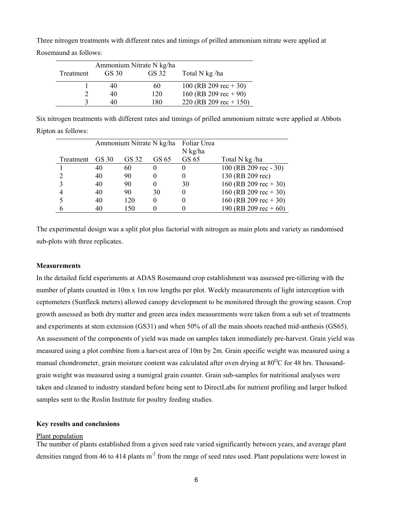Three nitrogen treatments with different rates and timings of prilled ammonium nitrate were applied at Rosemaund as follows:

|           |       | Ammonium Nitrate N kg/ha |                         |
|-----------|-------|--------------------------|-------------------------|
| Treatment | GS 30 | GS 32                    | Total N kg/ha           |
|           | 40    | 60                       | 100 (RB 209 rec $+30$ ) |
|           | 40    | 120                      | 160 (RB 209 rec $+90$ ) |
|           | 40    | 180                      | 220 (RB 209 rec + 150)  |

Six nitrogen treatments with different rates and timings of prilled ammonium nitrate were applied at Abbots Ripton as follows:

|           | Ammonium Nitrate N kg/ha |       | Foliar Urea |         |                         |
|-----------|--------------------------|-------|-------------|---------|-------------------------|
|           |                          |       |             | N kg/ha |                         |
| Treatment | GS 30                    | GS 32 | GS 65       | GS 65   | Total N kg/ha           |
|           | 40                       | 60    |             |         | 100 (RB 209 rec - 30)   |
| ⌒         | 40                       | 90    |             |         | 130 (RB 209 rec)        |
| 3         | 40                       | 90    |             | 30      | 160 (RB 209 rec $+30$ ) |
|           | 40                       | 90    | 30          |         | 160 (RB 209 rec $+30$ ) |
|           | 40                       | 120   | $_{0}$      |         | 160 (RB 209 rec $+30$ ) |
|           | 40                       | 150   |             |         | 190 (RB 209 rec + 60)   |

The experimental design was a split plot plus factorial with nitrogen as main plots and variety as randomised sub-plots with three replicates.

#### **Measurements**

In the detailed field experiments at ADAS Rosemaund crop establishment was assessed pre-tillering with the number of plants counted in 10m x 1m row lengths per plot. Weekly measurements of light interception with ceptometers (Sunfleck meters) allowed canopy development to be monitored through the growing season. Crop growth assessed as both dry matter and green area index measurements were taken from a sub set of treatments and experiments at stem extension (GS31) and when 50% of all the main shoots reached mid-anthesis (GS65). An assessment of the components of yield was made on samples taken immediately pre-harvest. Grain yield was measured using a plot combine from a harvest area of 10m by 2m. Grain specific weight was measured using a manual chondrometer, grain moisture content was calculated after oven drying at  $80^{\circ}$ C for 48 hrs. Thousandgrain weight was measured using a numigral grain counter. Grain sub-samples for nutritional analyses were taken and cleaned to industry standard before being sent to DirectLabs for nutrient profiling and larger bulked samples sent to the Roslin Institute for poultry feeding studies.

#### **Key results and conclusions**

#### Plant population

The number of plants established from a given seed rate varied significantly between years, and average plant densities ranged from 46 to 414 plants  $m<sup>2</sup>$  from the range of seed rates used. Plant populations were lowest in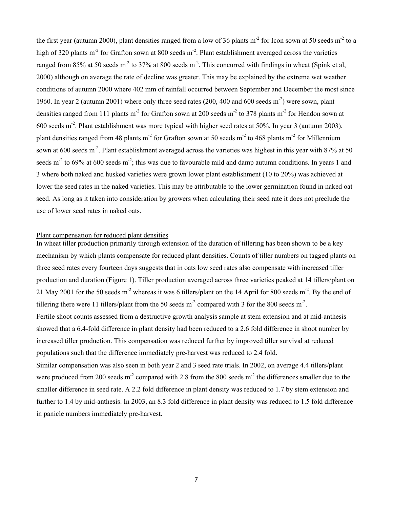the first year (autumn 2000), plant densities ranged from a low of 36 plants  $m<sup>2</sup>$  for Icon sown at 50 seeds  $m<sup>2</sup>$  to a high of 320 plants m<sup>-2</sup> for Grafton sown at 800 seeds m<sup>-2</sup>. Plant establishment averaged across the varieties ranged from 85% at 50 seeds m<sup>-2</sup> to 37% at 800 seeds m<sup>-2</sup>. This concurred with findings in wheat (Spink et al, 2000) although on average the rate of decline was greater. This may be explained by the extreme wet weather conditions of autumn 2000 where 402 mm of rainfall occurred between September and December the most since 1960. In year 2 (autumn 2001) where only three seed rates (200, 400 and 600 seeds m-2) were sown, plant densities ranged from 111 plants m<sup>-2</sup> for Grafton sown at 200 seeds m<sup>-2</sup> to 378 plants m<sup>-2</sup> for Hendon sown at 600 seeds m-2. Plant establishment was more typical with higher seed rates at 50%. In year 3 (autumn 2003), plant densities ranged from 48 plants m<sup>-2</sup> for Grafton sown at 50 seeds m<sup>-2</sup> to 468 plants m<sup>-2</sup> for Millennium sown at 600 seeds m<sup>-2</sup>. Plant establishment averaged across the varieties was highest in this year with 87% at 50 seeds  $m<sup>2</sup>$  to 69% at 600 seeds  $m<sup>2</sup>$ ; this was due to favourable mild and damp autumn conditions. In years 1 and 3 where both naked and husked varieties were grown lower plant establishment (10 to 20%) was achieved at lower the seed rates in the naked varieties. This may be attributable to the lower germination found in naked oat seed. As long as it taken into consideration by growers when calculating their seed rate it does not preclude the use of lower seed rates in naked oats.

#### Plant compensation for reduced plant densities

In wheat tiller production primarily through extension of the duration of tillering has been shown to be a key mechanism by which plants compensate for reduced plant densities. Counts of tiller numbers on tagged plants on three seed rates every fourteen days suggests that in oats low seed rates also compensate with increased tiller production and duration (Figure 1). Tiller production averaged across three varieties peaked at 14 tillers/plant on 21 May 2001 for the 50 seeds m<sup>-2</sup> whereas it was 6 tillers/plant on the 14 April for 800 seeds m<sup>-2</sup>. By the end of tillering there were 11 tillers/plant from the 50 seeds  $m<sup>2</sup>$  compared with 3 for the 800 seeds  $m<sup>2</sup>$ . Fertile shoot counts assessed from a destructive growth analysis sample at stem extension and at mid-anthesis showed that a 6.4-fold difference in plant density had been reduced to a 2.6 fold difference in shoot number by increased tiller production. This compensation was reduced further by improved tiller survival at reduced populations such that the difference immediately pre-harvest was reduced to 2.4 fold. Similar compensation was also seen in both year 2 and 3 seed rate trials. In 2002, on average 4.4 tillers/plant were produced from 200 seeds  $m<sup>2</sup>$  compared with 2.8 from the 800 seeds  $m<sup>2</sup>$  the differences smaller due to the smaller difference in seed rate. A 2.2 fold difference in plant density was reduced to 1.7 by stem extension and

further to 1.4 by mid-anthesis. In 2003, an 8.3 fold difference in plant density was reduced to 1.5 fold difference in panicle numbers immediately pre-harvest.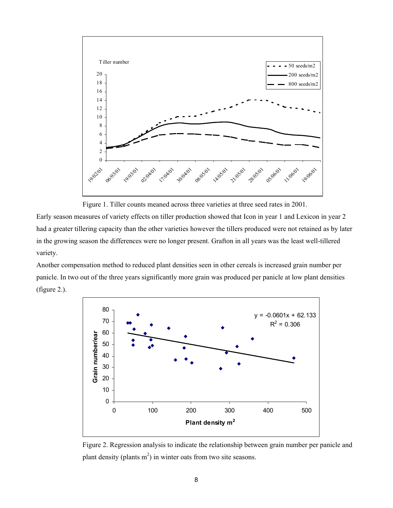

Figure 1. Tiller counts meaned across three varieties at three seed rates in 2001.

Early season measures of variety effects on tiller production showed that Icon in year 1 and Lexicon in year 2 had a greater tillering capacity than the other varieties however the tillers produced were not retained as by later in the growing season the differences were no longer present. Grafton in all years was the least well-tillered variety.

Another compensation method to reduced plant densities seen in other cereals is increased grain number per panicle. In two out of the three years significantly more grain was produced per panicle at low plant densities (figure 2.).



Figure 2. Regression analysis to indicate the relationship between grain number per panicle and plant density (plants  $m<sup>2</sup>$ ) in winter oats from two site seasons.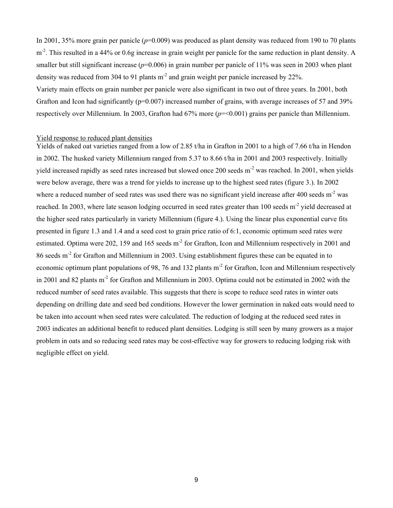In 2001, 35% more grain per panicle  $(p=0.009)$  was produced as plant density was reduced from 190 to 70 plants  $m<sup>2</sup>$ . This resulted in a 44% or 0.6g increase in grain weight per panicle for the same reduction in plant density. A smaller but still significant increase ( $p=0.006$ ) in grain number per panicle of 11% was seen in 2003 when plant density was reduced from 304 to 91 plants  $m<sup>2</sup>$  and grain weight per panicle increased by 22%.

Variety main effects on grain number per panicle were also significant in two out of three years. In 2001, both Grafton and Icon had significantly ( $p=0.007$ ) increased number of grains, with average increases of 57 and 39% respectively over Millennium. In 2003, Grafton had 67% more (*p*=<0.001) grains per panicle than Millennium.

#### Yield response to reduced plant densities

Yields of naked oat varieties ranged from a low of 2.85 t/ha in Grafton in 2001 to a high of 7.66 t/ha in Hendon in 2002. The husked variety Millennium ranged from 5.37 to 8.66 t/ha in 2001 and 2003 respectively. Initially yield increased rapidly as seed rates increased but slowed once 200 seeds m-2 was reached. In 2001, when yields were below average, there was a trend for yields to increase up to the highest seed rates (figure 3.). In 2002 where a reduced number of seed rates was used there was no significant yield increase after 400 seeds  $m<sup>2</sup>$  was reached. In 2003, where late season lodging occurred in seed rates greater than 100 seeds m<sup>-2</sup> yield decreased at the higher seed rates particularly in variety Millennium (figure 4.). Using the linear plus exponential curve fits presented in figure 1.3 and 1.4 and a seed cost to grain price ratio of 6:1, economic optimum seed rates were estimated. Optima were 202, 159 and 165 seeds m<sup>-2</sup> for Grafton, Icon and Millennium respectively in 2001 and 86 seeds m-2 for Grafton and Millennium in 2003. Using establishment figures these can be equated in to economic optimum plant populations of 98, 76 and 132 plants m<sup>-2</sup> for Grafton, Icon and Millennium respectively in 2001 and 82 plants m<sup>-2</sup> for Grafton and Millennium in 2003. Optima could not be estimated in 2002 with the reduced number of seed rates available. This suggests that there is scope to reduce seed rates in winter oats depending on drilling date and seed bed conditions. However the lower germination in naked oats would need to be taken into account when seed rates were calculated. The reduction of lodging at the reduced seed rates in 2003 indicates an additional benefit to reduced plant densities. Lodging is still seen by many growers as a major problem in oats and so reducing seed rates may be cost-effective way for growers to reducing lodging risk with negligible effect on yield.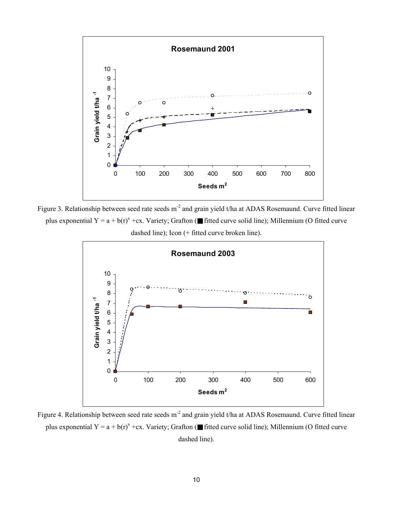

Figure 3. Relationship between seed rate seeds m<sup>-2</sup> and grain yield t/ha at ADAS Rosemaund. Curve fitted linear plus exponential  $Y = a + b(r)^{x} + cx$ . Variety; Grafton (**■** fitted curve solid line); Millennium (O fitted curve dashed line); Icon (+ fitted curve broken line).



Figure 4. Relationship between seed rate seeds m<sup>-2</sup> and grain yield t/ha at ADAS Rosemaund. Curve fitted linear plus exponential  $Y = a + b(r)^{x} + cx$ . Variety; Grafton (**■** fitted curve solid line); Millennium (O fitted curve dashed line).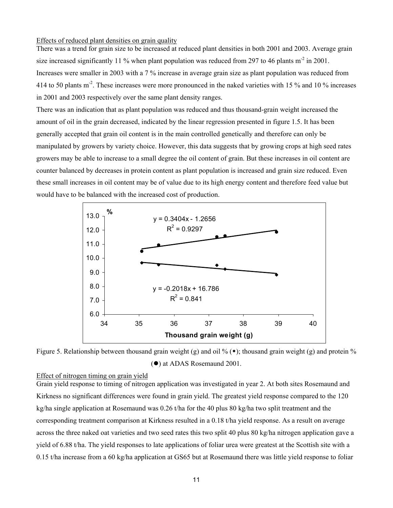#### Effects of reduced plant densities on grain quality

There was a trend for grain size to be increased at reduced plant densities in both 2001 and 2003. Average grain size increased significantly 11 % when plant population was reduced from 297 to 46 plants  $m<sup>2</sup>$  in 2001. Increases were smaller in 2003 with a 7 % increase in average grain size as plant population was reduced from 414 to 50 plants m<sup>-2</sup>. These increases were more pronounced in the naked varieties with 15 % and 10 % increases in 2001 and 2003 respectively over the same plant density ranges.

There was an indication that as plant population was reduced and thus thousand-grain weight increased the amount of oil in the grain decreased, indicated by the linear regression presented in figure 1.5. It has been generally accepted that grain oil content is in the main controlled genetically and therefore can only be manipulated by growers by variety choice. However, this data suggests that by growing crops at high seed rates growers may be able to increase to a small degree the oil content of grain. But these increases in oil content are counter balanced by decreases in protein content as plant population is increased and grain size reduced. Even these small increases in oil content may be of value due to its high energy content and therefore feed value but would have to be balanced with the increased cost of production.



Figure 5. Relationship between thousand grain weight (g) and oil % ( $\bullet$ ); thousand grain weight (g) and protein % ( $\bullet$ ) at ADAS Rosemaund 2001.

#### Effect of nitrogen timing on grain yield

Grain yield response to timing of nitrogen application was investigated in year 2. At both sites Rosemaund and Kirkness no significant differences were found in grain yield. The greatest yield response compared to the 120 kg/ha single application at Rosemaund was 0.26 t/ha for the 40 plus 80 kg/ha two split treatment and the corresponding treatment comparison at Kirkness resulted in a 0.18 t/ha yield response. As a result on average across the three naked oat varieties and two seed rates this two split 40 plus 80 kg/ha nitrogen application gave a yield of 6.88 t/ha. The yield responses to late applications of foliar urea were greatest at the Scottish site with a 0.15 t/ha increase from a 60 kg/ha application at GS65 but at Rosemaund there was little yield response to foliar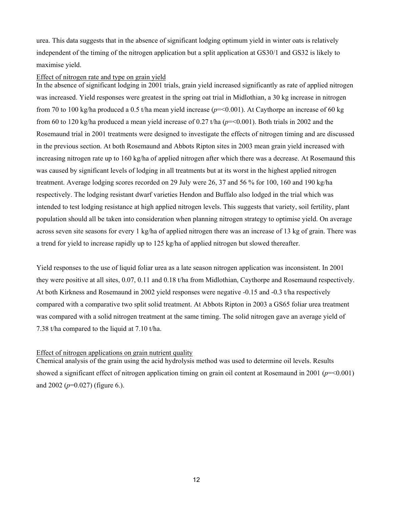urea. This data suggests that in the absence of significant lodging optimum yield in winter oats is relatively independent of the timing of the nitrogen application but a split application at GS30/1 and GS32 is likely to maximise yield.

#### Effect of nitrogen rate and type on grain yield

In the absence of significant lodging in 2001 trials, grain yield increased significantly as rate of applied nitrogen was increased. Yield responses were greatest in the spring oat trial in Midlothian, a 30 kg increase in nitrogen from 70 to 100 kg/ha produced a 0.5 t/ha mean yield increase  $(p=0.001)$ . At Caythorpe an increase of 60 kg from 60 to 120 kg/ha produced a mean yield increase of 0.27 t/ha  $(p=0.001)$ . Both trials in 2002 and the Rosemaund trial in 2001 treatments were designed to investigate the effects of nitrogen timing and are discussed in the previous section. At both Rosemaund and Abbots Ripton sites in 2003 mean grain yield increased with increasing nitrogen rate up to 160 kg/ha of applied nitrogen after which there was a decrease. At Rosemaund this was caused by significant levels of lodging in all treatments but at its worst in the highest applied nitrogen treatment. Average lodging scores recorded on 29 July were 26, 37 and 56 % for 100, 160 and 190 kg/ha respectively. The lodging resistant dwarf varieties Hendon and Buffalo also lodged in the trial which was intended to test lodging resistance at high applied nitrogen levels. This suggests that variety, soil fertility, plant population should all be taken into consideration when planning nitrogen strategy to optimise yield. On average across seven site seasons for every 1 kg/ha of applied nitrogen there was an increase of 13 kg of grain. There was a trend for yield to increase rapidly up to 125 kg/ha of applied nitrogen but slowed thereafter.

Yield responses to the use of liquid foliar urea as a late season nitrogen application was inconsistent. In 2001 they were positive at all sites, 0.07, 0.11 and 0.18 t/ha from Midlothian, Caythorpe and Rosemaund respectively. At both Kirkness and Rosemaund in 2002 yield responses were negative -0.15 and -0.3 t/ha respectively compared with a comparative two split solid treatment. At Abbots Ripton in 2003 a GS65 foliar urea treatment was compared with a solid nitrogen treatment at the same timing. The solid nitrogen gave an average yield of 7.38 t/ha compared to the liquid at 7.10 t/ha.

#### Effect of nitrogen applications on grain nutrient quality

Chemical analysis of the grain using the acid hydrolysis method was used to determine oil levels. Results showed a significant effect of nitrogen application timing on grain oil content at Rosemaund in 2001 ( $p = 0.001$ ) and 2002 (*p*=0.027) (figure 6.).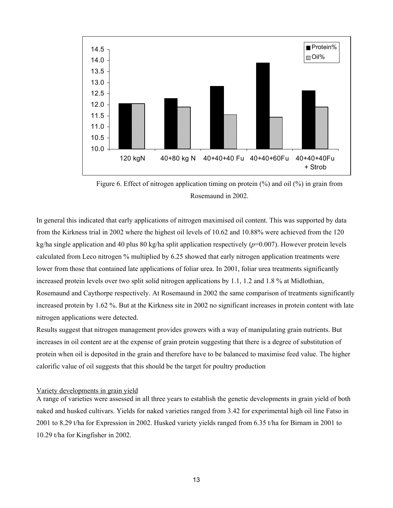

Figure 6. Effect of nitrogen application timing on protein (%) and oil (%) in grain from Rosemaund in 2002.

In general this indicated that early applications of nitrogen maximised oil content. This was supported by data from the Kirkness trial in 2002 where the highest oil levels of 10.62 and 10.88% were achieved from the 120 kg/ha single application and 40 plus 80 kg/ha split application respectively (*p*=0.007). However protein levels calculated from Leco nitrogen % multiplied by 6.25 showed that early nitrogen application treatments were lower from those that contained late applications of foliar urea. In 2001, foliar urea treatments significantly increased protein levels over two split solid nitrogen applications by 1.1, 1.2 and 1.8 % at Midlothian, Rosemaund and Caythorpe respectively. At Rosemaund in 2002 the same comparison of treatments significantly increased protein by 1.62 %. But at the Kirkness site in 2002 no significant increases in protein content with late nitrogen applications were detected.

Results suggest that nitrogen management provides growers with a way of manipulating grain nutrients. But increases in oil content are at the expense of grain protein suggesting that there is a degree of substitution of protein when oil is deposited in the grain and therefore have to be balanced to maximise feed value. The higher calorific value of oil suggests that this should be the target for poultry production

#### Variety developments in grain yield

A range of varieties were assessed in all three years to establish the genetic developments in grain yield of both naked and husked cultivars. Yields for naked varieties ranged from 3.42 for experimental high oil line Fatso in 2001 to 8.29 t/ha for Expression in 2002. Husked variety yields ranged from 6.35 t/ha for Birnam in 2001 to 10.29 t/ha for Kingfisher in 2002.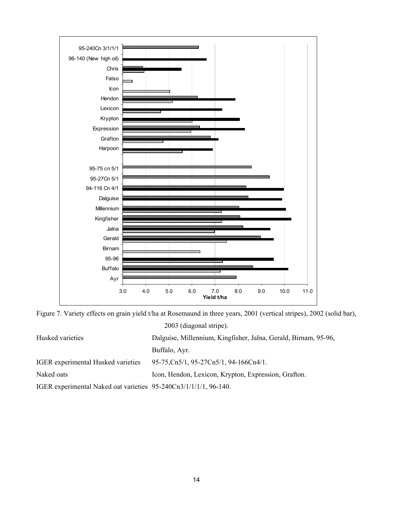

Figure 7. Variety effects on grain yield t/ha at Rosemaund in three years, 2001 (vertical stripes), 2002 (solid bar), 2003 (diagonal stripe).

| Husked varieties                                                 | Dalguise, Millennium, Kingfisher, Jalna, Gerald, Birnam, 95-96, |
|------------------------------------------------------------------|-----------------------------------------------------------------|
|                                                                  | Buffalo, Ayr.                                                   |
| <b>IGER</b> experimental Husked varieties                        | 95-75, Cn5/1, 95-27Cn5/1, 94-166Cn4/1.                          |
| Naked oats                                                       | Icon, Hendon, Lexicon, Krypton, Expression, Grafton.            |
| IGER experimental Naked oat varieties 95-240Cn3/1/1/1/1, 96-140. |                                                                 |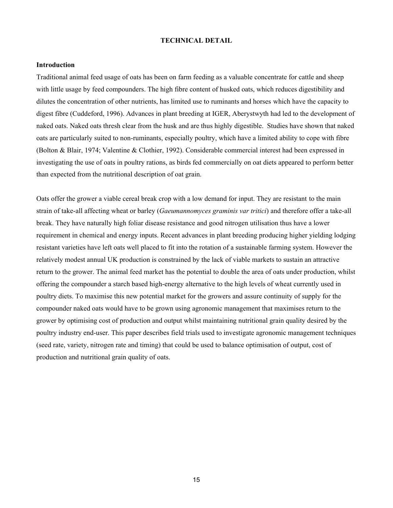#### **TECHNICAL DETAIL**

#### **Introduction**

Traditional animal feed usage of oats has been on farm feeding as a valuable concentrate for cattle and sheep with little usage by feed compounders. The high fibre content of husked oats, which reduces digestibility and dilutes the concentration of other nutrients, has limited use to ruminants and horses which have the capacity to digest fibre (Cuddeford, 1996). Advances in plant breeding at IGER, Aberystwyth had led to the development of naked oats. Naked oats thresh clear from the husk and are thus highly digestible. Studies have shown that naked oats are particularly suited to non-ruminants, especially poultry, which have a limited ability to cope with fibre (Bolton & Blair, 1974; Valentine & Clothier, 1992). Considerable commercial interest had been expressed in investigating the use of oats in poultry rations, as birds fed commercially on oat diets appeared to perform better than expected from the nutritional description of oat grain.

Oats offer the grower a viable cereal break crop with a low demand for input. They are resistant to the main strain of take-all affecting wheat or barley (*Gaeumannomyces graminis var tritici*) and therefore offer a take-all break. They have naturally high foliar disease resistance and good nitrogen utilisation thus have a lower requirement in chemical and energy inputs. Recent advances in plant breeding producing higher yielding lodging resistant varieties have left oats well placed to fit into the rotation of a sustainable farming system. However the relatively modest annual UK production is constrained by the lack of viable markets to sustain an attractive return to the grower. The animal feed market has the potential to double the area of oats under production, whilst offering the compounder a starch based high-energy alternative to the high levels of wheat currently used in poultry diets. To maximise this new potential market for the growers and assure continuity of supply for the compounder naked oats would have to be grown using agronomic management that maximises return to the grower by optimising cost of production and output whilst maintaining nutritional grain quality desired by the poultry industry end-user. This paper describes field trials used to investigate agronomic management techniques (seed rate, variety, nitrogen rate and timing) that could be used to balance optimisation of output, cost of production and nutritional grain quality of oats.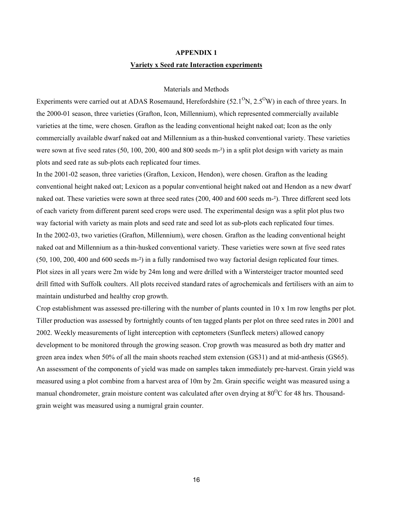# **APPENDIX 1 Variety x Seed rate Interaction experiments**

#### Materials and Methods

Experiments were carried out at ADAS Rosemaund, Herefordshire  $(52.1<sup>o</sup>N, 2.5<sup>o</sup>W)$  in each of three years. In the 2000-01 season, three varieties (Grafton, Icon, Millennium), which represented commercially available varieties at the time, were chosen. Grafton as the leading conventional height naked oat; Icon as the only commercially available dwarf naked oat and Millennium as a thin-husked conventional variety. These varieties were sown at five seed rates (50, 100, 200, 400 and 800 seeds m<sup>-2</sup>) in a split plot design with variety as main plots and seed rate as sub-plots each replicated four times.

In the 2001-02 season, three varieties (Grafton, Lexicon, Hendon), were chosen. Grafton as the leading conventional height naked oat; Lexicon as a popular conventional height naked oat and Hendon as a new dwarf naked oat. These varieties were sown at three seed rates (200, 400 and 600 seeds m-²). Three different seed lots of each variety from different parent seed crops were used. The experimental design was a split plot plus two way factorial with variety as main plots and seed rate and seed lot as sub-plots each replicated four times. In the 2002-03, two varieties (Grafton, Millennium), were chosen. Grafton as the leading conventional height naked oat and Millennium as a thin-husked conventional variety. These varieties were sown at five seed rates (50, 100, 200, 400 and 600 seeds m-²) in a fully randomised two way factorial design replicated four times. Plot sizes in all years were 2m wide by 24m long and were drilled with a Wintersteiger tractor mounted seed drill fitted with Suffolk coulters. All plots received standard rates of agrochemicals and fertilisers with an aim to maintain undisturbed and healthy crop growth.

Crop establishment was assessed pre-tillering with the number of plants counted in 10 x 1m row lengths per plot. Tiller production was assessed by fortnightly counts of ten tagged plants per plot on three seed rates in 2001 and 2002. Weekly measurements of light interception with ceptometers (Sunfleck meters) allowed canopy development to be monitored through the growing season. Crop growth was measured as both dry matter and green area index when 50% of all the main shoots reached stem extension (GS31) and at mid-anthesis (GS65). An assessment of the components of yield was made on samples taken immediately pre-harvest. Grain yield was measured using a plot combine from a harvest area of 10m by 2m. Grain specific weight was measured using a manual chondrometer, grain moisture content was calculated after oven drying at  $80^{\circ}$ C for 48 hrs. Thousandgrain weight was measured using a numigral grain counter.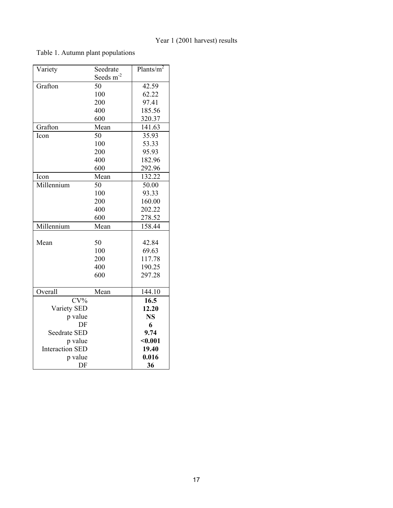## Year 1 (2001 harvest) results

### Table 1. Autumn plant populations

| Variety                | Seedrate              | Plants/ $m^2$ |
|------------------------|-----------------------|---------------|
|                        | Seeds m <sup>-2</sup> |               |
| Grafton                | 50                    | 42.59         |
|                        | 100                   | 62.22         |
|                        | 200                   | 97.41         |
|                        | 400                   | 185.56        |
|                        | 600                   | 320.37        |
| Grafton                | Mean                  | 141.63        |
| Icon                   | 50                    | 35.93         |
|                        | 100                   | 53.33         |
|                        | 200                   | 95.93         |
|                        | 400                   | 182.96        |
|                        | 600                   | 292.96        |
| Icon                   | Mean                  | 132.22        |
| Millennium             | 50                    | 50.00         |
|                        | 100                   | 93.33         |
|                        | 200                   | 160.00        |
|                        | 400                   | 202.22        |
|                        | 600                   | 278.52        |
| Millennium             | Mean                  | 158.44        |
|                        |                       |               |
| Mean                   | 50                    | 42.84         |
|                        | 100                   | 69.63         |
|                        | 200                   | 117.78        |
|                        | 400                   | 190.25        |
|                        | 600                   | 297.28        |
|                        |                       |               |
| Overall                | Mean                  | 144.10        |
| $CV\%$                 |                       | 16.5          |
| Variety SED            |                       | 12.20         |
| p value                |                       | <b>NS</b>     |
| DF                     |                       | 6             |
| <b>Seedrate SED</b>    |                       | 9.74          |
| p value                |                       | $0.001$       |
| <b>Interaction SED</b> |                       | 19.40         |
| p value                |                       | 0.016         |
| DF                     |                       | 36            |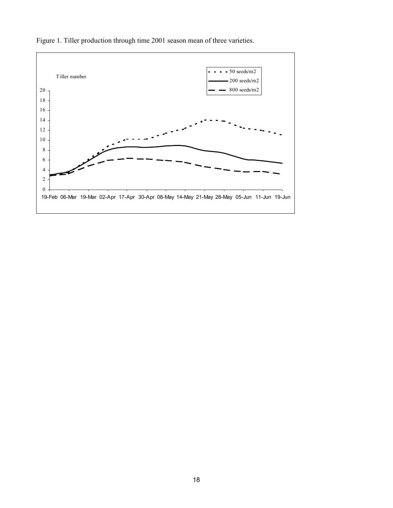

Figure 1. Tiller production through time 2001 season mean of three varieties.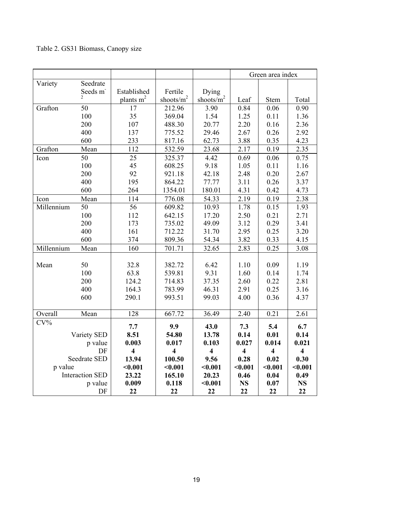## Table 2. GS31 Biomass, Canopy size

|            |                        |                         |                         |                          | Green area index        |                         |                         |
|------------|------------------------|-------------------------|-------------------------|--------------------------|-------------------------|-------------------------|-------------------------|
| Variety    | Seedrate               |                         |                         |                          |                         |                         |                         |
|            | Seeds m                | Established             | Fertile                 | Dying                    |                         |                         |                         |
|            | $\overline{c}$         | plants m <sup>2</sup>   | shoots/m <sup>2</sup>   | shoots/ $\overline{m}^2$ | Leaf                    | Stem                    | Total                   |
| Grafton    | 50                     | 17                      | 212.96                  | 3.90                     | 0.84                    | 0.06                    | 0.90                    |
|            | 100                    | 35                      | 369.04                  | 1.54                     | 1.25                    | 0.11                    | 1.36                    |
|            | 200                    | 107                     | 488.30                  | 20.77                    | 2.20                    | 0.16                    | 2.36                    |
|            | 400                    | 137                     | 775.52                  | 29.46                    | 2.67                    | 0.26                    | 2.92                    |
|            | 600                    | 233                     | 817.16                  | 62.73                    | 3.88                    | 0.35                    | 4.23                    |
| Grafton    | Mean                   | 112                     | 532.59                  | 23.68                    | 2.17                    | 0.19                    | 2.35                    |
| Icon       | 50                     | 25                      | 325.37                  | 4.42                     | 0.69                    | 0.06                    | 0.75                    |
|            | 100                    | 45                      | 608.25                  | 9.18                     | 1.05                    | 0.11                    | 1.16                    |
|            | 200                    | 92                      | 921.18                  | 42.18                    | 2.48                    | 0.20                    | 2.67                    |
|            | 400                    | 195                     | 864.22                  | 77.77                    | 3.11                    | 0.26                    | 3.37                    |
|            | 600                    | 264                     | 1354.01                 | 180.01                   | 4.31                    | 0.42                    | 4.73                    |
| Icon       | Mean                   | 114                     | 776.08                  | 54.33                    | 2.19                    | 0.19                    | 2.38                    |
| Millennium | 50                     | 56                      | 609.82                  | 10.93                    | 1.78                    | 0.15                    | 1.93                    |
|            | 100                    | 112                     | 642.15                  | 17.20                    | 2.50                    | 0.21                    | 2.71                    |
|            | 200                    | 173                     | 735.02                  | 49.09                    | 3.12                    | 0.29                    | 3.41                    |
|            | 400                    | 161                     | 712.22                  | 31.70                    | 2.95                    | 0.25                    | 3.20                    |
|            | 600                    | 374                     | 809.36                  | 54.34                    | 3.82                    | 0.33                    | 4.15                    |
| Millennium | Mean                   | 160                     | 701.71                  | 32.65                    | 2.83                    | 0.25                    | 3.08                    |
|            |                        |                         |                         |                          |                         |                         |                         |
| Mean       | 50                     | 32.8                    | 382.72                  | 6.42                     | 1.10                    | 0.09                    | 1.19                    |
|            | 100                    | 63.8                    | 539.81                  | 9.31                     | 1.60                    | 0.14                    | 1.74                    |
|            | 200                    | 124.2                   | 714.83                  | 37.35                    | 2.60                    | 0.22                    | 2.81                    |
|            | 400                    | 164.3                   | 783.99                  | 46.31                    | 2.91                    | 0.25                    | 3.16                    |
|            | 600                    | 290.1                   | 993.51                  | 99.03                    | 4.00                    | 0.36                    | 4.37                    |
|            |                        |                         |                         |                          |                         |                         |                         |
| Overall    | Mean                   | 128                     | 667.72                  | 36.49                    | 2.40                    | 0.21                    | 2.61                    |
| $CV\%$     |                        | 7.7                     | 9.9                     | 43.0                     | 7.3                     | 5.4                     | 6.7                     |
|            | Variety SED            | 8.51                    | 54.80                   | 13.78                    | 0.14                    | 0.01                    | 0.14                    |
|            | p value                | 0.003                   | 0.017                   | 0.103                    | 0.027                   | 0.014                   | 0.021                   |
|            | DF                     | $\overline{\mathbf{4}}$ | $\overline{\mathbf{4}}$ | $\overline{\mathbf{4}}$  | $\overline{\mathbf{4}}$ | $\overline{\mathbf{4}}$ | $\overline{\mathbf{4}}$ |
|            | Seedrate SED           | 13.94                   | 100.50                  | 9.56                     | 0.28                    | 0.02                    | 0.30                    |
| p value    |                        | $0.001$                 | $0.001$                 | $0.001$                  | $0.001$                 | $0.001$                 | $0.001$                 |
|            | <b>Interaction SED</b> | 23.22                   | 165.10                  | 20.23                    | 0.46                    | 0.04                    | 0.49                    |
|            | p value                | 0.009                   | 0.118                   | $0.001$                  | <b>NS</b>               | 0.07                    | <b>NS</b>               |
|            | DF                     | 22                      | 22                      | 22                       | 22                      | 22                      | 22                      |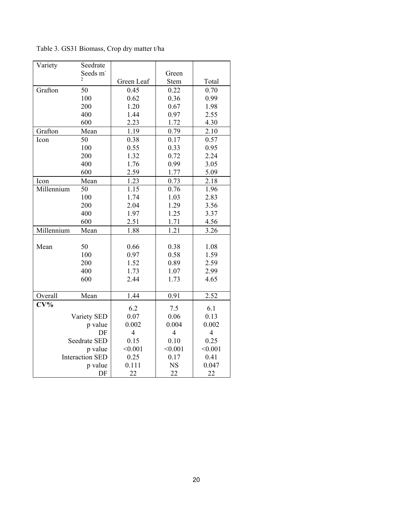Table 3. GS31 Biomass, Crop dry matter t/ha

| Variety      | Seedrate               |            |           |         |
|--------------|------------------------|------------|-----------|---------|
|              | Seeds m                |            | Green     |         |
|              | $\overline{c}$         | Green Leaf | Stem      | Total   |
| Grafton      | 50                     | 0.45       | 0.22      | 0.70    |
|              | 100                    | 0.62       | 0.36      | 0.99    |
|              | 200                    | 1.20       | 0.67      | 1.98    |
|              | 400                    | 1.44       | 0.97      | 2.55    |
|              | 600                    | 2.23       | 1.72      | 4.30    |
| Grafton      | Mean                   | 1.19       | 0.79      | 2.10    |
| Icon         | 50                     | 0.38       | 0.17      | 0.57    |
|              | 100                    | 0.55       | 0.33      | 0.95    |
|              | 200                    | 1.32       | 0.72      | 2.24    |
|              | 400                    | 1.76       | 0.99      | 3.05    |
|              | 600                    | 2.59       | 1.77      | 5.09    |
| Icon         | Mean                   | 1.23       | 0.73      | 2.18    |
| Millennium   | 50                     | 1.15       | 0.76      | 1.96    |
|              | 100                    | 1.74       | 1.03      | 2.83    |
|              | 200                    | 2.04       | 1.29      | 3.56    |
|              | 400                    | 1.97       | 1.25      | 3.37    |
|              | 600                    | 2.51       | 1.71      | 4.56    |
| Millennium   | Mean                   | 1.88       | 1.21      | 3.26    |
|              |                        |            |           |         |
| Mean         | 50                     | 0.66       | 0.38      | 1.08    |
|              | 100                    | 0.97       | 0.58      | 1.59    |
|              | 200                    | 1.52       | 0.89      | 2.59    |
|              | 400                    | 1.73       | 1.07      | 2.99    |
|              | 600                    | 2.44       | 1.73      | 4.65    |
|              |                        |            |           |         |
| Overall      | Mean                   | 1.44       | 0.91      | 2.52    |
| $CV\%$       |                        | 6.2        | 7.5       | 6.1     |
|              | Variety SED            | 0.07       | 0.06      | 0.13    |
|              | p value                | 0.002      | 0.004     | 0.002   |
|              | DF                     | 4          | 4         | 4       |
| Seedrate SED |                        | 0.15       | 0.10      | 0.25    |
| p value      |                        | < 0.001    | < 0.001   | < 0.001 |
|              | <b>Interaction SED</b> | 0.25       | 0.17      | 0.41    |
|              | p value                | 0.111      | <b>NS</b> | 0.047   |
|              | DF                     | 22         | 22        | 22      |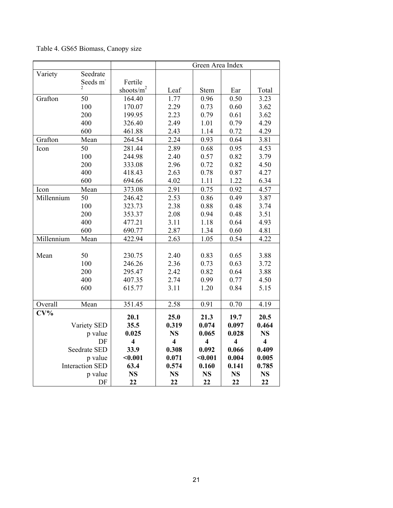## Table 4. GS65 Biomass, Canopy size

|            |                        |                         | Green Area Index        |                         |                         |                         |
|------------|------------------------|-------------------------|-------------------------|-------------------------|-------------------------|-------------------------|
| Variety    | Seedrate               |                         |                         |                         |                         |                         |
|            | Seeds m                | Fertile                 |                         |                         |                         |                         |
|            | $\overline{c}$         | shoots/ $m^2$           | Leaf                    | Stem                    | Ear                     | Total                   |
| Grafton    | 50                     | 164.40                  | 1.77                    | 0.96                    | 0.50                    | 3.23                    |
|            | 100                    | 170.07                  | 2.29                    | 0.73                    | 0.60                    | 3.62                    |
|            | 200                    | 199.95                  | 2.23                    | 0.79                    | 0.61                    | 3.62                    |
|            | 400                    | 326.40                  | 2.49                    | 1.01                    | 0.79                    | 4.29                    |
|            | 600                    | 461.88                  | 2.43                    | 1.14                    | 0.72                    | 4.29                    |
| Grafton    | Mean                   | 264.54                  | 2.24                    | 0.93                    | 0.64                    | 3.81                    |
| Icon       | 50                     | 281.44                  | 2.89                    | 0.68                    | 0.95                    | 4.53                    |
|            | 100                    | 244.98                  | 2.40                    | 0.57                    | 0.82                    | 3.79                    |
|            | 200                    | 333.08                  | 2.96                    | 0.72                    | 0.82                    | 4.50                    |
|            | 400                    | 418.43                  | 2.63                    | 0.78                    | 0.87                    | 4.27                    |
|            | 600                    | 694.66                  | 4.02                    | 1.11                    | 1.22                    | 6.34                    |
| Icon       | Mean                   | 373.08                  | 2.91                    | 0.75                    | 0.92                    | 4.57                    |
| Millennium | 50                     | 246.42                  | 2.53                    | 0.86                    | 0.49                    | 3.87                    |
|            | 100                    | 323.73                  | 2.38                    | 0.88                    | 0.48                    | 3.74                    |
|            | 200                    | 353.37                  | 2.08                    | 0.94                    | 0.48                    | 3.51                    |
|            | 400                    | 477.21                  | 3.11                    | 1.18                    | 0.64                    | 4.93                    |
|            | 600                    | 690.77                  | 2.87                    | 1.34                    | 0.60                    | 4.81                    |
| Millennium | Mean                   | 422.94                  | 2.63                    | 1.05                    | 0.54                    | 4.22                    |
|            |                        |                         |                         |                         |                         |                         |
| Mean       | 50                     | 230.75                  | 2.40                    | 0.83                    | 0.65                    | 3.88                    |
|            | 100                    | 246.26                  | 2.36                    | 0.73                    | 0.63                    | 3.72                    |
|            | 200                    | 295.47                  | 2.42                    | 0.82                    | 0.64                    | 3.88                    |
|            | 400                    | 407.35                  | 2.74                    | 0.99                    | 0.77                    | 4.50                    |
|            | 600                    | 615.77                  | 3.11                    | 1.20                    | 0.84                    | 5.15                    |
|            |                        |                         |                         |                         |                         |                         |
| Overall    | Mean                   | 351.45                  | 2.58                    | 0.91                    | 0.70                    | 4.19                    |
| $CV\%$     |                        | 20.1                    | 25.0                    | 21.3                    | 19.7                    | 20.5                    |
|            | Variety SED            | 35.5                    | 0.319                   | 0.074                   | 0.097                   | 0.464                   |
|            | p value                | 0.025                   | <b>NS</b>               | 0.065                   | 0.028                   | <b>NS</b>               |
|            | DF                     | $\overline{\mathbf{4}}$ | $\overline{\mathbf{4}}$ | $\overline{\mathbf{4}}$ | $\overline{\mathbf{4}}$ | $\overline{\mathbf{4}}$ |
|            | <b>Seedrate SED</b>    | 33.9                    | 0.308                   | 0.092                   | 0.066                   | 0.409                   |
|            | p value                | $0.001$                 | 0.071                   | $0.001$                 | 0.004                   | 0.005                   |
|            | <b>Interaction SED</b> | 63.4                    | 0.574                   | 0.160                   | 0.141                   | 0.785                   |
|            | p value                | <b>NS</b>               | <b>NS</b>               | <b>NS</b>               | <b>NS</b>               | <b>NS</b>               |
|            | DF                     | 22                      | 22                      | 22                      | 22                      | 22                      |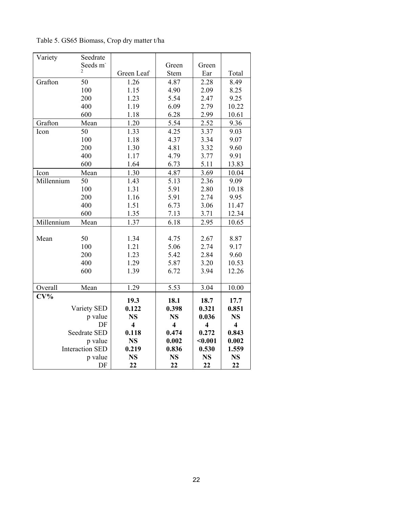Table 5. GS65 Biomass, Crop dry matter t/ha

| Variety    | Seedrate               |                         |                         |                         |                         |
|------------|------------------------|-------------------------|-------------------------|-------------------------|-------------------------|
|            | Seeds m                |                         | Green                   | Green                   |                         |
|            | 2                      | Green Leaf              | Stem                    | Ear                     | Total                   |
| Grafton    | 50                     | 1.26                    | 4.87                    | 2.28                    | 8.49                    |
|            | 100                    | 1.15                    | 4.90                    | 2.09                    | 8.25                    |
|            | 200                    | 1.23                    | 5.54                    | 2.47                    | 9.25                    |
|            | 400                    | 1.19                    | 6.09                    | 2.79                    | 10.22                   |
|            | 600                    | 1.18                    | 6.28                    | 2.99                    | 10.61                   |
| Grafton    | Mean                   | 1.20                    | 5.54                    | 2.52                    | 9.36                    |
| Icon       | 50                     | 1.33                    | 4.25                    | 3.37                    | 9.03                    |
|            | 100                    | 1.18                    | 4.37                    | 3.34                    | 9.07                    |
|            | 200                    | 1.30                    | 4.81                    | 3.32                    | 9.60                    |
|            | 400                    | 1.17                    | 4.79                    | 3.77                    | 9.91                    |
|            | 600                    | 1.64                    | 6.73                    | 5.11                    | 13.83                   |
| Icon       | Mean                   | 1.30                    | 4.87                    | 3.69                    | 10.04                   |
| Millennium | 50                     | 1.43                    | 5.13                    | 2.36                    | 9.09                    |
|            | 100                    | 1.31                    | 5.91                    | 2.80                    | 10.18                   |
|            | 200                    | 1.16                    | 5.91                    | 2.74                    | 9.95                    |
|            | 400                    | 1.51                    | 6.73                    | 3.06                    | 11.47                   |
|            | 600                    | 1.35                    | 7.13                    | 3.71                    | 12.34                   |
| Millennium | Mean                   | 1.37                    | 6.18                    | 2.95                    | 10.65                   |
|            |                        |                         |                         |                         |                         |
| Mean       | 50                     | 1.34                    | 4.75                    | 2.67                    | 8.87                    |
|            | 100                    | 1.21                    | 5.06                    | 2.74                    | 9.17                    |
|            | 200                    | 1.23                    | 5.42                    | 2.84                    | 9.60                    |
|            | 400                    | 1.29                    | 5.87                    | 3.20                    | 10.53                   |
|            | 600                    | 1.39                    | 6.72                    | 3.94                    | 12.26                   |
|            |                        |                         |                         |                         |                         |
| Overall    | Mean                   | 1.29                    | 5.53                    | 3.04                    | 10.00                   |
| $CV\%$     |                        | 19.3                    | 18.1                    | 18.7                    | 17.7                    |
|            | Variety SED            | 0.122                   | 0.398                   | 0.321                   | 0.851                   |
|            | p value                | <b>NS</b>               | <b>NS</b>               | 0.036                   | <b>NS</b>               |
|            | DF                     | $\overline{\mathbf{4}}$ | $\overline{\mathbf{4}}$ | $\overline{\mathbf{4}}$ | $\overline{\mathbf{4}}$ |
|            | Seedrate SED           | 0.118                   | 0.474                   | 0.272                   | 0.843                   |
|            | p value                | <b>NS</b>               | 0.002                   | $0.001$                 | 0.002                   |
|            | <b>Interaction SED</b> | 0.219                   | 0.836                   | 0.530                   | 1.559                   |
|            | p value                | <b>NS</b>               | <b>NS</b>               | <b>NS</b>               | <b>NS</b>               |
|            | DF                     | 22                      | 22                      | 22                      | 22                      |
|            |                        |                         |                         |                         |                         |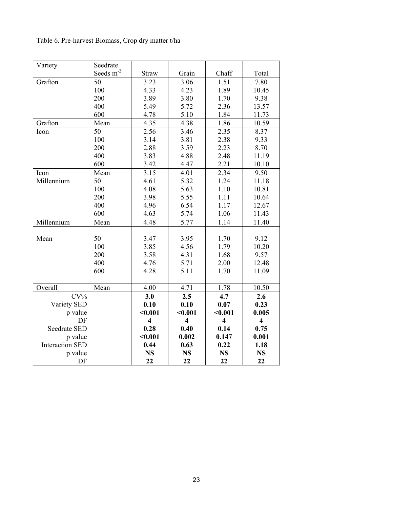Table 6. Pre-harvest Biomass, Crop dry matter t/ha

| Variety                | Seedrate    |                         |                         |                         |                         |
|------------------------|-------------|-------------------------|-------------------------|-------------------------|-------------------------|
|                        | Seeds $m-2$ | Straw                   | Grain                   | Chaff                   | Total                   |
| Grafton                | 50          | 3.23                    | 3.06                    | 1.51                    | 7.80                    |
|                        | 100         | 4.33                    | 4.23                    | 1.89                    | 10.45                   |
|                        | 200         | 3.89                    | 3.80                    | 1.70                    | 9.38                    |
|                        | 400         | 5.49                    | 5.72                    | 2.36                    | 13.57                   |
|                        | 600         | 4.78                    | 5.10                    | 1.84                    | 11.73                   |
| Grafton                | Mean        | 4.35                    | 4.38                    | 1.86                    | 10.59                   |
| Icon                   | 50          | 2.56                    | 3.46                    | 2.35                    | 8.37                    |
|                        | 100         | 3.14                    | 3.81                    | 2.38                    | 9.33                    |
|                        | 200         | 2.88                    | 3.59                    | 2.23                    | 8.70                    |
|                        | 400         | 3.83                    | 4.88                    | 2.48                    | 11.19                   |
|                        | 600         | 3.42                    | 4.47                    | 2.21                    | 10.10                   |
| Icon                   | Mean        | 3.15                    | 4.01                    | 2.34                    | 9.50                    |
| Millennium             | 50          | 4.61                    | 5.32                    | 1.24                    | 11.18                   |
|                        | 100         | 4.08                    | 5.63                    | 1.10                    | 10.81                   |
|                        | 200         | 3.98                    | 5.55                    | 1.11                    | 10.64                   |
|                        | 400         | 4.96                    | 6.54                    | 1.17                    | 12.67                   |
|                        | 600         | 4.63                    | 5.74                    | 1.06                    | 11.43                   |
| Millennium             | Mean        | 4.48                    | 5.77                    | 1.14                    | 11.40                   |
|                        |             |                         |                         |                         |                         |
| Mean                   | 50          | 3.47                    | 3.95                    | 1.70                    | 9.12                    |
|                        | 100         | 3.85                    | 4.56                    | 1.79                    | 10.20                   |
|                        | 200         | 3.58                    | 4.31                    | 1.68                    | 9.57                    |
|                        | 400         | 4.76                    | 5.71                    | 2.00                    | 12.48                   |
|                        | 600         | 4.28                    | 5.11                    | 1.70                    | 11.09                   |
|                        |             |                         |                         |                         |                         |
| Overall                | Mean        | 4.00                    | 4.71                    | 1.78                    | 10.50                   |
| $CV\%$                 |             | 3.0                     | 2.5                     | 4.7                     | 2.6                     |
| Variety SED            |             | 0.10                    | 0.10                    | 0.07                    | 0.23                    |
| p value                |             | $0.001$                 | $0.001$                 | < 0.001                 | 0.005                   |
| DF                     |             | $\overline{\mathbf{4}}$ | $\overline{\mathbf{4}}$ | $\overline{\mathbf{4}}$ | $\overline{\mathbf{4}}$ |
| <b>Seedrate SED</b>    |             | 0.28                    | 0.40                    | 0.14                    | 0.75                    |
| p value                |             | $0.001$                 | 0.002                   | 0.147                   | 0.001                   |
| <b>Interaction SED</b> |             | 0.44                    | 0.63                    | 0.22                    | 1.18                    |
| p value                |             | <b>NS</b>               | <b>NS</b>               | <b>NS</b>               | <b>NS</b>               |
| DF                     |             | 22                      | 22                      | 22                      | 22                      |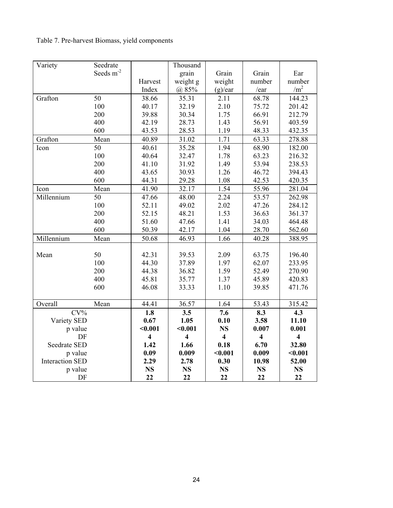## Table 7. Pre-harvest Biomass, yield components

| Variety                | Seedrate              |                         | Thousand                |                         |                         |                         |
|------------------------|-----------------------|-------------------------|-------------------------|-------------------------|-------------------------|-------------------------|
|                        | Seeds m <sup>-2</sup> |                         | grain                   | Grain                   | Grain                   | Ear                     |
|                        |                       | Harvest                 | weight g                | weight                  | number                  | number                  |
|                        |                       | Index                   | @85%                    | (g)/ear                 | /ear                    | /m <sup>2</sup>         |
| Grafton                | 50                    | 38.66                   | 35.31                   | 2.11                    | 68.78                   | 144.23                  |
|                        | 100                   | 40.17                   | 32.19                   | 2.10                    | 75.72                   | 201.42                  |
|                        | 200                   | 39.88                   | 30.34                   | 1.75                    | 66.91                   | 212.79                  |
|                        | 400                   | 42.19                   | 28.73                   | 1.43                    | 56.91                   | 403.59                  |
|                        | 600                   | 43.53                   | 28.53                   | 1.19                    | 48.33                   | 432.35                  |
| Grafton                | Mean                  | 40.89                   | 31.02                   | 1.71                    | 63.33                   | 278.88                  |
| Icon                   | 50                    | 40.61                   | 35.28                   | 1.94                    | 68.90                   | 182.00                  |
|                        | 100                   | 40.64                   | 32.47                   | 1.78                    | 63.23                   | 216.32                  |
|                        | 200                   | 41.10                   | 31.92                   | 1.49                    | 53.94                   | 238.53                  |
|                        | 400                   | 43.65                   | 30.93                   | 1.26                    | 46.72                   | 394.43                  |
|                        | 600                   | 44.31                   | 29.28                   | 1.08                    | 42.53                   | 420.35                  |
| Icon                   | Mean                  | 41.90                   | 32.17                   | 1.54                    | 55.96                   | 281.04                  |
| Millennium             | $\overline{50}$       | 47.66                   | 48.00                   | 2.24                    | 53.57                   | 262.98                  |
|                        | 100                   | 52.11                   | 49.02                   | 2.02                    | 47.26                   | 284.12                  |
|                        | 200                   | 52.15                   | 48.21                   | 1.53                    | 36.63                   | 361.37                  |
|                        | 400                   | 51.60                   | 47.66                   | 1.41                    | 34.03                   | 464.48                  |
|                        | 600                   | 50.39                   | 42.17                   | 1.04                    | 28.70                   | 562.60                  |
| Millennium             | Mean                  | 50.68                   | 46.93                   | 1.66                    | 40.28                   | 388.95                  |
|                        |                       |                         |                         |                         |                         |                         |
| Mean                   | 50                    | 42.31                   | 39.53                   | 2.09                    | 63.75                   | 196.40                  |
|                        | 100                   | 44.30                   | 37.89                   | 1.97                    | 62.07                   | 233.95                  |
|                        | 200                   | 44.38                   | 36.82                   | 1.59                    | 52.49                   | 270.90                  |
|                        | 400                   | 45.81                   | 35.77                   | 1.37                    | 45.89                   | 420.83                  |
|                        | 600                   | 46.08                   | 33.33                   | 1.10                    | 39.85                   | 471.76                  |
|                        |                       |                         |                         |                         |                         |                         |
| Overall                | Mean                  | 44.41                   | 36.57                   | 1.64                    | 53.43                   | 315.42                  |
| $CV\%$                 |                       | 1.8                     | 3.5                     | 7.6                     | 8.3                     | 4.3                     |
| Variety SED            |                       | 0.67                    | 1.05                    | 0.10                    | 3.58                    | 11.10                   |
| p value                |                       | $0.001$                 | $0.001$                 | <b>NS</b>               | 0.007                   | 0.001                   |
| DF                     |                       | $\overline{\mathbf{4}}$ | $\overline{\mathbf{4}}$ | $\overline{\mathbf{4}}$ | $\overline{\mathbf{4}}$ | $\overline{\mathbf{4}}$ |
| <b>Seedrate SED</b>    |                       | 1.42                    | 1.66                    | 0.18                    | 6.70                    | 32.80                   |
| p value                |                       | 0.09                    | 0.009                   | $0.001$                 | 0.009                   | $0.001$                 |
| <b>Interaction SED</b> |                       | 2.29                    | 2.78                    | 0.30                    | 10.98                   | 52.00                   |
| p value                |                       | <b>NS</b>               | <b>NS</b>               | <b>NS</b>               | <b>NS</b>               | <b>NS</b>               |
| DF                     |                       | 22                      | 22                      | 22                      | 22                      | 22                      |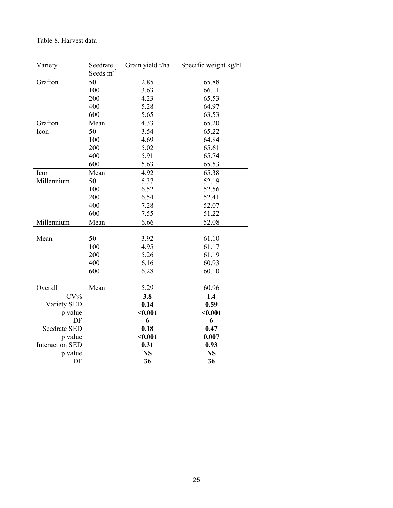### Table 8. Harvest data

| Variety                | Seedrate       | Grain yield t/ha | Specific weight kg/hl |
|------------------------|----------------|------------------|-----------------------|
|                        | Seeds $m^{-2}$ |                  |                       |
| Grafton                | 50             | 2.85             | 65.88                 |
|                        | 100            | 3.63             | 66.11                 |
|                        | 200            | 4.23             | 65.53                 |
|                        | 400            | 5.28             | 64.97                 |
|                        | 600            | 5.65             | 63.53                 |
| Grafton                | Mean           | 4.33             | 65.20                 |
| Icon                   | 50             | 3.54             | 65.22                 |
|                        | 100            | 4.69             | 64.84                 |
|                        | 200            | 5.02             | 65.61                 |
|                        | 400            | 5.91             | 65.74                 |
|                        | 600            | 5.63             | 65.53                 |
| Icon                   | Mean           | 4.92             | 65.38                 |
| Millennium             | 50             | 5.37             | 52.19                 |
|                        | 100            | 6.52             | 52.56                 |
|                        | 200            | 6.54             | 52.41                 |
|                        | 400            | 7.28             | 52.07                 |
|                        | 600            | 7.55             | 51.22                 |
| Millennium             | Mean           | 6.66             | 52.08                 |
|                        |                |                  |                       |
| Mean                   | 50             | 3.92             | 61.10                 |
|                        | 100            | 4.95             | 61.17                 |
|                        | 200            | 5.26             | 61.19                 |
|                        | 400            | 6.16             | 60.93                 |
|                        | 600            | 6.28             | 60.10                 |
| Overall                | Mean           | 5.29             | 60.96                 |
| $CV\%$                 |                | 3.8              | 1.4                   |
| Variety SED            |                | 0.14             | 0.59                  |
| p value                |                | $0.001$          | $0.001$               |
| DF                     |                | 6                | 6                     |
| <b>Seedrate SED</b>    |                | 0.18             | 0.47                  |
| p value                |                | $0.001$          | 0.007                 |
| <b>Interaction SED</b> |                | 0.31             | 0.93                  |
| p value                |                | <b>NS</b>        | <b>NS</b>             |
| DF                     |                | 36               | 36                    |
|                        |                |                  |                       |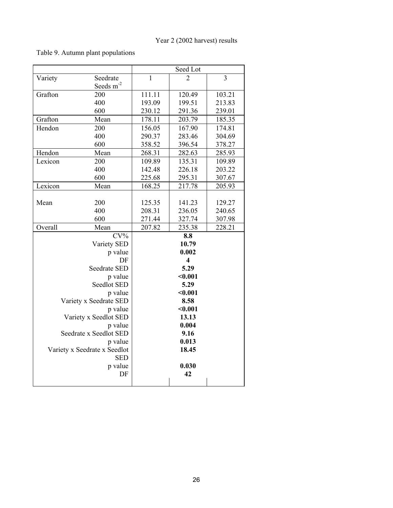### Table 9. Autumn plant populations

|         |                                   |              | Seed Lot                    |        |
|---------|-----------------------------------|--------------|-----------------------------|--------|
| Variety | Seedrate                          | $\mathbf{1}$ | $\mathcal{D}_{\mathcal{L}}$ | 3      |
|         | Seeds m <sup>-2</sup>             |              |                             |        |
| Grafton | 200                               | 111.11       | 120.49                      | 103.21 |
|         | 400                               | 193.09       | 199.51                      | 213.83 |
|         | 600                               | 230.12       | 291.36                      | 239.01 |
| Grafton | Mean                              | 178.11       | 203.79                      | 185.35 |
| Hendon  | 200                               | 156.05       | 167.90                      | 174.81 |
|         | 400                               | 290.37       | 283.46                      | 304.69 |
|         | 600                               | 358.52       | 396.54                      | 378.27 |
| Hendon  | Mean                              | 268.31       | 282.63                      | 285.93 |
| Lexicon | 200                               | 109.89       | 135.31                      | 109.89 |
|         | 400                               | 142.48       | 226.18                      | 203.22 |
|         | 600                               | 225.68       | 295.31                      | 307.67 |
| Lexicon | Mean                              | 168.25       | 217.78                      | 205.93 |
|         |                                   |              |                             |        |
| Mean    | 200                               | 125.35       | 141.23                      | 129.27 |
|         | 400                               | 208.31       | 236.05                      | 240.65 |
|         | 600                               | 271.44       | 327.74                      | 307.98 |
| Overall | Mean                              | 207.82       | 235.38                      | 228.21 |
|         | $CV\%$                            |              | 8.8                         |        |
|         | Variety SED                       |              | 10.79                       |        |
|         | p value                           |              | 0.002                       |        |
|         | DF                                |              | $\overline{\mathbf{4}}$     |        |
|         | Seedrate SED                      |              | 5.29                        |        |
|         | p value                           |              | < 0.001                     |        |
|         | Seedlot SED                       |              | 5.29                        |        |
|         | p value                           |              | $0.001$                     |        |
|         | Variety x Seedrate SED            |              | 8.58                        |        |
|         | p value                           |              | $0.001$                     |        |
|         | Variety x Seedlot SED             |              | 13.13<br>0.004              |        |
|         | p value<br>Seedrate x Seedlot SED |              | 9.16                        |        |
|         | p value                           |              | 0.013                       |        |
|         | Variety x Seedrate x Seedlot      |              | 18.45                       |        |
|         | <b>SED</b>                        |              |                             |        |
|         | p value                           |              | 0.030                       |        |
|         | DF                                |              | 42                          |        |
|         |                                   |              |                             |        |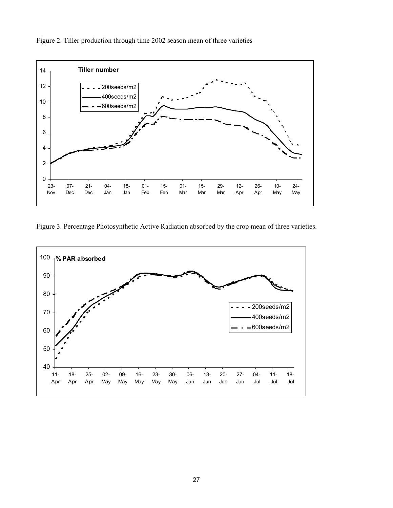

Figure 2. Tiller production through time 2002 season mean of three varieties

Figure 3. Percentage Photosynthetic Active Radiation absorbed by the crop mean of three varieties.

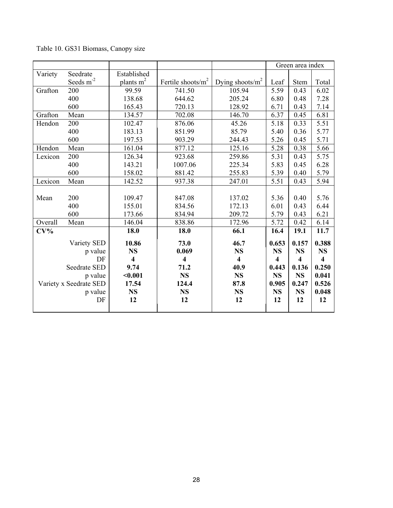|         |                        |                         |                         |                         |           | Green area index        |                         |
|---------|------------------------|-------------------------|-------------------------|-------------------------|-----------|-------------------------|-------------------------|
| Variety | Seedrate               | Established             |                         |                         |           |                         |                         |
|         | Seeds $m^{-2}$         | plants $m2$             | Fertile shoots/ $m^2$   | Dying shoots/ $m^2$     | Leaf      | Stem                    | Total                   |
| Grafton | 200                    | 99.59                   | 741.50                  | 105.94                  | 5.59      | 0.43                    | 6.02                    |
|         | 400                    | 138.68                  | 644.62                  | 205.24                  | 6.80      | 0.48                    | 7.28                    |
|         | 600                    | 165.43                  | 720.13                  | 128.92                  | 6.71      | 0.43                    | 7.14                    |
| Grafton | Mean                   | 134.57                  | 702.08                  | 146.70                  | 6.37      | 0.45                    | 6.81                    |
| Hendon  | 200                    | 102.47                  | 876.06                  | 45.26                   | 5.18      | 0.33                    | 5.51                    |
|         | 400                    | 183.13                  | 851.99                  | 85.79                   | 5.40      | 0.36                    | 5.77                    |
|         | 600                    | 197.53                  | 903.29                  | 244.43                  | 5.26      | 0.45                    | 5.71                    |
| Hendon  | Mean                   | 161.04                  | 877.12                  | 125.16                  | 5.28      | 0.38                    | 5.66                    |
| Lexicon | 200                    | 126.34                  | 923.68                  | 259.86                  | 5.31      | 0.43                    | 5.75                    |
|         | 400                    | 143.21                  | 1007.06                 | 225.34                  | 5.83      | 0.45                    | 6.28                    |
|         | 600                    | 158.02                  | 881.42                  | 255.83                  | 5.39      | 0.40                    | 5.79                    |
| Lexicon | Mean                   | 142.52                  | 937.38                  | 247.01                  | 5.51      | 0.43                    | 5.94                    |
|         |                        |                         |                         |                         |           |                         |                         |
| Mean    | 200                    | 109.47                  | 847.08                  | 137.02                  | 5.36      | 0.40                    | 5.76                    |
|         | 400                    | 155.01                  | 834.56                  | 172.13                  | 6.01      | 0.43                    | 6.44                    |
|         | 600                    | 173.66                  | 834.94                  | 209.72                  | 5.79      | 0.43                    | 6.21                    |
| Overall | Mean                   | 146.04                  | 838.86                  | 172.96                  | 5.72      | 0.42                    | 6.14                    |
| $CV\%$  |                        | 18.0                    | 18.0                    | 66.1                    | 16.4      | 19.1                    | 11.7                    |
|         | Variety SED            | 10.86                   | 73.0                    | 46.7                    | 0.653     | 0.157                   | 0.388                   |
|         | p value                | <b>NS</b>               | 0.069                   | <b>NS</b>               | <b>NS</b> | <b>NS</b>               | NS                      |
|         | DF                     | $\overline{\mathbf{4}}$ | $\overline{\mathbf{4}}$ | $\overline{\mathbf{4}}$ | 4         | $\overline{\mathbf{4}}$ | $\overline{\mathbf{4}}$ |
|         | Seedrate SED           | 9.74                    | 71.2                    | 40.9                    | 0.443     | 0.136                   | 0.250                   |
|         | p value                | $0.001$                 | <b>NS</b>               | <b>NS</b>               | <b>NS</b> | <b>NS</b>               | 0.041                   |
|         | Variety x Seedrate SED | 17.54                   | 124.4                   | 87.8                    | 0.905     | 0.247                   | 0.526                   |
|         | p value                | <b>NS</b>               | <b>NS</b>               | <b>NS</b>               | <b>NS</b> | <b>NS</b>               | 0.048                   |
|         | DF                     | 12                      | 12                      | 12                      | 12        | 12                      | 12                      |
|         |                        |                         |                         |                         |           |                         |                         |

Table 10. GS31 Biomass, Canopy size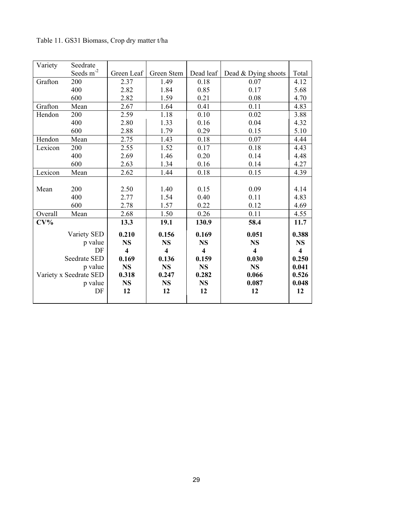| Variety | Seedrate               |                         |                         |                         |                         |                         |
|---------|------------------------|-------------------------|-------------------------|-------------------------|-------------------------|-------------------------|
|         | Seeds $m^{-2}$         | Green Leaf              | Green Stem              | Dead leaf               | Dead & Dying shoots     | Total                   |
| Grafton | 200                    | 2.37                    | 1.49                    | 0.18                    | 0.07                    | 4.12                    |
|         | 400                    | 2.82                    | 1.84                    | 0.85                    | 0.17                    | 5.68                    |
|         | 600                    | 2.82                    | 1.59                    | 0.21                    | 0.08                    | 4.70                    |
| Grafton | Mean                   | 2.67                    | 1.64                    | 0.41                    | 0.11                    | 4.83                    |
| Hendon  | 200                    | 2.59                    | 1.18                    | 0.10                    | 0.02                    | 3.88                    |
|         | 400                    | 2.80                    | 1.33                    | 0.16                    | 0.04                    | 4.32                    |
|         | 600                    | 2.88                    | 1.79                    | 0.29                    | 0.15                    | 5.10                    |
| Hendon  | Mean                   | 2.75                    | 1.43                    | 0.18                    | 0.07                    | 4.44                    |
| Lexicon | 200                    | 2.55                    | 1.52                    | 0.17                    | 0.18                    | 4.43                    |
|         | 400                    | 2.69                    | 1.46                    | 0.20                    | 0.14                    | 4.48                    |
|         | 600                    | 2.63                    | 1.34                    | 0.16                    | 0.14                    | 4.27                    |
| Lexicon | Mean                   | 2.62                    | 1.44                    | 0.18                    | 0.15                    | 4.39                    |
|         |                        |                         |                         |                         |                         |                         |
| Mean    | 200                    | 2.50                    | 1.40                    | 0.15                    | 0.09                    | 4.14                    |
|         | 400                    | 2.77                    | 1.54                    | 0.40                    | 0.11                    | 4.83                    |
|         | 600                    | 2.78                    | 1.57                    | 0.22                    | 0.12                    | 4.69                    |
| Overall | Mean                   | 2.68                    | 1.50                    | 0.26                    | 0.11                    | 4.55                    |
| $CV\%$  |                        | 13.3                    | 19.1                    | 130.9                   | 58.4                    | 11.7                    |
|         | Variety SED            | 0.210                   | 0.156                   | 0.169                   | 0.051                   | 0.388                   |
|         | p value                | <b>NS</b>               | <b>NS</b>               | <b>NS</b>               | <b>NS</b>               | <b>NS</b>               |
|         | DF                     | $\overline{\mathbf{4}}$ | $\overline{\mathbf{4}}$ | $\overline{\mathbf{4}}$ | $\overline{\mathbf{4}}$ | $\overline{\mathbf{4}}$ |
|         | Seedrate SED           | 0.169                   | 0.136                   | 0.159                   | 0.030                   | 0.250                   |
|         | p value                | <b>NS</b>               | <b>NS</b>               | <b>NS</b>               | <b>NS</b>               | 0.041                   |
|         | Variety x Seedrate SED | 0.318                   | 0.247                   | 0.282                   | 0.066                   | 0.526                   |
|         | p value                | <b>NS</b>               | <b>NS</b>               | <b>NS</b>               | 0.087                   | 0.048                   |
|         | DF                     | 12                      | 12                      | 12                      | 12                      | 12                      |
|         |                        |                         |                         |                         |                         |                         |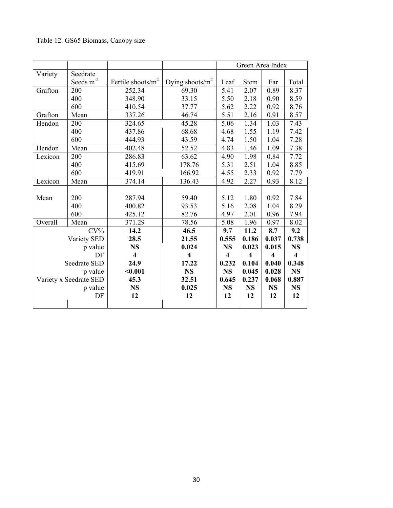## Table 12. GS65 Biomass, Canopy size

|         |                        |                         |                         |                         | Green Area Index        |                         |                         |
|---------|------------------------|-------------------------|-------------------------|-------------------------|-------------------------|-------------------------|-------------------------|
| Variety | Seedrate               |                         |                         |                         |                         |                         |                         |
|         | Seeds $m^{-2}$         | Fertile shoots/ $m^2$   | Dying shoots/ $m^2$     | Leaf                    | <b>Stem</b>             | Ear                     | Total                   |
| Grafton | 200                    | 252.34                  | 69.30                   | 5.41                    | 2.07                    | 0.89                    | 8.37                    |
|         | 400                    | 348.90                  | 33.15                   | 5.50                    | 2.18                    | 0.90                    | 8.59                    |
|         | 600                    | 410.54                  | 37.77                   | 5.62                    | 2.22                    | 0.92                    | 8.76                    |
| Grafton | Mean                   | 337.26                  | 46.74                   | 5.51                    | 2.16                    | 0.91                    | 8.57                    |
| Hendon  | 200                    | 324.65                  | 45.28                   | 5.06                    | 1.34                    | 1.03                    | 7.43                    |
|         | 400                    | 437.86                  | 68.68                   | 4.68                    | 1.55                    | 1.19                    | 7.42                    |
|         | 600                    | 444.93                  | 43.59                   | 4.74                    | 1.50                    | 1.04                    | 7.28                    |
| Hendon  | Mean                   | 402.48                  | 52.52                   | 4.83                    | 1.46                    | 1.09                    | 7.38                    |
| Lexicon | 200                    | 286.83                  | 63.62                   | 4.90                    | 1.98                    | 0.84                    | 7.72                    |
|         | 400                    | 415.69                  | 178.76                  | 5.31                    | 2.51                    | 1.04                    | 8.85                    |
|         | 600                    | 419.91                  | 166.92                  | 4.55                    | 2.33                    | 0.92                    | 7.79                    |
| Lexicon | Mean                   | 374.14                  | 136.43                  | 4.92                    | 2.27                    | 0.93                    | 8.12                    |
|         |                        |                         |                         |                         |                         |                         |                         |
| Mean    | 200                    | 287.94                  | 59.40                   | 5.12                    | 1.80                    | 0.92                    | 7.84                    |
|         | 400                    | 400.82                  | 93.53                   | 5.16                    | 2.08                    | 1.04                    | 8.29                    |
|         | 600                    | 425.12                  | 82.76                   | 4.97                    | 2.01                    | 0.96                    | 7.94                    |
| Overall | Mean                   | 371.29                  | 78.56                   | 5.08                    | 1.96                    | 0.97                    | 8.02                    |
|         | $CV\%$                 | 14.2                    | 46.5                    | 9.7                     | 11.2                    | 8.7                     | 9.2                     |
|         | Variety SED            | 28.5                    | 21.55                   | 0.555                   | 0.186                   | 0.037                   | 0.738                   |
|         | p value                | <b>NS</b>               | 0.024                   | <b>NS</b>               | 0.023                   | 0.015                   | <b>NS</b>               |
|         | DF                     | $\overline{\mathbf{4}}$ | $\overline{\mathbf{4}}$ | $\overline{\mathbf{4}}$ | $\overline{\mathbf{4}}$ | $\overline{\mathbf{4}}$ | $\overline{\mathbf{4}}$ |
|         | Seedrate SED           | 24.9                    | 17.22                   | 0.232                   | 0.104                   | 0.040                   | 0.348                   |
|         | p value                | $0.001$                 | <b>NS</b>               | <b>NS</b>               | 0.045                   | 0.028                   | <b>NS</b>               |
|         | Variety x Seedrate SED | 45.3                    | 32.51                   | 0.645                   | 0.237                   | 0.068                   | 0.887                   |
|         | p value                | <b>NS</b>               | 0.025                   | <b>NS</b>               | <b>NS</b>               | <b>NS</b>               | <b>NS</b>               |
|         | DF                     | 12                      | 12                      | 12                      | 12                      | 12                      | 12                      |
|         |                        |                         |                         |                         |                         |                         |                         |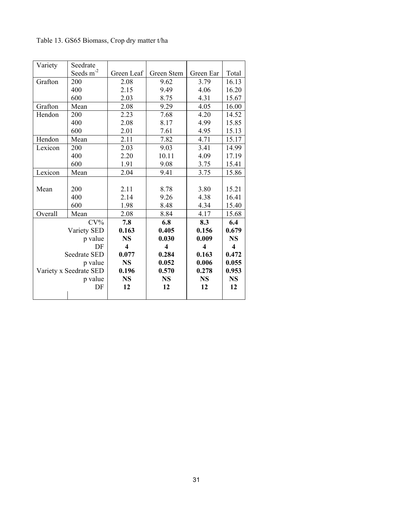| Table 13. GS65 Biomass, Crop dry matter t/ha |  |  |  |  |  |  |
|----------------------------------------------|--|--|--|--|--|--|
|----------------------------------------------|--|--|--|--|--|--|

| Variety | Seedrate               |                         |                         |                         |                         |
|---------|------------------------|-------------------------|-------------------------|-------------------------|-------------------------|
|         | Seeds m <sup>-2</sup>  | Green Leaf              | Green Stem              | Green Ear               | Total                   |
| Grafton | 200                    | 2.08                    | 9.62                    | 3.79                    | 16.13                   |
|         | 400                    | 2.15                    | 9.49                    | 4.06                    | 16.20                   |
|         | 600                    | 2.03                    | 8.75                    | 4.31                    | 15.67                   |
| Grafton | Mean                   | 2.08                    | 9.29                    | 4.05                    | 16.00                   |
| Hendon  | 200                    | 2.23                    | 7.68                    | 4.20                    | 14.52                   |
|         | 400                    | 2.08                    | 8.17                    | 4.99                    | 15.85                   |
|         | 600                    | 2.01                    | 7.61                    | 4.95                    | 15.13                   |
| Hendon  | Mean                   | 2.11                    | 7.82                    | 4.71                    | 15.17                   |
| Lexicon | 200                    | 2.03                    | 9.03                    | 3.41                    | 14.99                   |
|         | 400                    | 2.20                    | 10.11                   | 4.09                    | 17.19                   |
|         | 600                    | 1.91                    | 9.08                    | 3.75                    | 15.41                   |
| Lexicon | Mean                   | 2.04                    | 9.41                    | 3.75                    | 15.86                   |
|         |                        |                         |                         |                         |                         |
| Mean    | 200                    | 2.11                    | 8.78                    | 3.80                    | 15.21                   |
|         | 400                    | 2.14                    | 9.26                    | 4.38                    | 16.41                   |
|         | 600                    | 1.98                    | 8.48                    | 4.34                    | 15.40                   |
| Overall | Mean                   | 2.08                    | 8.84                    | 4.17                    | 15.68                   |
|         | $CV\%$                 | 7.8                     | 6.8                     | 8.3                     | 6.4                     |
|         | Variety SED            | 0.163                   | 0.405                   | 0.156                   | 0.679                   |
|         | p value                | <b>NS</b>               | 0.030                   | 0.009                   | <b>NS</b>               |
|         | DF                     | $\overline{\mathbf{4}}$ | $\overline{\mathbf{4}}$ | $\overline{\mathbf{4}}$ | $\overline{\mathbf{4}}$ |
|         | Seedrate SED           | 0.077                   | 0.284                   | 0.163                   | 0.472                   |
|         | p value                | <b>NS</b>               | 0.052                   | 0.006                   | 0.055                   |
|         | Variety x Seedrate SED | 0.196                   | 0.570                   | 0.278                   | 0.953                   |
|         | p value                | <b>NS</b>               | <b>NS</b>               | <b>NS</b>               | <b>NS</b>               |
|         | DF                     | 12                      | 12                      | 12                      | 12                      |
|         |                        |                         |                         |                         |                         |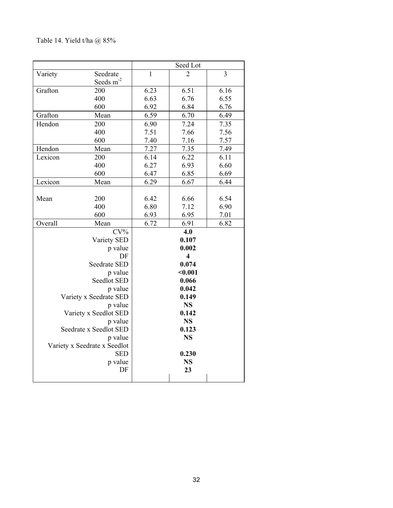## Table 14. Yield t/ha @ 85%

|          |                                                                                                                                                                                                                                                                                                                                       | Seed Lot                     |                                                                                                                                                                                                              |
|----------|---------------------------------------------------------------------------------------------------------------------------------------------------------------------------------------------------------------------------------------------------------------------------------------------------------------------------------------|------------------------------|--------------------------------------------------------------------------------------------------------------------------------------------------------------------------------------------------------------|
| Seedrate | $\mathbf{1}$                                                                                                                                                                                                                                                                                                                          | 2                            | 3                                                                                                                                                                                                            |
|          |                                                                                                                                                                                                                                                                                                                                       |                              |                                                                                                                                                                                                              |
| 200      | 6.23                                                                                                                                                                                                                                                                                                                                  | 6.51                         | 6.16                                                                                                                                                                                                         |
| 400      | 6.63                                                                                                                                                                                                                                                                                                                                  | 6.76                         | 6.55                                                                                                                                                                                                         |
| 600      | 6.92                                                                                                                                                                                                                                                                                                                                  | 6.84                         | 6.76                                                                                                                                                                                                         |
| Mean     | 6.59                                                                                                                                                                                                                                                                                                                                  | 6.70                         | 6.49                                                                                                                                                                                                         |
| 200      | 6.90                                                                                                                                                                                                                                                                                                                                  | 7.24                         | 7.35                                                                                                                                                                                                         |
| 400      |                                                                                                                                                                                                                                                                                                                                       | 7.66                         | 7.56                                                                                                                                                                                                         |
| 600      | 7.40                                                                                                                                                                                                                                                                                                                                  | 7.16                         | 7.57                                                                                                                                                                                                         |
| Mean     |                                                                                                                                                                                                                                                                                                                                       | 7.35                         | 7.49                                                                                                                                                                                                         |
| 200      | 6.14                                                                                                                                                                                                                                                                                                                                  | 6.22                         | 6.11                                                                                                                                                                                                         |
| 400      | 6.27                                                                                                                                                                                                                                                                                                                                  | 6.93                         | 6.60                                                                                                                                                                                                         |
|          | 6.47                                                                                                                                                                                                                                                                                                                                  | 6.85                         | 6.69                                                                                                                                                                                                         |
| Mean     | 6.29                                                                                                                                                                                                                                                                                                                                  | 6.67                         | 6.44                                                                                                                                                                                                         |
|          |                                                                                                                                                                                                                                                                                                                                       |                              |                                                                                                                                                                                                              |
| 200      | 6.42                                                                                                                                                                                                                                                                                                                                  | 6.66                         | 6.54                                                                                                                                                                                                         |
|          |                                                                                                                                                                                                                                                                                                                                       |                              | 6.90                                                                                                                                                                                                         |
|          | 6.93                                                                                                                                                                                                                                                                                                                                  |                              | 7.01                                                                                                                                                                                                         |
|          |                                                                                                                                                                                                                                                                                                                                       |                              | 6.82                                                                                                                                                                                                         |
|          |                                                                                                                                                                                                                                                                                                                                       |                              |                                                                                                                                                                                                              |
|          |                                                                                                                                                                                                                                                                                                                                       |                              |                                                                                                                                                                                                              |
|          |                                                                                                                                                                                                                                                                                                                                       |                              |                                                                                                                                                                                                              |
|          |                                                                                                                                                                                                                                                                                                                                       |                              |                                                                                                                                                                                                              |
|          |                                                                                                                                                                                                                                                                                                                                       |                              |                                                                                                                                                                                                              |
|          |                                                                                                                                                                                                                                                                                                                                       |                              |                                                                                                                                                                                                              |
|          |                                                                                                                                                                                                                                                                                                                                       |                              |                                                                                                                                                                                                              |
|          |                                                                                                                                                                                                                                                                                                                                       |                              |                                                                                                                                                                                                              |
|          |                                                                                                                                                                                                                                                                                                                                       |                              |                                                                                                                                                                                                              |
|          |                                                                                                                                                                                                                                                                                                                                       |                              |                                                                                                                                                                                                              |
|          |                                                                                                                                                                                                                                                                                                                                       |                              |                                                                                                                                                                                                              |
|          |                                                                                                                                                                                                                                                                                                                                       |                              |                                                                                                                                                                                                              |
|          |                                                                                                                                                                                                                                                                                                                                       |                              |                                                                                                                                                                                                              |
|          |                                                                                                                                                                                                                                                                                                                                       |                              |                                                                                                                                                                                                              |
|          |                                                                                                                                                                                                                                                                                                                                       |                              |                                                                                                                                                                                                              |
|          |                                                                                                                                                                                                                                                                                                                                       |                              |                                                                                                                                                                                                              |
|          |                                                                                                                                                                                                                                                                                                                                       |                              |                                                                                                                                                                                                              |
|          |                                                                                                                                                                                                                                                                                                                                       |                              |                                                                                                                                                                                                              |
|          | Seeds m <sup>-2</sup><br>600<br>400<br>600<br>Mean<br>$CV\%$<br>Variety SED<br>p value<br>DF<br><b>Seedrate SED</b><br>p value<br>Seedlot SED<br>p value<br>Variety x Seedrate SED<br>p value<br>Variety x Seedlot SED<br>p value<br>Seedrate x Seedlot SED<br>p value<br>Variety x Seedrate x Seedlot<br><b>SED</b><br>p value<br>DF | 7.51<br>7.27<br>6.80<br>6.72 | 7.12<br>6.95<br>6.91<br>4.0<br>0.107<br>0.002<br>$\overline{\mathbf{4}}$<br>0.074<br>$0.001$<br>0.066<br>0.042<br>0.149<br><b>NS</b><br>0.142<br><b>NS</b><br>0.123<br><b>NS</b><br>0.230<br><b>NS</b><br>23 |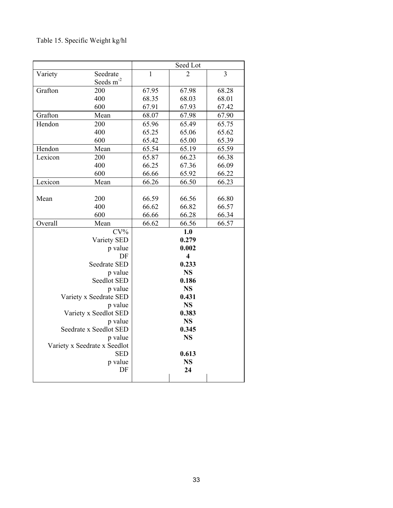# Table 15. Specific Weight kg/hl

|             |                                            | Seed Lot     |                         |       |
|-------------|--------------------------------------------|--------------|-------------------------|-------|
| Variety     | Seedrate                                   | $\mathbf{1}$ | 2                       | 3     |
|             | Seeds m <sup>-2</sup>                      |              |                         |       |
| Grafton     | 200                                        | 67.95        | 67.98                   | 68.28 |
|             | 400                                        | 68.35        | 68.03                   | 68.01 |
|             | 600                                        | 67.91        | 67.93                   | 67.42 |
| Grafton     | Mean                                       | 68.07        | 67.98                   | 67.90 |
| Hendon      | 200                                        | 65.96        | 65.49                   | 65.75 |
|             | 400                                        | 65.25        | 65.06                   | 65.62 |
|             | 600                                        | 65.42        | 65.00                   | 65.39 |
| Hendon      | Mean                                       | 65.54        | 65.19                   | 65.59 |
| Lexicon     | 200                                        | 65.87        | 66.23                   | 66.38 |
|             | 400                                        | 66.25        | 67.36                   | 66.09 |
|             | 600                                        | 66.66        | 65.92                   | 66.22 |
| Lexicon     | Mean                                       | 66.26        | 66.50                   | 66.23 |
|             |                                            |              |                         |       |
| Mean        | 200                                        | 66.59        | 66.56                   | 66.80 |
|             | 400                                        | 66.62        | 66.82                   | 66.57 |
|             | 600                                        | 66.66        | 66.28                   | 66.34 |
| Overall     | Mean                                       | 66.62        | 66.56                   | 66.57 |
|             | $CV\%$                                     |              | 1.0                     |       |
|             | Variety SED                                |              | 0.279                   |       |
|             | p value                                    |              | 0.002                   |       |
|             | DF                                         |              | $\overline{\mathbf{4}}$ |       |
|             | Seedrate SED                               |              | 0.233                   |       |
|             | p value                                    | <b>NS</b>    |                         |       |
| Seedlot SED |                                            | 0.186        |                         |       |
| p value     |                                            |              | <b>NS</b>               |       |
|             | Variety x Seedrate SED                     |              | 0.431                   |       |
|             | p value                                    |              | <b>NS</b>               |       |
|             | Variety x Seedlot SED                      |              | 0.383                   |       |
|             | p value                                    |              | <b>NS</b>               |       |
|             | Seedrate x Seedlot SED                     |              | 0.345                   |       |
|             | p value                                    |              | <b>NS</b>               |       |
|             | Variety x Seedrate x Seedlot<br><b>SED</b> |              | 0.613                   |       |
|             | p value                                    |              | <b>NS</b>               |       |
|             | DF                                         |              | 24                      |       |
|             |                                            |              |                         |       |
|             |                                            |              |                         |       |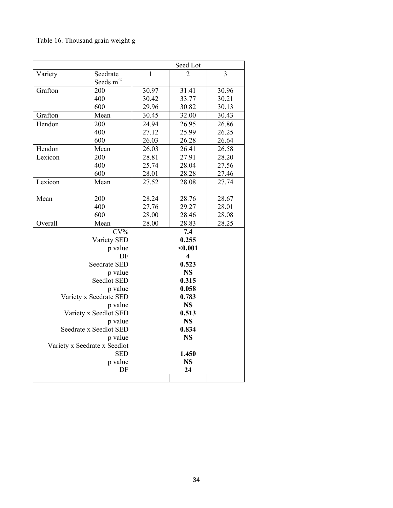# Table 16. Thousand grain weight g

|                       | Seed Lot                                                                                                                                                                                                                                                                                                     |                                  |                                                                                                                                                                                                                     |  |
|-----------------------|--------------------------------------------------------------------------------------------------------------------------------------------------------------------------------------------------------------------------------------------------------------------------------------------------------------|----------------------------------|---------------------------------------------------------------------------------------------------------------------------------------------------------------------------------------------------------------------|--|
| Seedrate              | $\mathbf{1}$                                                                                                                                                                                                                                                                                                 | 2                                | 3                                                                                                                                                                                                                   |  |
| Seeds m <sup>-2</sup> |                                                                                                                                                                                                                                                                                                              |                                  |                                                                                                                                                                                                                     |  |
| 200                   | 30.97                                                                                                                                                                                                                                                                                                        | 31.41                            | 30.96                                                                                                                                                                                                               |  |
| 400                   | 30.42                                                                                                                                                                                                                                                                                                        | 33.77                            | 30.21                                                                                                                                                                                                               |  |
| 600                   | 29.96                                                                                                                                                                                                                                                                                                        | 30.82                            | 30.13                                                                                                                                                                                                               |  |
| Mean                  | 30.45                                                                                                                                                                                                                                                                                                        | 32.00                            | 30.43                                                                                                                                                                                                               |  |
| 200                   | 24.94                                                                                                                                                                                                                                                                                                        | 26.95                            | 26.86                                                                                                                                                                                                               |  |
| 400                   | 27.12                                                                                                                                                                                                                                                                                                        | 25.99                            | 26.25                                                                                                                                                                                                               |  |
|                       | 26.03                                                                                                                                                                                                                                                                                                        | 26.28                            | 26.64                                                                                                                                                                                                               |  |
| Mean                  | 26.03                                                                                                                                                                                                                                                                                                        | 26.41                            | 26.58                                                                                                                                                                                                               |  |
| 200                   | 28.81                                                                                                                                                                                                                                                                                                        | 27.91                            | 28.20                                                                                                                                                                                                               |  |
| 400                   | 25.74                                                                                                                                                                                                                                                                                                        | 28.04                            | 27.56                                                                                                                                                                                                               |  |
| 600                   | 28.01                                                                                                                                                                                                                                                                                                        | 28.28                            | 27.46                                                                                                                                                                                                               |  |
| Mean                  |                                                                                                                                                                                                                                                                                                              | 28.08                            | 27.74                                                                                                                                                                                                               |  |
|                       |                                                                                                                                                                                                                                                                                                              |                                  |                                                                                                                                                                                                                     |  |
|                       | 28.24                                                                                                                                                                                                                                                                                                        | 28.76                            | 28.67                                                                                                                                                                                                               |  |
|                       |                                                                                                                                                                                                                                                                                                              |                                  | 28.01                                                                                                                                                                                                               |  |
|                       |                                                                                                                                                                                                                                                                                                              |                                  | 28.08                                                                                                                                                                                                               |  |
|                       |                                                                                                                                                                                                                                                                                                              |                                  | 28.25                                                                                                                                                                                                               |  |
|                       |                                                                                                                                                                                                                                                                                                              |                                  |                                                                                                                                                                                                                     |  |
|                       |                                                                                                                                                                                                                                                                                                              |                                  |                                                                                                                                                                                                                     |  |
|                       |                                                                                                                                                                                                                                                                                                              |                                  |                                                                                                                                                                                                                     |  |
|                       |                                                                                                                                                                                                                                                                                                              |                                  |                                                                                                                                                                                                                     |  |
|                       |                                                                                                                                                                                                                                                                                                              |                                  |                                                                                                                                                                                                                     |  |
|                       |                                                                                                                                                                                                                                                                                                              |                                  |                                                                                                                                                                                                                     |  |
|                       |                                                                                                                                                                                                                                                                                                              |                                  |                                                                                                                                                                                                                     |  |
|                       |                                                                                                                                                                                                                                                                                                              |                                  |                                                                                                                                                                                                                     |  |
|                       |                                                                                                                                                                                                                                                                                                              |                                  |                                                                                                                                                                                                                     |  |
|                       |                                                                                                                                                                                                                                                                                                              |                                  |                                                                                                                                                                                                                     |  |
|                       |                                                                                                                                                                                                                                                                                                              |                                  |                                                                                                                                                                                                                     |  |
|                       |                                                                                                                                                                                                                                                                                                              |                                  |                                                                                                                                                                                                                     |  |
|                       |                                                                                                                                                                                                                                                                                                              |                                  |                                                                                                                                                                                                                     |  |
|                       |                                                                                                                                                                                                                                                                                                              |                                  |                                                                                                                                                                                                                     |  |
|                       |                                                                                                                                                                                                                                                                                                              |                                  |                                                                                                                                                                                                                     |  |
|                       |                                                                                                                                                                                                                                                                                                              |                                  |                                                                                                                                                                                                                     |  |
|                       |                                                                                                                                                                                                                                                                                                              |                                  |                                                                                                                                                                                                                     |  |
|                       |                                                                                                                                                                                                                                                                                                              |                                  |                                                                                                                                                                                                                     |  |
|                       | 600<br>200<br>400<br>600<br>Mean<br>$CV\%$<br>Variety SED<br>p value<br>DF<br>Seedrate SED<br>p value<br>Seedlot SED<br>p value<br>Variety x Seedrate SED<br>p value<br>Variety x Seedlot SED<br>p value<br>Seedrate x Seedlot SED<br>p value<br>Variety x Seedrate x Seedlot<br><b>SED</b><br>p value<br>DF | 27.52<br>27.76<br>28.00<br>28.00 | 29.27<br>28.46<br>28.83<br>7.4<br>0.255<br>$0.001$<br>$\overline{\mathbf{4}}$<br>0.523<br><b>NS</b><br>0.315<br>0.058<br>0.783<br><b>NS</b><br>0.513<br><b>NS</b><br>0.834<br><b>NS</b><br>1.450<br><b>NS</b><br>24 |  |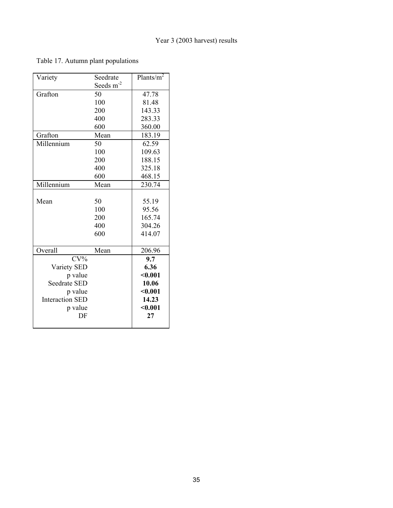Table 17. Autumn plant populations

| Variety                | Seedrate    | Plants/ $m^2$ |
|------------------------|-------------|---------------|
|                        | Seeds $m-2$ |               |
| Grafton                | 50          | 47.78         |
|                        | 100         | 81.48         |
|                        | 200         | 143.33        |
|                        | 400         | 283.33        |
|                        | 600         | 360.00        |
| Grafton                | Mean        | 183.19        |
| Millennium             | 50          | 62.59         |
|                        | 100         | 109.63        |
|                        | 200         | 188.15        |
|                        | 400         | 325.18        |
|                        | 600         | 468.15        |
| Millennium             | Mean        | 230.74        |
|                        |             |               |
| Mean                   | 50          | 55.19         |
|                        | 100         | 95.56         |
|                        | 200         | 165.74        |
|                        | 400         | 304.26        |
|                        | 600         | 414.07        |
|                        |             |               |
| Overall                | Mean        | 206.96        |
| $CV\%$                 |             | 9.7           |
| Variety SED            |             | 6.36          |
| p value                |             | $0.001$       |
| Seedrate SED           |             | 10.06         |
| p value                |             | $0.001$       |
| <b>Interaction SED</b> |             | 14.23         |
| p value                |             | $0.001$       |
| DF                     |             | 27            |
|                        |             |               |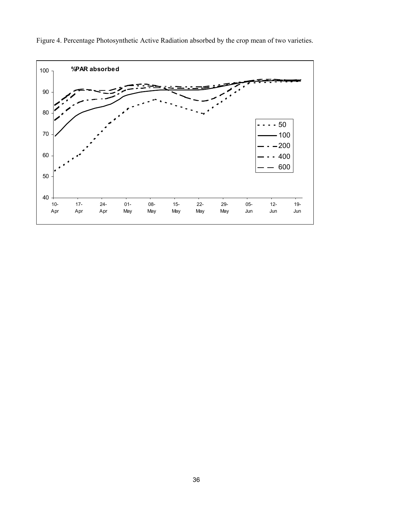

Figure 4. Percentage Photosynthetic Active Radiation absorbed by the crop mean of two varieties.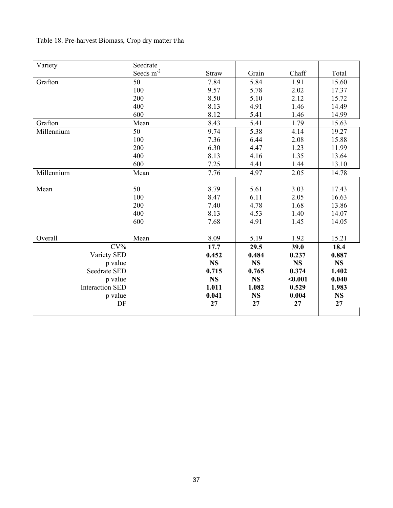# Table 18. Pre-harvest Biomass, Crop dry matter t/ha

| Variety                | Seedrate                     |              |           |           |           |
|------------------------|------------------------------|--------------|-----------|-----------|-----------|
|                        | Seeds $\mathrm{m}^\text{-2}$ | <b>Straw</b> | Grain     | Chaff     | Total     |
| Grafton                | 50                           | 7.84         | 5.84      | 1.91      | 15.60     |
|                        | 100                          | 9.57         | 5.78      | 2.02      | 17.37     |
|                        | 200                          | 8.50         | 5.10      | 2.12      | 15.72     |
|                        | 400                          | 8.13         | 4.91      | 1.46      | 14.49     |
|                        | 600                          | 8.12         | 5.41      | 1.46      | 14.99     |
| Grafton                | Mean                         | 8.43         | 5.41      | 1.79      | 15.63     |
| Millennium             | 50                           | 9.74         | 5.38      | 4.14      | 19.27     |
|                        | 100                          | 7.36         | 6.44      | 2.08      | 15.88     |
|                        | 200                          | 6.30         | 4.47      | 1.23      | 11.99     |
|                        | 400                          | 8.13         | 4.16      | 1.35      | 13.64     |
|                        | 600                          | 7.25         | 4.41      | 1.44      | 13.10     |
| Millennium             | Mean                         | 7.76         | 4.97      | 2.05      | 14.78     |
|                        |                              |              |           |           |           |
| Mean                   | 50                           | 8.79         | 5.61      | 3.03      | 17.43     |
|                        | 100                          | 8.47         | 6.11      | 2.05      | 16.63     |
|                        | 200                          | 7.40         | 4.78      | 1.68      | 13.86     |
|                        | 400                          | 8.13         | 4.53      | 1.40      | 14.07     |
|                        | 600                          | 7.68         | 4.91      | 1.45      | 14.05     |
|                        |                              |              |           |           |           |
| Overall                | Mean                         | 8.09         | 5.19      | 1.92      | 15.21     |
| $CV\%$                 |                              | 17.7         | 29.5      | 39.0      | 18.4      |
| Variety SED            |                              | 0.452        | 0.484     | 0.237     | 0.887     |
| p value                |                              | <b>NS</b>    | <b>NS</b> | <b>NS</b> | <b>NS</b> |
| Seedrate SED           |                              | 0.715        | 0.765     | 0.374     | 1.402     |
| p value                |                              | <b>NS</b>    | <b>NS</b> | $0.001$   | 0.040     |
| <b>Interaction SED</b> |                              | 1.011        | 1.082     | 0.529     | 1.983     |
| p value                |                              | 0.041        | <b>NS</b> | 0.004     | <b>NS</b> |
| DF                     |                              | 27           | 27        | 27        | 27        |
|                        |                              |              |           |           |           |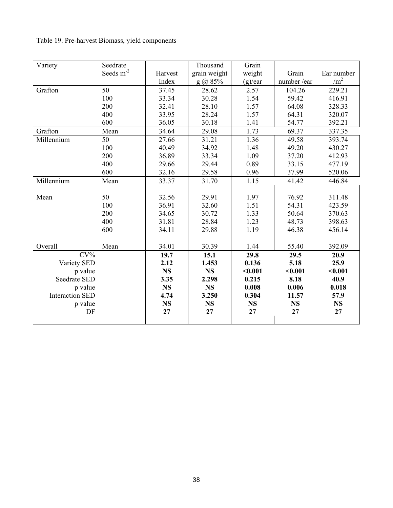Table 19. Pre-harvest Biomass, yield components

| Variety                | Seedrate       |           | Thousand     | Grain     |            |                 |
|------------------------|----------------|-----------|--------------|-----------|------------|-----------------|
|                        | Seeds $m^{-2}$ | Harvest   | grain weight | weight    | Grain      | Ear number      |
|                        |                | Index     | $g$ (a) 85%  | (g)/ear   | number/ear | /m <sup>2</sup> |
| Grafton                | 50             | 37.45     | 28.62        | 2.57      | 104.26     | 229.21          |
|                        | 100            | 33.34     | 30.28        | 1.54      | 59.42      | 416.91          |
|                        | 200            | 32.41     | 28.10        | 1.57      | 64.08      | 328.33          |
|                        | 400            | 33.95     | 28.24        | 1.57      | 64.31      | 320.07          |
|                        | 600            | 36.05     | 30.18        | 1.41      | 54.77      | 392.21          |
| Grafton                | Mean           | 34.64     | 29.08        | 1.73      | 69.37      | 337.35          |
| Millennium             | 50             | 27.66     | 31.21        | 1.36      | 49.58      | 393.74          |
|                        | 100            | 40.49     | 34.92        | 1.48      | 49.20      | 430.27          |
|                        | 200            | 36.89     | 33.34        | 1.09      | 37.20      | 412.93          |
|                        | 400            | 29.66     | 29.44        | 0.89      | 33.15      | 477.19          |
|                        | 600            | 32.16     | 29.58        | 0.96      | 37.99      | 520.06          |
| Millennium             | Mean           | 33.37     | 31.70        | 1.15      | 41.42      | 446.84          |
|                        |                |           |              |           |            |                 |
| Mean                   | 50             | 32.56     | 29.91        | 1.97      | 76.92      | 311.48          |
|                        | 100            | 36.91     | 32.60        | 1.51      | 54.31      | 423.59          |
|                        | 200            | 34.65     | 30.72        | 1.33      | 50.64      | 370.63          |
|                        | 400            | 31.81     | 28.84        | 1.23      | 48.73      | 398.63          |
|                        | 600            | 34.11     | 29.88        | 1.19      | 46.38      | 456.14          |
|                        |                |           |              |           |            |                 |
| Overall                | Mean           | 34.01     | 30.39        | 1.44      | 55.40      | 392.09          |
| $CV\%$                 |                | 19.7      | 15.1         | 29.8      | 29.5       | 20.9            |
| Variety SED            |                | 2.12      | 1.453        | 0.136     | 5.18       | 25.9            |
| p value                |                | <b>NS</b> | <b>NS</b>    | < 0.001   | $0.001$    | $0.001$         |
| Seedrate SED           |                | 3.35      | 2.298        | 0.215     | 8.18       | 40.9            |
| p value                |                | <b>NS</b> | <b>NS</b>    | 0.008     | 0.006      | 0.018           |
| <b>Interaction SED</b> |                | 4.74      | 3.250        | 0.304     | 11.57      | 57.9            |
| p value                |                | <b>NS</b> | <b>NS</b>    | <b>NS</b> | <b>NS</b>  | <b>NS</b>       |
| DF                     |                | 27        | 27           | 27        | 27         | 27              |
|                        |                |           |              |           |            |                 |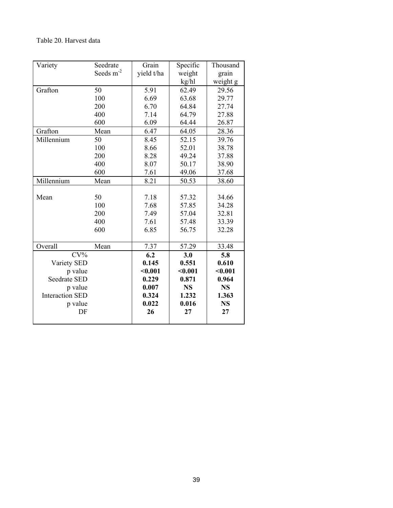### Table 20. Harvest data

| Variety                | Seedrate              | Grain      | Specific  | Thousand  |
|------------------------|-----------------------|------------|-----------|-----------|
|                        | Seeds m <sup>-2</sup> | yield t/ha | weight    | grain     |
|                        |                       |            | kg/hl     | weight g  |
| Grafton                | 50                    | 5.91       | 62.49     | 29.56     |
|                        | 100                   | 6.69       | 63.68     | 29.77     |
|                        | 200                   | 6.70       | 64.84     | 27.74     |
|                        | 400                   | 7.14       | 64.79     | 27.88     |
|                        | 600                   | 6.09       | 64.44     | 26.87     |
| Grafton                | Mean                  | 6.47       | 64.05     | 28.36     |
| Millennium             | 50                    | 8.45       | 52.15     | 39.76     |
|                        | 100                   | 8.66       | 52.01     | 38.78     |
|                        | 200                   | 8.28       | 49.24     | 37.88     |
|                        | 400                   | 8.07       | 50.17     | 38.90     |
|                        | 600                   | 7.61       | 49.06     | 37.68     |
| Millennium             | Mean                  | 8.21       | 50.53     | 38.60     |
|                        |                       |            |           |           |
| Mean                   | 50                    | 7.18       | 57.32     | 34.66     |
|                        | 100                   | 7.68       | 57.85     | 34.28     |
|                        | 200                   | 7.49       | 57.04     | 32.81     |
|                        | 400                   | 7.61       | 57.48     | 33.39     |
|                        | 600                   | 6.85       | 56.75     | 32.28     |
|                        |                       |            |           |           |
| Overall                | Mean                  | 7.37       | 57.29     | 33.48     |
| $CV\%$                 |                       | 6.2        | 3.0       | 5.8       |
| Variety SED            |                       | 0.145      | 0.551     | 0.610     |
| p value                |                       | $0.001$    | $0.001$   | $0.001$   |
| <b>Seedrate SED</b>    |                       | 0.229      | 0.871     | 0.964     |
| p value                |                       | 0.007      | <b>NS</b> | <b>NS</b> |
| <b>Interaction SED</b> |                       | 0.324      | 1.232     | 1.363     |
| p value                |                       | 0.022      | 0.016     | <b>NS</b> |
| DF                     |                       | 26         | 27        | 27        |
|                        |                       |            |           |           |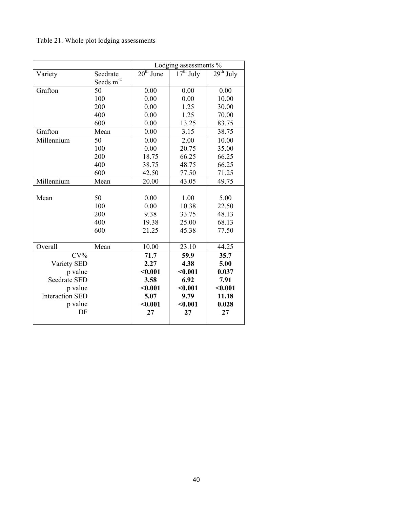## Table 21. Whole plot lodging assessments

|                        |                       | Lodging assessments % |             |             |  |
|------------------------|-----------------------|-----------------------|-------------|-------------|--|
| Variety                | Seedrate              | $20th$ June           | $17th$ July | $29th$ July |  |
|                        | Seeds m <sup>-2</sup> |                       |             |             |  |
| Grafton                | 50                    | 0.00                  | 0.00        | 0.00        |  |
|                        | 100                   | 0.00                  | 0.00        | 10.00       |  |
|                        | 200                   | 0.00                  | 1.25        | 30.00       |  |
|                        | 400                   | 0.00                  | 1.25        | 70.00       |  |
|                        | 600                   | 0.00                  | 13.25       | 83.75       |  |
| Grafton                | Mean                  | 0.00                  | 3.15        | 38.75       |  |
| Millennium             | 50                    | 0.00                  | 2.00        | 10.00       |  |
|                        | 100                   | 0.00                  | 20.75       | 35.00       |  |
|                        | 200                   | 18.75                 | 66.25       | 66.25       |  |
|                        | 400                   | 38.75                 | 48.75       | 66.25       |  |
|                        | 600                   | 42.50                 | 77.50       | 71.25       |  |
| Millennium             | Mean                  | 20.00                 | 43.05       | 49.75       |  |
|                        |                       |                       |             |             |  |
| Mean                   | 50                    | 0.00                  | 1.00        | 5.00        |  |
|                        | 100                   | 0.00                  | 10.38       | 22.50       |  |
|                        | 200                   | 9.38                  | 33.75       | 48.13       |  |
|                        | 400                   | 19.38                 | 25.00       | 68.13       |  |
|                        | 600                   | 21.25                 | 45.38       | 77.50       |  |
|                        |                       |                       |             |             |  |
| Overall                | Mean                  | 10.00                 | 23.10       | 44.25       |  |
| $CV\%$                 |                       | 71.7                  | 59.9        | 35.7        |  |
| Variety SED            |                       | 2.27                  | 4.38        | 5.00        |  |
| p value                |                       | $0.001$               | $0.001$     | 0.037       |  |
| Seedrate SED           |                       | 3.58                  | 6.92        | 7.91        |  |
| p value                |                       | $0.001$               | $0.001$     | $0.001$     |  |
| <b>Interaction SED</b> |                       | 5.07                  | 9.79        | 11.18       |  |
| p value                |                       | $0.001$               | $0.001$     | 0.028       |  |
| DF                     |                       | 27                    | 27          | 27          |  |
|                        |                       |                       |             |             |  |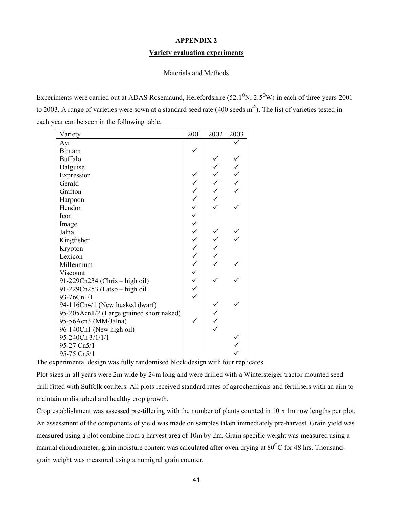### **APPENDIX 2**

### **Variety evaluation experiments**

### Materials and Methods

Experiments were carried out at ADAS Rosemaund, Herefordshire (52.1<sup>o</sup>N, 2.5<sup>o</sup>W) in each of three years 2001 to 2003. A range of varieties were sown at a standard seed rate (400 seeds m<sup>-2</sup>). The list of varieties tested in each year can be seen in the following table.

| Variety                                  | 2001             | 2002   | 2003 |
|------------------------------------------|------------------|--------|------|
| Ayr                                      |                  |        |      |
| <b>Birnam</b>                            |                  |        |      |
| <b>Buffalo</b>                           |                  |        |      |
| Dalguise                                 |                  |        |      |
| Expression                               |                  |        | くくくく |
| Gerald                                   |                  |        |      |
| Grafton                                  |                  |        |      |
| Harpoon                                  |                  | へくくくくく |      |
| Hendon                                   |                  |        |      |
| Icon                                     | へんへんへんへんへんへんへんへん |        |      |
| Image                                    |                  |        |      |
| Jalna                                    |                  |        |      |
| Kingfisher                               |                  |        |      |
| Krypton                                  |                  |        |      |
| Lexicon                                  |                  | くくくく   |      |
| Millennium                               |                  |        |      |
| Viscount                                 |                  |        |      |
| 91-229Cn234 (Chris – high oil)           |                  |        |      |
| 91-229Cn253 (Fatso - high oil            |                  |        |      |
| 93-76Cn1/1                               |                  |        |      |
| 94-116Cn4/1 (New husked dwarf)           |                  |        |      |
| 95-205Acn1/2 (Large grained short naked) |                  |        |      |
| 95-56Acn3 (MM/Jalna)                     |                  |        |      |
| 96-140Cn1 (New high oil)                 |                  |        |      |
| 95-240Cn 3/1/1/1                         |                  |        |      |
| 95-27 Cn5/1                              |                  |        |      |
| 95-75 Cn5/1                              |                  |        |      |

The experimental design was fully randomised block design with four replicates.

Plot sizes in all years were 2m wide by 24m long and were drilled with a Wintersteiger tractor mounted seed drill fitted with Suffolk coulters. All plots received standard rates of agrochemicals and fertilisers with an aim to maintain undisturbed and healthy crop growth.

Crop establishment was assessed pre-tillering with the number of plants counted in 10 x 1m row lengths per plot. An assessment of the components of yield was made on samples taken immediately pre-harvest. Grain yield was measured using a plot combine from a harvest area of 10m by 2m. Grain specific weight was measured using a manual chondrometer, grain moisture content was calculated after oven drying at 80<sup>o</sup>C for 48 hrs. Thousandgrain weight was measured using a numigral grain counter.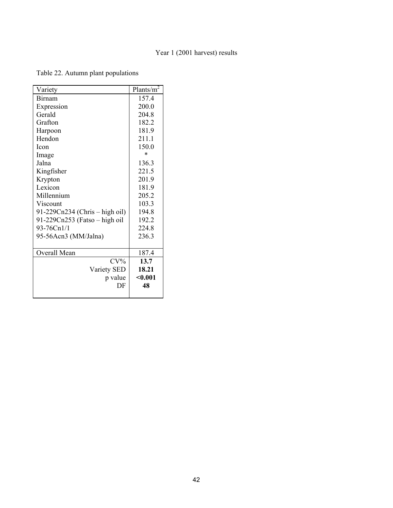### Year 1 (2001 harvest) results

Table 22. Autumn plant populations

| Variety                        | Plants/ $\overline{m^2}$ |
|--------------------------------|--------------------------|
| <b>Birnam</b>                  | 157.4                    |
| Expression                     | 200.0                    |
| Gerald                         | 204.8                    |
| Grafton                        | 182.2                    |
| Harpoon                        | 181.9                    |
| Hendon                         | 211.1                    |
| <b>Icon</b>                    | 150.0                    |
| Image                          | $\ast$                   |
| Jalna                          | 136.3                    |
| Kingfisher                     | 221.5                    |
| Krypton                        | 201.9                    |
| Lexicon                        | 181.9                    |
| Millennium                     | 205.2                    |
| Viscount                       | 103.3                    |
| 91-229Cn234 (Chris – high oil) | 194.8                    |
| 91-229Cn253 (Fatso - high oil  | 192.2                    |
| 93-76Cn1/1                     | 224.8                    |
| 95-56Acn3 (MM/Jalna)           | 236.3                    |
| Overall Mean                   | 187.4                    |
| $CV\%$                         | 13.7                     |
| Variety SED                    | 18.21                    |
| p value                        | $0.001$                  |
| DF                             | 48                       |
|                                |                          |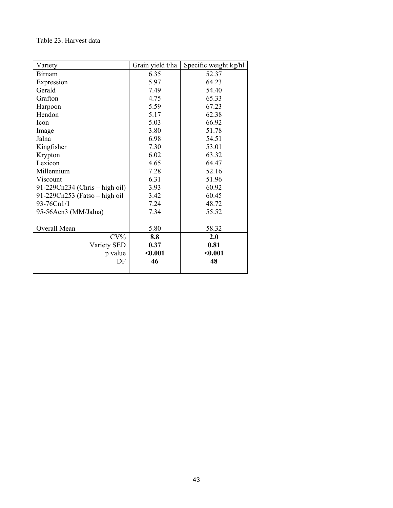### Table 23. Harvest data

| Variety                        | Grain yield t/ha | Specific weight kg/hl |
|--------------------------------|------------------|-----------------------|
| <b>Birnam</b>                  | 6.35             | 52.37                 |
| Expression                     | 5.97             | 64.23                 |
| Gerald                         | 7.49             | 54.40                 |
| Grafton                        | 4.75             | 65.33                 |
| Harpoon                        | 5.59             | 67.23                 |
| Hendon                         | 5.17             | 62.38                 |
| Icon                           | 5.03             | 66.92                 |
| Image                          | 3.80             | 51.78                 |
| Jalna                          | 6.98             | 54.51                 |
| Kingfisher                     | 7.30             | 53.01                 |
| Krypton                        | 6.02             | 63.32                 |
| Lexicon                        | 4.65             | 64.47                 |
| Millennium                     | 7.28             | 52.16                 |
| Viscount                       | 6.31             | 51.96                 |
| 91-229Cn234 (Chris – high oil) | 3.93             | 60.92                 |
| 91-229Cn253 (Fatso - high oil  | 3.42             | 60.45                 |
| 93-76Cn1/1                     | 7.24             | 48.72                 |
| 95-56Acn3 (MM/Jalna)           | 7.34             | 55.52                 |
|                                |                  |                       |
| Overall Mean                   | 5.80             | 58.32                 |
| $CV\%$                         | 8.8              | 2.0                   |
| Variety SED                    | 0.37             | 0.81                  |
| p value                        | $0.001$          | < 0.001               |
| DF                             | 46               | 48                    |
|                                |                  |                       |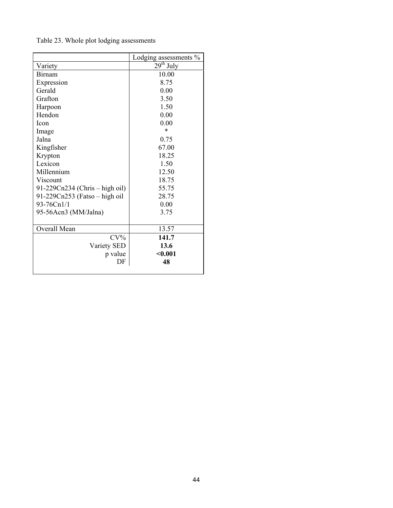|                                | Lodging assessments % |
|--------------------------------|-----------------------|
| Variety                        | $29th$ July           |
| Birnam                         | 10.00                 |
| Expression                     | 8.75                  |
| Gerald                         | 0.00                  |
| Grafton                        | 3.50                  |
| Harpoon                        | 1.50                  |
| Hendon                         | 0.00                  |
| <b>Icon</b>                    | 0.00                  |
| Image                          | *                     |
| Jalna                          | 0.75                  |
| Kingfisher                     | 67.00                 |
| Krypton                        | 18.25                 |
| Lexicon                        | 1.50                  |
| Millennium                     | 12.50                 |
| Viscount                       | 18.75                 |
| 91-229Cn234 (Chris – high oil) | 55.75                 |
| 91-229Cn253 (Fatso – high oil  | 28.75                 |
| 93-76Cn1/1                     | 0.00                  |
| 95-56Acn3 (MM/Jalna)           | 3.75                  |
|                                |                       |
| Overall Mean                   | 13.57                 |
| $CV\%$                         | 141.7                 |
| Variety SED                    | 13.6                  |
| p value                        | $0.001$               |
| DF                             | 48                    |
|                                |                       |

Table 23. Whole plot lodging assessments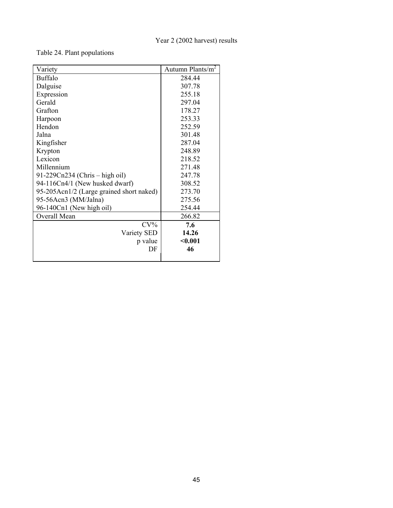### Table 24. Plant populations

| Variety                                  | Autumn Plants/m <sup>2</sup> |
|------------------------------------------|------------------------------|
| <b>Buffalo</b>                           | 284.44                       |
| Dalguise                                 | 307.78                       |
| Expression                               | 255.18                       |
| Gerald                                   | 297.04                       |
| Grafton                                  | 178.27                       |
| Harpoon                                  | 253.33                       |
| Hendon                                   | 252.59                       |
| Jalna                                    | 301.48                       |
| Kingfisher                               | 287.04                       |
| Krypton                                  | 248.89                       |
| Lexicon                                  | 218.52                       |
| Millennium                               | 271.48                       |
| 91-229Cn234 (Chris – high oil)           | 247.78                       |
| 94-116Cn4/1 (New husked dwarf)           | 308.52                       |
| 95-205Acn1/2 (Large grained short naked) | 273.70                       |
| 95-56Acn3 (MM/Jalna)                     | 275.56                       |
| 96-140Cn1 (New high oil)                 | 254.44                       |
| Overall Mean                             | 266.82                       |
| $CV\%$                                   | 7.6                          |
| Variety SED                              | 14.26                        |
| p value                                  | < 0.001                      |
| DF                                       | 46                           |
|                                          |                              |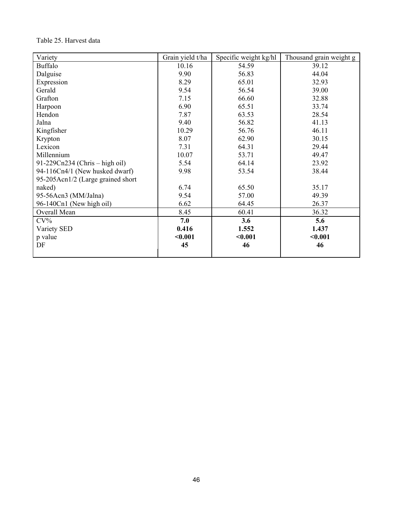### Table 25. Harvest data

| Variety                           | Grain yield t/ha | Specific weight kg/hl | Thousand grain weight g |
|-----------------------------------|------------------|-----------------------|-------------------------|
| <b>Buffalo</b>                    | 10.16            | 54.59                 | 39.12                   |
| Dalguise                          | 9.90             | 56.83                 | 44.04                   |
| Expression                        | 8.29             | 65.01                 | 32.93                   |
| Gerald                            | 9.54             | 56.54                 | 39.00                   |
| Grafton                           | 7.15             | 66.60                 | 32.88                   |
| Harpoon                           | 6.90             | 65.51                 | 33.74                   |
| Hendon                            | 7.87             | 63.53                 | 28.54                   |
| Jalna                             | 9.40             | 56.82                 | 41.13                   |
| Kingfisher                        | 10.29            | 56.76                 | 46.11                   |
| Krypton                           | 8.07             | 62.90                 | 30.15                   |
| Lexicon                           | 7.31             | 64.31                 | 29.44                   |
| Millennium                        | 10.07            | 53.71                 | 49.47                   |
| 91-229Cn234 (Chris – high oil)    | 5.54             | 64.14                 | 23.92                   |
| 94-116Cn4/1 (New husked dwarf)    | 9.98             | 53.54                 | 38.44                   |
| 95-205Acn1/2 (Large grained short |                  |                       |                         |
| naked)                            | 6.74             | 65.50                 | 35.17                   |
| 95-56Acn3 (MM/Jalna)              | 9.54             | 57.00                 | 49.39                   |
| 96-140Cn1 (New high oil)          | 6.62             | 64.45                 | 26.37                   |
| Overall Mean                      | 8.45             | 60.41                 | 36.32                   |
| $CV\%$                            | 7.0              | 3.6                   | 5.6                     |
| Variety SED                       | 0.416            | 1.552                 | 1.437                   |
| p value                           | $0.001$          | < 0.001               | $0.001$                 |
| DF                                | 45               | 46                    | 46                      |
|                                   |                  |                       |                         |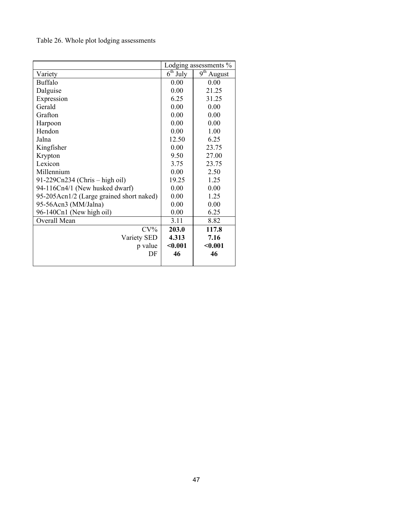Table 26. Whole plot lodging assessments

|                                          |            | Lodging assessments %      |
|------------------------------------------|------------|----------------------------|
| Variety                                  | $6th$ July | $\overline{9^{th}}$ August |
| <b>Buffalo</b>                           | 0.00       | 0.00                       |
| Dalguise                                 | 0.00       | 21.25                      |
| Expression                               | 6.25       | 31.25                      |
| Gerald                                   | 0.00       | 0.00                       |
| Grafton                                  | 0.00       | 0.00                       |
| Harpoon                                  | 0.00       | 0.00                       |
| Hendon                                   | 0.00       | 1.00                       |
| Jalna                                    | 12.50      | 6.25                       |
| Kingfisher                               | 0.00       | 23.75                      |
| Krypton                                  | 9.50       | 27.00                      |
| Lexicon                                  | 3.75       | 23.75                      |
| Millennium                               | 0.00       | 2.50                       |
| 91-229Cn234 (Chris – high oil)           | 19.25      | 1.25                       |
| 94-116Cn4/1 (New husked dwarf)           | 0.00       | 0.00                       |
| 95-205Acn1/2 (Large grained short naked) | 0.00       | 1.25                       |
| 95-56Acn3 (MM/Jalna)                     | 0.00       | 0.00                       |
| 96-140Cn1 (New high oil)                 | 0.00       | 6.25                       |
| Overall Mean                             | 3.11       | 8.82                       |
| $CV\%$                                   | 203.0      | 117.8                      |
| Variety SED                              | 4.313      | 7.16                       |
| p value                                  | < 0.001    | $0.001$                    |
| DF                                       | 46         | 46                         |
|                                          |            |                            |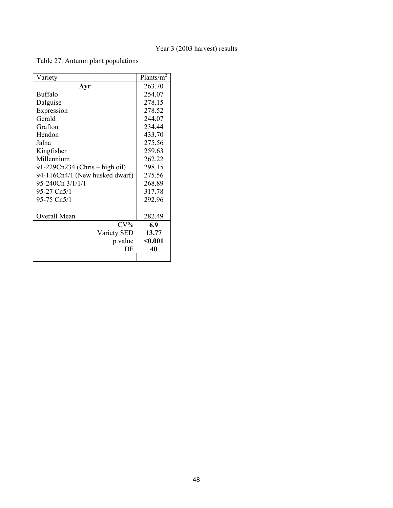Table 27. Autumn plant populations

| Variety                        | Plants/ $m^2$ |
|--------------------------------|---------------|
| Ayr                            | 263.70        |
| <b>Buffalo</b>                 | 254.07        |
| Dalguise                       | 278.15        |
| Expression                     | 278.52        |
| Gerald                         | 244.07        |
| Grafton                        | 234.44        |
| Hendon                         | 433.70        |
| Jalna                          | 275.56        |
| Kingfisher                     | 259.63        |
| Millennium                     | 262.22        |
| 91-229Cn234 (Chris – high oil) | 298.15        |
| 94-116Cn4/1 (New husked dwarf) | 275.56        |
| 95-240Cn 3/1/1/1               | 268.89        |
| 95-27 Cn5/1                    | 317.78        |
| 95-75 Cn5/1                    | 292.96        |
|                                |               |
| Overall Mean                   | 282.49        |
| $CV\%$                         | 6.9           |
| Variety SED                    | 13.77         |
| p value                        | $0.001$       |
| DF                             | 40            |
|                                |               |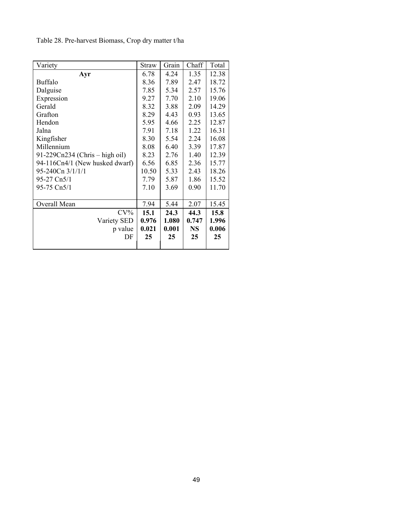| Variety                        | <b>Straw</b> | Grain | Chaff     | Total |
|--------------------------------|--------------|-------|-----------|-------|
| Ayr                            | 6.78         | 4.24  | 1.35      | 12.38 |
| <b>Buffalo</b>                 | 8.36         | 7.89  | 2.47      | 18.72 |
| Dalguise                       | 7.85         | 5.34  | 2.57      | 15.76 |
| Expression                     | 9.27         | 7.70  | 2.10      | 19.06 |
| Gerald                         | 8.32         | 3.88  | 2.09      | 14.29 |
| Grafton                        | 8.29         | 4.43  | 0.93      | 13.65 |
| Hendon                         | 5.95         | 4.66  | 2.25      | 12.87 |
| Jalna                          | 7.91         | 7.18  | 1.22      | 16.31 |
| Kingfisher                     | 8.30         | 5.54  | 2.24      | 16.08 |
| Millennium                     | 8.08         | 6.40  | 3.39      | 17.87 |
| 91-229Cn234 (Chris – high oil) | 8.23         | 2.76  | 1.40      | 12.39 |
| 94-116Cn4/1 (New husked dwarf) | 6.56         | 6.85  | 2.36      | 15.77 |
| 95-240Cn 3/1/1/1               | 10.50        | 5.33  | 2.43      | 18.26 |
| 95-27 Cn5/1                    | 7.79         | 5.87  | 1.86      | 15.52 |
| 95-75 Cn5/1                    | 7.10         | 3.69  | 0.90      | 11.70 |
|                                |              |       |           |       |
| Overall Mean                   | 7.94         | 5.44  | 2.07      | 15.45 |
| $CV\%$                         | 15.1         | 24.3  | 44.3      | 15.8  |
| Variety SED                    | 0.976        | 1.080 | 0.747     | 1.996 |
| p value                        | 0.021        | 0.001 | <b>NS</b> | 0.006 |
| DF                             | 25           | 25    | 25        | 25    |
|                                |              |       |           |       |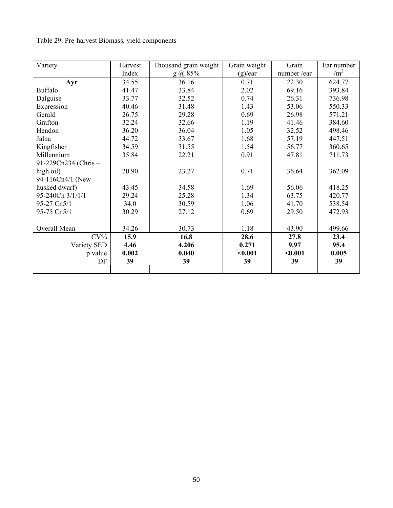## Table 29. Pre-harvest Biomass, yield components

| Variety             | Harvest | Thousand grain weight | Grain weight | Grain      | Ear number      |
|---------------------|---------|-----------------------|--------------|------------|-----------------|
|                     | Index   | $g$ (a) 85%           | (g)/ear      | number/ear | /m <sup>2</sup> |
| Ayr                 | 34.55   | 36.16                 | 0.71         | 22.30      | 624.77          |
| <b>Buffalo</b>      | 41.47   | 33.84                 | 2.02         | 69.16      | 393.84          |
| Dalguise            | 33.77   | 32.52                 | 0.74         | 26.31      | 736.98          |
| Expression          | 40.46   | 31.48                 | 1.43         | 53.06      | 550.33          |
| Gerald              | 26.75   | 29.28                 | 0.69         | 26.98      | 571.21          |
| Grafton             | 32.24   | 32.66                 | 1.19         | 41.46      | 384.60          |
| Hendon              | 36.20   | 36.04                 | 1.05         | 32.52      | 498.46          |
| Jalna               | 44.72   | 33.67                 | 1.68         | 57.19      | 447.51          |
| Kingfisher          | 34.59   | 31.55                 | 1.54         | 56.77      | 360.65          |
| Millennium          | 35.84   | 22.21                 | 0.91         | 47.81      | 711.73          |
| 91-229Cn234 (Chris- |         |                       |              |            |                 |
| high oil)           | 20.90   | 23.27                 | 0.71         | 36.64      | 362.09          |
| 94-116Cn4/1 (New    |         |                       |              |            |                 |
| husked dwarf)       | 43.45   | 34.58                 | 1.69         | 56.06      | 418.25          |
| 95-240Cn 3/1/1/1    | 29.24   | 25.28                 | 1.34         | 63.75      | 420.77          |
| 95-27 Cn5/1         | 34.0    | 30.59                 | 1.06         | 41.70      | 538.54          |
| 95-75 Cn5/1         | 30.29   | 27.12                 | 0.69         | 29.50      | 472.93          |
|                     |         |                       |              |            |                 |
| Overall Mean        | 34.26   | 30.73                 | 1.18         | 43.90      | 499.66          |
| $CV\%$              | 15.9    | 16.8                  | 28.6         | 27.8       | 23.4            |
| Variety SED         | 4.46    | 4.206                 | 0.271        | 9.97       | 95.4            |
| p value             | 0.002   | 0.040                 | $0.001$      | $0.001$    | 0.005           |
| DF                  | 39      | 39                    | 39           | 39         | 39              |
|                     |         |                       |              |            |                 |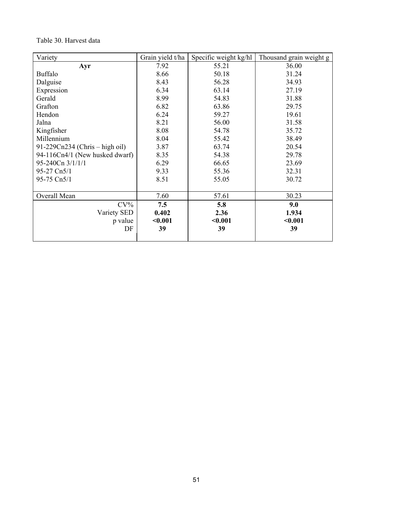### Table 30. Harvest data

| Variety                        | Grain yield t/ha | Specific weight kg/hl | Thousand grain weight g |
|--------------------------------|------------------|-----------------------|-------------------------|
| Ayr                            | 7.92             | 55.21                 | 36.00                   |
| <b>Buffalo</b>                 | 8.66             | 50.18                 | 31.24                   |
| Dalguise                       | 8.43             | 56.28                 | 34.93                   |
| Expression                     | 6.34             | 63.14                 | 27.19                   |
| Gerald                         | 8.99             | 54.83                 | 31.88                   |
| Grafton                        | 6.82             | 63.86                 | 29.75                   |
| Hendon                         | 6.24             | 59.27                 | 19.61                   |
| Jalna                          | 8.21             | 56.00                 | 31.58                   |
| Kingfisher                     | 8.08             | 54.78                 | 35.72                   |
| Millennium                     | 8.04             | 55.42                 | 38.49                   |
| 91-229Cn234 (Chris – high oil) | 3.87             | 63.74                 | 20.54                   |
| 94-116Cn4/1 (New husked dwarf) | 8.35             | 54.38                 | 29.78                   |
| 95-240Cn 3/1/1/1               | 6.29             | 66.65                 | 23.69                   |
| 95-27 Cn5/1                    | 9.33             | 55.36                 | 32.31                   |
| 95-75 Cn5/1                    | 8.51             | 55.05                 | 30.72                   |
|                                |                  |                       |                         |
| Overall Mean                   | 7.60             | 57.61                 | 30.23                   |
| $CV\%$                         | 7.5              | 5.8                   | 9.0                     |
| Variety SED                    | 0.402            | 2.36                  | 1.934                   |
| p value                        | < 0.001          | < 0.001               | < 0.001                 |
| DF                             | 39               | 39                    | 39                      |
|                                |                  |                       |                         |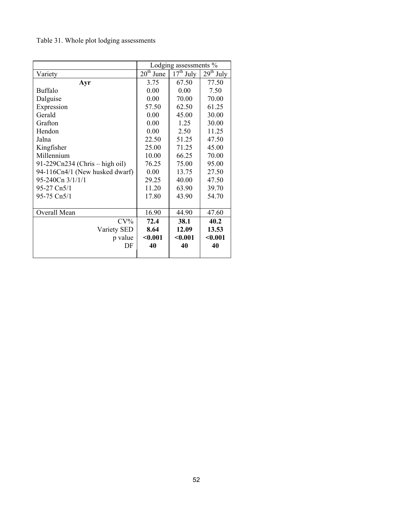# Table 31. Whole plot lodging assessments

|                                | Lodging assessments $%$ |                                    |             |  |
|--------------------------------|-------------------------|------------------------------------|-------------|--|
| Variety                        | $20th$ June             | $\overline{17}$ <sup>th</sup> July | $29th$ July |  |
| Ayr                            | 3.75                    | 67.50                              | 77.50       |  |
| <b>Buffalo</b>                 | 0.00                    | 0.00                               | 7.50        |  |
| Dalguise                       | 0.00                    | 70.00                              | 70.00       |  |
| Expression                     | 57.50                   | 62.50                              | 61.25       |  |
| Gerald                         | 0.00                    | 45.00                              | 30.00       |  |
| Grafton                        | 0.00                    | 1.25                               | 30.00       |  |
| Hendon                         | 0.00                    | 2.50                               | 11.25       |  |
| Jalna                          | 22.50                   | 51.25                              | 47.50       |  |
| Kingfisher                     | 25.00                   | 71.25                              | 45.00       |  |
| Millennium                     | 10.00                   | 66.25                              | 70.00       |  |
| 91-229Cn234 (Chris – high oil) | 76.25                   | 75.00                              | 95.00       |  |
| 94-116Cn4/1 (New husked dwarf) | 0.00                    | 13.75                              | 27.50       |  |
| 95-240Cn 3/1/1/1               | 29.25                   | 40.00                              | 47.50       |  |
| 95-27 Cn5/1                    | 11.20                   | 63.90                              | 39.70       |  |
| 95-75 Cn5/1                    | 17.80                   | 43.90                              | 54.70       |  |
|                                |                         |                                    |             |  |
| Overall Mean                   | 16.90                   | 44.90                              | 47.60       |  |
| $CV\%$                         | 72.4                    | 38.1                               | 40.2        |  |
| Variety SED                    | 8.64                    | 12.09                              | 13.53       |  |
| p value                        | $0.001$                 | $0.001$                            | $0.001$     |  |
| DF                             | 40                      | 40                                 | 40          |  |
|                                |                         |                                    |             |  |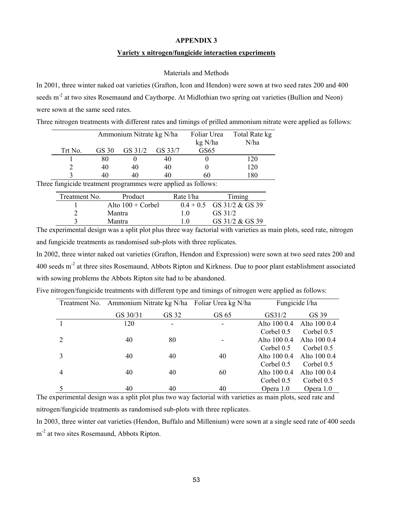#### **APPENDIX 3**

### **Variety x nitrogen/fungicide interaction experiments**

#### Materials and Methods

In 2001, three winter naked oat varieties (Grafton, Icon and Hendon) were sown at two seed rates 200 and 400 seeds m<sup>-2</sup> at two sites Rosemaund and Caythorpe. At Midlothian two spring oat varieties (Bullion and Neon) were sown at the same seed rates.

|  |  |  | Three nitrogen treatments with different rates and timings of prilled ammonium nitrate were applied as follows: |
|--|--|--|-----------------------------------------------------------------------------------------------------------------|
|  |  |  |                                                                                                                 |

|         |       | Ammonium Nitrate kg N/ha |         | Foliar Urea<br>kg N/ha | Total Rate kg<br>N/ha |
|---------|-------|--------------------------|---------|------------------------|-----------------------|
| Trt No. | GS 30 | GS 31/2                  | GS 33/7 | GS65                   |                       |
|         | 80    |                          | 40      |                        | 120                   |
|         | 40    | 40                       | 40      |                        | 120                   |
|         | 40    | 40                       | 40      | 60                     | 180                   |

Three fungicide treatment programmes were applied as follows:

| Treatment No. | Product                    | Rate l/ha | Timing                      |
|---------------|----------------------------|-----------|-----------------------------|
|               | Alto $100 + \text{Corbel}$ |           | $0.4 + 0.5$ GS 31/2 & GS 39 |
|               | Mantra                     | 1 O       | GS 31/2                     |
|               | Mantra                     |           | GS 31/2 & GS 39             |

The experimental design was a split plot plus three way factorial with varieties as main plots, seed rate, nitrogen and fungicide treatments as randomised sub-plots with three replicates.

In 2002, three winter naked oat varieties (Grafton, Hendon and Expression) were sown at two seed rates 200 and 400 seeds m<sup>-2</sup> at three sites Rosemaund, Abbots Ripton and Kirkness. Due to poor plant establishment associated with sowing problems the Abbots Ripton site had to be abandoned.

| Treatment No. |          | Ammonium Nitrate kg N/ha Foliar Urea kg N/ha |       |              | Fungicide l/ha |
|---------------|----------|----------------------------------------------|-------|--------------|----------------|
|               | GS 30/31 | GS 32                                        | GS 65 | GS31/2       | GS 39          |
|               | 120      |                                              |       | Alto 100 0.4 | Alto 100 0.4   |
|               |          |                                              |       | Corbel 0.5   | Corbel 0.5     |
|               | 40       | 80                                           |       | Alto 100 0.4 | Alto 100 0.4   |
|               |          |                                              |       | Corbel $0.5$ | Corbel $0.5$   |
|               | 40       | 40                                           | 40    | Alto 100 0.4 | Alto 100 0.4   |
|               |          |                                              |       | Corbel 0.5   | Corbel $0.5$   |
| 4             | 40       | 40                                           | 60    | Alto 100 0.4 | Alto 100 0.4   |
|               |          |                                              |       | Corbel 0.5   | Corbel 0.5     |
|               | 40       | 40                                           | 40    | Opera 1.0    | Opera 1.0      |

Five nitrogen/fungicide treatments with different type and timings of nitrogen were applied as follows:

The experimental design was a split plot plus two way factorial with varieties as main plots, seed rate and nitrogen/fungicide treatments as randomised sub-plots with three replicates.

In 2003, three winter oat varieties (Hendon, Buffalo and Millenium) were sown at a single seed rate of 400 seeds m<sup>-2</sup> at two sites Rosemaund, Abbots Ripton.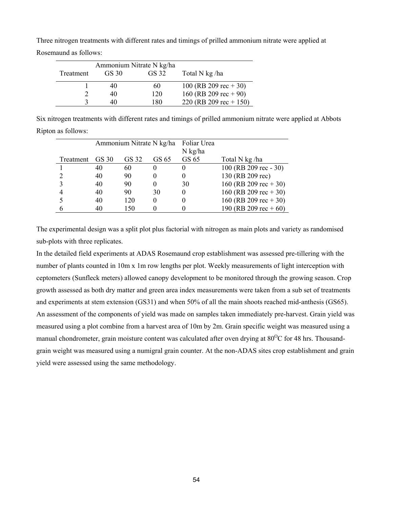Three nitrogen treatments with different rates and timings of prilled ammonium nitrate were applied at Rosemaund as follows:

|           | Ammonium Nitrate N kg/ha |       |                         |
|-----------|--------------------------|-------|-------------------------|
| Treatment | GS 30                    | GS 32 | Total N kg/ha           |
|           | 40                       | 60    | 100 (RB 209 rec $+30$ ) |
|           | 40                       | 120   | 160 (RB 209 rec + 90)   |
|           | 40                       | 180   | 220 (RB 209 rec + 150)  |

Six nitrogen treatments with different rates and timings of prilled ammonium nitrate were applied at Abbots Ripton as follows:

|           | Ammonium Nitrate N kg/ha |       | Foliar Urea |           |                         |
|-----------|--------------------------|-------|-------------|-----------|-------------------------|
|           |                          |       |             | $N$ kg/ha |                         |
| Treatment | GS 30                    | GS 32 | GS 65       | GS 65     | Total N kg/ha           |
|           | 40                       | 60    | $\theta$    |           | 100 (RB 209 rec - 30)   |
| ↑         | 40                       | 90    |             |           | 130 (RB 209 rec)        |
| 3         | 40                       | 90    | $_{0}$      | 30        | 160 (RB 209 rec $+30$ ) |
|           | 40                       | 90    | 30          |           | 160 (RB 209 rec $+30$ ) |
|           | 40                       | 120   | $\theta$    |           | 160 (RB 209 rec $+30$ ) |
|           | 40                       | 150   |             |           | 190 (RB 209 rec + 60)   |

The experimental design was a split plot plus factorial with nitrogen as main plots and variety as randomised sub-plots with three replicates.

In the detailed field experiments at ADAS Rosemaund crop establishment was assessed pre-tillering with the number of plants counted in 10m x 1m row lengths per plot. Weekly measurements of light interception with ceptometers (Sunfleck meters) allowed canopy development to be monitored through the growing season. Crop growth assessed as both dry matter and green area index measurements were taken from a sub set of treatments and experiments at stem extension (GS31) and when 50% of all the main shoots reached mid-anthesis (GS65). An assessment of the components of yield was made on samples taken immediately pre-harvest. Grain yield was measured using a plot combine from a harvest area of 10m by 2m. Grain specific weight was measured using a manual chondrometer, grain moisture content was calculated after oven drying at  $80^{\circ}$ C for 48 hrs. Thousandgrain weight was measured using a numigral grain counter. At the non-ADAS sites crop establishment and grain yield were assessed using the same methodology.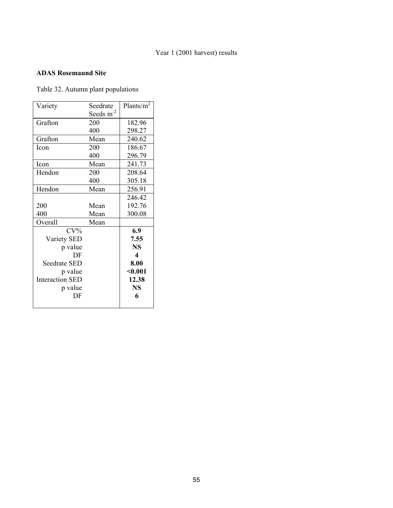### Year 1 (2001 harvest) results

## **ADAS Rosemaund Site**

Table 32. Autumn plant populations

| Variety                | Seedrate    | Plants/ $m^2$    |
|------------------------|-------------|------------------|
|                        | Seeds $m-2$ |                  |
| Grafton                | 200         | 182.96           |
|                        | 400         | 298.27           |
| Grafton                | Mean        | 240.62           |
| <b>Icon</b>            | 200         | 186.67           |
|                        | 400         | 296.79           |
| Icon                   | Mean        | 241.73           |
| Hendon                 | 200         | 208.64           |
|                        | 400         | 305.18           |
| Hendon                 | Mean        | 256.91           |
|                        |             | 246.42           |
| 200                    | Mean        | 192.76           |
| 400                    | Mean        | 300.08           |
| Overall                | Mean        |                  |
| $CV\%$                 |             | 6.9              |
| Variety SED            |             | 7.55             |
| p value                |             | <b>NS</b>        |
| DF                     |             | $\boldsymbol{4}$ |
| Seedrate SED           |             | 8.00             |
| p value                |             | < 0.001          |
| <b>Interaction SED</b> |             | 12.38            |
| p value                |             | <b>NS</b>        |
| DF                     |             | 6                |
|                        |             |                  |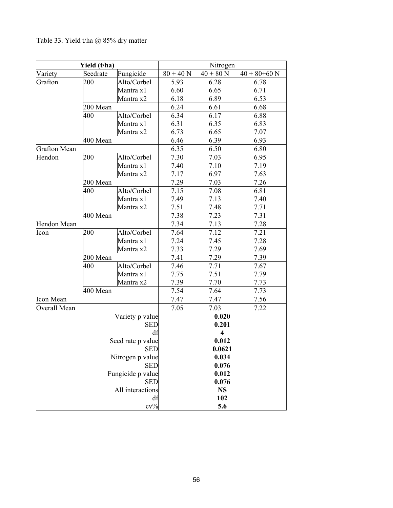| Yield (t/ha)       |          | Nitrogen          |             |                         |                  |
|--------------------|----------|-------------------|-------------|-------------------------|------------------|
| Variety            | Seedrate | Fungicide         | $80 + 40 N$ | $40 + 80$ N             | $40 + 80 + 60$ N |
| Grafton            | 200      | Alto/Corbel       | 5.93        | 6.28                    | 6.78             |
|                    |          | Mantra x1         | 6.60        | 6.65                    | 6.71             |
|                    |          | Mantra x2         | 6.18        | 6.89                    | 6.53             |
|                    | 200 Mean |                   | 6.24        | 6.61                    | 6.68             |
|                    | 400      | Alto/Corbel       | 6.34        | 6.17                    | 6.88             |
|                    |          | Mantra x1         | 6.31        | 6.35                    | 6.83             |
|                    |          | Mantra x2         | 6.73        | 6.65                    | 7.07             |
|                    | 400 Mean |                   | 6.46        | 6.39                    | 6.93             |
| Grafton Mean       |          |                   | 6.35        | 6.50                    | 6.80             |
| Hendon             | 200      | Alto/Corbel       | 7.30        | 7.03                    | 6.95             |
|                    |          | Mantra x1         | 7.40        | 7.10                    | 7.19             |
|                    |          | Mantra x2         | 7.17        | 6.97                    | 7.63             |
|                    | 200 Mean |                   | 7.29        | 7.03                    | 7.26             |
|                    | 400      | Alto/Corbel       | 7.15        | 7.08                    | 6.81             |
|                    |          | Mantra x1         | 7.49        | 7.13                    | 7.40             |
|                    |          | Mantra x2         | 7.51        | 7.48                    | 7.71             |
|                    | 400 Mean |                   | 7.38        | 7.23                    | 7.31             |
| <b>Hendon Mean</b> |          |                   | 7.34        | 7.13                    | 7.28             |
| Icon               | 200      | Alto/Corbel       | 7.64        | 7.12                    | 7.21             |
|                    |          | Mantra x1         | 7.24        | 7.45                    | 7.28             |
|                    |          | Mantra x2         | 7.33        | 7.29                    | 7.69             |
|                    |          | 200 Mean          |             | 7.29                    | 7.39             |
|                    | 400      | Alto/Corbel       | 7.46        | 7.71                    | 7.67             |
|                    |          | Mantra x1         | 7.75        | 7.51                    | 7.79             |
|                    |          | Mantra x2         | 7.39        | 7.70                    | 7.73             |
|                    |          | 400 Mean          |             | 7.64                    | 7.73             |
| Icon Mean          |          |                   | 7.47        | 7.47                    | 7.56             |
| Overall Mean       |          |                   | 7.05        | 7.03                    | 7.22             |
|                    |          | Variety p value   |             | 0.020                   |                  |
|                    |          | <b>SED</b>        |             | 0.201                   |                  |
|                    |          | df                |             | $\overline{\mathbf{4}}$ |                  |
|                    |          | Seed rate p value |             | 0.012                   |                  |
|                    |          | SED               |             | 0.0621                  |                  |
| Nitrogen p value   |          |                   |             | 0.034                   |                  |
|                    |          | <b>SED</b>        |             | 0.076                   |                  |
|                    |          | Fungicide p value |             | 0.012                   |                  |
|                    |          | <b>SED</b>        |             | 0.076                   |                  |
|                    |          | All interactions  |             | <b>NS</b>               |                  |
|                    |          | df                |             | 102                     |                  |
|                    |          | $cv\%$            |             | 5.6                     |                  |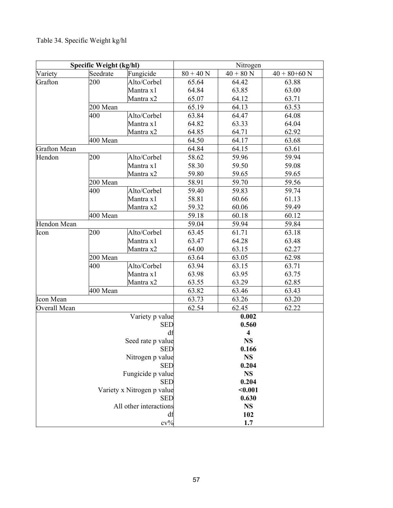# Table 34. Specific Weight kg/hl

| Specific Weight (kg/hl) |          | Nitrogen                                 |             |                         |                  |
|-------------------------|----------|------------------------------------------|-------------|-------------------------|------------------|
| Variety                 | Seedrate | Fungicide                                | $80 + 40 N$ | $40 + 80$ N             | $40 + 80 + 60$ N |
| Grafton                 | 200      | Alto/Corbel                              | 65.64       | 64.42                   | 63.88            |
|                         |          | Mantra x1                                | 64.84       | 63.85                   | 63.00            |
|                         |          | Mantra x2                                | 65.07       | 64.12                   | 63.71            |
|                         | 200 Mean |                                          | 65.19       | 64.13                   | 63.53            |
|                         | 400      | Alto/Corbel                              | 63.84       | 64.47                   | 64.08            |
|                         |          | Mantra x1                                | 64.82       | 63.33                   | 64.04            |
|                         |          | Mantra x2                                | 64.85       | 64.71                   | 62.92            |
|                         | 400 Mean |                                          | 64.50       | 64.17                   | 63.68            |
| <b>Grafton Mean</b>     |          |                                          | 64.84       | 64.15                   | 63.61            |
| Hendon                  | 200      | Alto/Corbel                              | 58.62       | 59.96                   | 59.94            |
|                         |          | Mantra x1                                | 58.30       | 59.50                   | 59.08            |
|                         |          | Mantra x2                                | 59.80       | 59.65                   | 59.65            |
|                         | 200 Mean |                                          | 58.91       | 59.70                   | 59.56            |
|                         | 400      | Alto/Corbel                              | 59.40       | 59.83                   | 59.74            |
|                         |          | Mantra x1                                | 58.81       | 60.66                   | 61.13            |
|                         |          | Mantra x2                                | 59.32       | 60.06                   | 59.49            |
|                         | 400 Mean |                                          | 59.18       | 60.18                   | 60.12            |
| Hendon Mean             |          |                                          | 59.04       | 59.94                   | 59.84            |
| Icon                    | 200      | Alto/Corbel                              | 63.45       | 61.71                   | 63.18            |
|                         |          | Mantra x1                                | 63.47       | 64.28                   | 63.48            |
|                         |          | Mantra x2                                | 64.00       | 63.15                   | 62.27            |
|                         | 200 Mean |                                          | 63.64       | 63.05                   | 62.98            |
|                         | 400      | Alto/Corbel                              | 63.94       | 63.15                   | 63.71            |
|                         |          | Mantra x1                                | 63.98       | 63.95                   | 63.75            |
|                         |          | Mantra x2                                | 63.55       | 63.29                   | 62.85            |
|                         | 400 Mean |                                          | 63.82       | 63.46                   | 63.43            |
| <b>Icon Mean</b>        |          |                                          | 63.73       | 63.26                   | 63.20            |
| Overall Mean            |          |                                          | 62.54       | 62.45                   | 62.22            |
|                         |          | Variety p value                          |             | 0.002                   |                  |
|                         |          | <b>SED</b>                               |             | 0.560                   |                  |
|                         |          | df                                       |             | $\overline{\mathbf{4}}$ |                  |
|                         |          | Seed rate p value                        |             | <b>NS</b>               |                  |
|                         |          | <b>SED</b>                               |             | 0.166                   |                  |
|                         |          | Nitrogen p value                         |             | <b>NS</b>               |                  |
|                         |          | <b>SED</b>                               |             | 0.204                   |                  |
|                         |          | Fungicide p value                        |             | <b>NS</b>               |                  |
|                         |          | <b>SED</b>                               |             | 0.204                   |                  |
|                         |          | Variety x Nitrogen p value<br><b>SED</b> |             | $0.001$<br>0.630        |                  |
|                         |          | All other interactions                   |             | <b>NS</b>               |                  |
|                         |          | df                                       |             | 102                     |                  |
|                         |          | $cv\%$                                   |             | 1.7                     |                  |
|                         |          |                                          |             |                         |                  |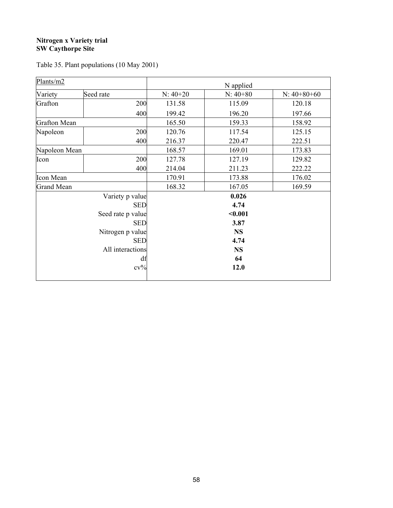### **Nitrogen x Variety trial SW Caythorpe Site**

| Plants/m2           |                   | N applied  |            |               |  |
|---------------------|-------------------|------------|------------|---------------|--|
| Variety             | Seed rate         | $N: 40+20$ | $N: 40+80$ | $N: 40+80+60$ |  |
| Grafton             | 200               | 131.58     | 115.09     | 120.18        |  |
|                     | 400               | 199.42     | 196.20     | 197.66        |  |
| <b>Grafton Mean</b> |                   | 165.50     | 159.33     | 158.92        |  |
| Napoleon            | 200               | 120.76     | 117.54     | 125.15        |  |
|                     | 400               | 216.37     | 220.47     | 222.51        |  |
| Napoleon Mean       |                   | 168.57     | 169.01     | 173.83        |  |
| Icon                | 200               | 127.78     | 127.19     | 129.82        |  |
|                     | 400               | 214.04     | 211.23     | 222.22        |  |
| Icon Mean           |                   | 170.91     | 173.88     | 176.02        |  |
| <b>Grand Mean</b>   |                   | 168.32     | 167.05     | 169.59        |  |
|                     | Variety p value   |            | 0.026      |               |  |
|                     | <b>SED</b>        |            | 4.74       |               |  |
|                     | Seed rate p value | $0.001$    |            |               |  |
|                     | <b>SED</b>        | 3.87       |            |               |  |
|                     | Nitrogen p value  | <b>NS</b>  |            |               |  |
|                     | <b>SED</b>        |            | 4.74       |               |  |
|                     | All interactions  |            | <b>NS</b>  |               |  |
|                     | df                |            | 64         |               |  |
|                     | $cv\%$            |            | 12.0       |               |  |
|                     |                   |            |            |               |  |

Table 35. Plant populations (10 May 2001)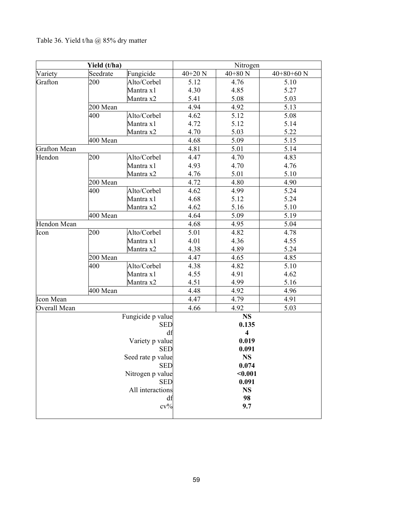## Table 36. Yield t/ha @ 85% dry matter

| Yield (t/ha)        |          | Nitrogen          |             |                         |              |
|---------------------|----------|-------------------|-------------|-------------------------|--------------|
| Variety             | Seedrate | Fungicide         | $40 + 20$ N | $40 + 80$ N             | $40+80+60$ N |
| Grafton             | 200      | Alto/Corbel       | 5.12        | 4.76                    | 5.10         |
|                     |          | Mantra x1         | 4.30        | 4.85                    | 5.27         |
|                     |          | Mantra x2         | 5.41        | 5.08                    | 5.03         |
|                     | 200 Mean |                   | 4.94        | 4.92                    | 5.13         |
|                     | 400      | Alto/Corbel       | 4.62        | 5.12                    | 5.08         |
|                     |          | Mantra x1         | 4.72        | 5.12                    | 5.14         |
|                     |          | Mantra x2         | 4.70        | 5.03                    | 5.22         |
|                     | 400 Mean |                   | 4.68        | 5.09                    | 5.15         |
| <b>Grafton Mean</b> |          |                   | 4.81        | 5.01                    | 5.14         |
| Hendon              | 200      | Alto/Corbel       | 4.47        | 4.70                    | 4.83         |
|                     |          | Mantra x1         | 4.93        | 4.70                    | 4.76         |
|                     |          | Mantra x2         | 4.76        | 5.01                    | 5.10         |
|                     | 200 Mean |                   | 4.72        | 4.80                    | 4.90         |
|                     | 400      | Alto/Corbel       | 4.62        | 4.99                    | 5.24         |
|                     |          | Mantra x1         | 4.68        | 5.12                    | 5.24         |
|                     |          | Mantra x2         | 4.62        | 5.16                    | 5.10         |
|                     | 400 Mean |                   | 4.64        | 5.09                    | 5.19         |
| Hendon Mean         |          |                   | 4.68        | 4.95                    | 5.04         |
| Icon                | 200      | Alto/Corbel       | 5.01        | 4.82                    | 4.78         |
|                     |          | Mantra x1         | 4.01        | 4.36                    | 4.55         |
|                     |          | Mantra x2         | 4.38        | 4.89                    | 5.24         |
|                     | 200 Mean |                   | 4.47        | 4.65                    | 4.85         |
|                     | 400      | Alto/Corbel       | 4.38        | 4.82                    | 5.10         |
|                     |          | Mantra x1         | 4.55        | 4.91                    | 4.62         |
|                     |          | Mantra x2         | 4.51        | 4.99                    | 5.16         |
|                     | 400 Mean |                   | 4.48        | 4.92                    | 4.96         |
| <b>Icon Mean</b>    |          |                   | 4.47        | 4.79                    | 4.91         |
| Overall Mean        |          |                   | 4.66        | 4.92                    | 5.03         |
|                     |          | Fungicide p value |             | <b>NS</b>               |              |
|                     |          | <b>SED</b>        |             | 0.135                   |              |
|                     |          | df                |             | $\overline{\mathbf{4}}$ |              |
|                     |          | Variety p value   |             | 0.019                   |              |
|                     |          | <b>SED</b>        |             | 0.091                   |              |
|                     |          | Seed rate p value |             | <b>NS</b>               |              |
|                     |          | <b>SED</b>        |             | 0.074                   |              |
|                     |          | Nitrogen p value  |             | $0.001$                 |              |
|                     |          | <b>SED</b>        |             | 0.091                   |              |
|                     |          | All interactions  |             | <b>NS</b>               |              |
|                     |          | df                |             | 98                      |              |
|                     |          | $cv\%$            |             | 9.7                     |              |
|                     |          |                   |             |                         |              |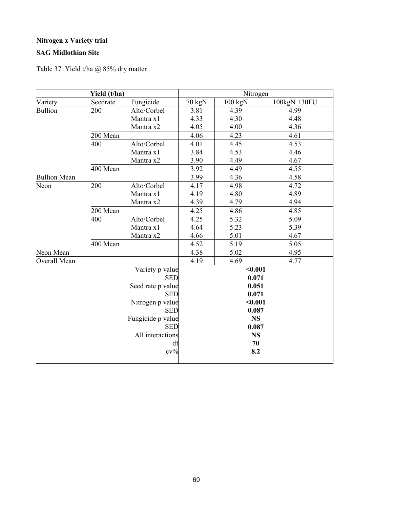## **Nitrogen x Variety trial**

## **SAG Midlothian Site**

Table 37. Yield t/ha @ 85% dry matter

| Yield (t/ha)        |          | Nitrogen          |        |           |              |
|---------------------|----------|-------------------|--------|-----------|--------------|
| Variety             | Seedrate | Fungicide         | 70 kgN | $100$ kgN | 100kgN +30FU |
| <b>Bullion</b>      | 200      | Alto/Corbel       | 3.81   | 4.39      | 4.99         |
|                     |          | Mantra x1         | 4.33   | 4.30      | 4.48         |
|                     |          | Mantra x2         | 4.05   | 4.00      | 4.36         |
|                     | 200 Mean |                   | 4.06   | 4.23      | 4.61         |
|                     | 400      | Alto/Corbel       | 4.01   | 4.45      | 4.53         |
|                     |          | Mantra x1         | 3.84   | 4.53      | 4.46         |
|                     |          | Mantra x2         | 3.90   | 4.49      | 4.67         |
|                     | 400 Mean |                   | 3.92   | 4.49      | 4.55         |
| <b>Bullion Mean</b> |          |                   | 3.99   | 4.36      | 4.58         |
| Neon                | 200      | Alto/Corbel       | 4.17   | 4.98      | 4.72         |
|                     |          | Mantra x1         | 4.19   | 4.80      | 4.89         |
|                     |          | Mantra x2         | 4.39   | 4.79      | 4.94         |
|                     | 200 Mean |                   | 4.25   | 4.86      | 4.85         |
|                     | 400      | Alto/Corbel       | 4.25   | 5.32      | 5.09         |
|                     |          | Mantra x1         | 4.64   | 5.23      | 5.39         |
|                     |          | Mantra x2         | 4.66   | 5.01      | 4.67         |
|                     | 400 Mean |                   | 4.52   | 5.19      | 5.05         |
| Neon Mean           |          |                   | 4.38   | 5.02      | 4.95         |
| Overall Mean        |          |                   | 4.19   | 4.69      | 4.77         |
|                     |          | Variety p value   |        | < 0.001   |              |
|                     |          | <b>SED</b>        |        | 0.071     |              |
|                     |          | Seed rate p value |        | 0.051     |              |
|                     |          | <b>SED</b>        |        | 0.071     |              |
|                     |          | Nitrogen p value  |        | $0.001$   |              |
|                     |          | <b>SED</b>        |        | 0.087     |              |
|                     |          | Fungicide p value |        | <b>NS</b> |              |
|                     |          | <b>SED</b>        |        | 0.087     |              |
|                     |          | All interactions  |        | <b>NS</b> |              |
|                     |          | df                |        | 70        |              |
|                     |          | $cv\%$            |        | 8.2       |              |
|                     |          |                   |        |           |              |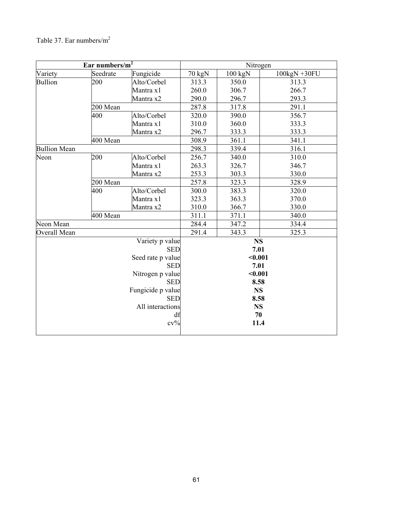# Table 37. Ear numbers/m2

| Ear numbers/ $m^2$  |          | Nitrogen                                                                                                                                                                  |                                                                                                         |         |              |  |
|---------------------|----------|---------------------------------------------------------------------------------------------------------------------------------------------------------------------------|---------------------------------------------------------------------------------------------------------|---------|--------------|--|
| Variety             | Seedrate | Fungicide                                                                                                                                                                 | 70 kgN                                                                                                  | 100 kgN | 100kgN +30FU |  |
| <b>Bullion</b>      | 200      | Alto/Corbel                                                                                                                                                               | 313.3                                                                                                   | 350.0   | 313.3        |  |
|                     |          | Mantra x1                                                                                                                                                                 | 260.0                                                                                                   | 306.7   | 266.7        |  |
|                     |          | Mantra x2                                                                                                                                                                 | 290.0                                                                                                   | 296.7   | 293.3        |  |
|                     | 200 Mean |                                                                                                                                                                           | 287.8                                                                                                   | 317.8   | 291.1        |  |
|                     | 400      | Alto/Corbel                                                                                                                                                               | 320.0                                                                                                   | 390.0   | 356.7        |  |
|                     |          | Mantra x1                                                                                                                                                                 | 310.0                                                                                                   | 360.0   | 333.3        |  |
|                     |          | Mantra x2                                                                                                                                                                 | 296.7                                                                                                   | 333.3   | 333.3        |  |
|                     | 400 Mean |                                                                                                                                                                           | 308.9                                                                                                   | 361.1   | 341.1        |  |
| <b>Bullion Mean</b> |          |                                                                                                                                                                           | 298.3                                                                                                   | 339.4   | 316.1        |  |
| Neon                | 200      | Alto/Corbel                                                                                                                                                               | 256.7                                                                                                   | 340.0   | 310.0        |  |
|                     |          | Mantra x1                                                                                                                                                                 | 263.3                                                                                                   | 326.7   | 346.7        |  |
|                     |          | Mantra x2                                                                                                                                                                 | 253.3                                                                                                   | 303.3   | 330.0        |  |
|                     | 200 Mean |                                                                                                                                                                           |                                                                                                         | 323.3   | 328.9        |  |
|                     | 400      | Alto/Corbel                                                                                                                                                               | 300.0                                                                                                   | 383.3   | 320.0        |  |
|                     |          | Mantra x1                                                                                                                                                                 | 323.3                                                                                                   | 363.3   | 370.0        |  |
|                     |          | Mantra x2                                                                                                                                                                 | 310.0                                                                                                   | 366.7   | 330.0        |  |
|                     | 400 Mean |                                                                                                                                                                           | 311.1                                                                                                   | 371.1   | 340.0        |  |
| Neon Mean           |          |                                                                                                                                                                           | 284.4                                                                                                   | 347.2   | 334.4        |  |
| Overall Mean        |          |                                                                                                                                                                           | 291.4                                                                                                   | 343.3   | 325.3        |  |
|                     |          | Variety p value<br><b>SED</b><br>Seed rate p value<br><b>SED</b><br>Nitrogen p value<br><b>SED</b><br>Fungicide p value<br><b>SED</b><br>All interactions<br>df<br>$cv\%$ | <b>NS</b><br>7.01<br>$0.001$<br>7.01<br>$0.001$<br>8.58<br><b>NS</b><br>8.58<br><b>NS</b><br>70<br>11.4 |         |              |  |
|                     |          |                                                                                                                                                                           |                                                                                                         |         |              |  |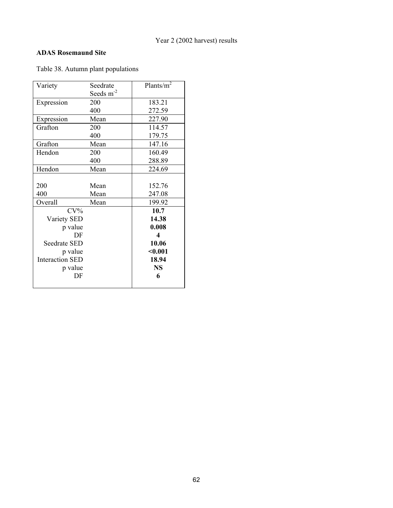## **ADAS Rosemaund Site**

Table 38. Autumn plant populations

| Variety                | Seedrate    | Plants/ $m^2$    |
|------------------------|-------------|------------------|
|                        | Seeds $m-2$ |                  |
| Expression             | 200         | 183.21           |
|                        | 400         | 272.59           |
| Expression             | Mean        | 227.90           |
| Grafton                | 200         | 114.57           |
|                        | 400         | 179.75           |
| Grafton                | Mean        | 147.16           |
| Hendon                 | 200         | 160.49           |
|                        | 400         | 288.89           |
| Hendon                 | Mean        | 224.69           |
|                        |             |                  |
| 200                    | Mean        | 152.76           |
| 400                    | Mean        | 247.08           |
| Overall                | Mean        | 199.92           |
| $CV\%$                 |             | 10.7             |
| Variety SED            |             | 14.38            |
| p value                |             | 0.008            |
| DF                     |             | $\boldsymbol{4}$ |
| Seedrate SED           |             | 10.06            |
| p value                |             | $0.001$          |
| <b>Interaction SED</b> |             | 18.94            |
| p value                |             | <b>NS</b>        |
| DF                     |             | 6                |
|                        |             |                  |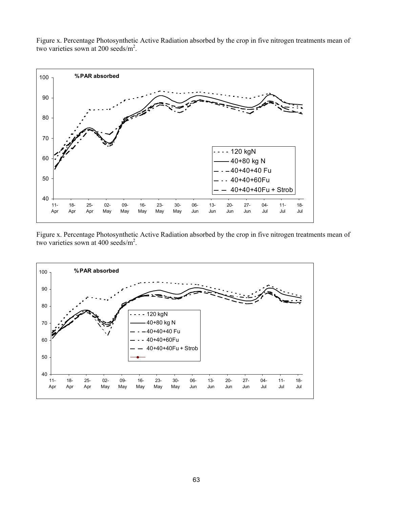Figure x. Percentage Photosynthetic Active Radiation absorbed by the crop in five nitrogen treatments mean of two varieties sown at 200 seeds/m<sup>2</sup>.



Figure x. Percentage Photosynthetic Active Radiation absorbed by the crop in five nitrogen treatments mean of two varieties sown at 400 seeds/m<sup>2</sup>.

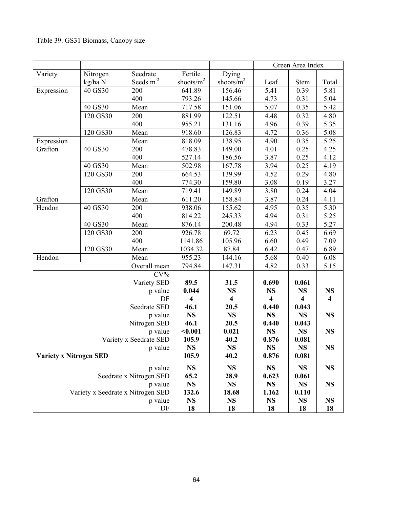|                               |          |                                   |                                               |                         | Green Area Index        |                         |                         |
|-------------------------------|----------|-----------------------------------|-----------------------------------------------|-------------------------|-------------------------|-------------------------|-------------------------|
| Variety                       | Nitrogen | Seedrate                          | Fertile                                       | Dying                   |                         |                         |                         |
|                               | kg/ha N  | Seeds $m-2$                       | $\frac{\text{shoots/m}^2}{\text{shoots/m}^2}$ | shoots/ $m^2$           | Leaf                    | Stem                    | Total                   |
| Expression                    | 40 GS30  | 200                               | 641.89                                        | 156.46                  | 5.41                    | 0.39                    | 5.81                    |
|                               |          | 400                               | 793.26                                        | 145.66                  | 4.73                    | 0.31                    | 5.04                    |
|                               | 40 GS30  | Mean                              | 717.58                                        | 151.06                  | 5.07                    | 0.35                    | 5.42                    |
|                               | 120 GS30 | 200                               | 881.99                                        | 122.51                  | 4.48                    | 0.32                    | 4.80                    |
|                               |          | 400                               | 955.21                                        | 131.16                  | 4.96                    | 0.39                    | 5.35                    |
|                               | 120 GS30 | Mean                              | 918.60                                        | 126.83                  | 4.72                    | 0.36                    | 5.08                    |
| Expression                    |          | Mean                              | 818.09                                        | 138.95                  | 4.90                    | 0.35                    | 5.25                    |
| Grafton                       | 40 GS30  | 200                               | 478.83                                        | 149.00                  | 4.01                    | 0.25                    | 4.25                    |
|                               |          | 400                               | 527.14                                        | 186.56                  | 3.87                    | 0.25                    | 4.12                    |
|                               | 40 GS30  | Mean                              | 502.98                                        | 167.78                  | 3.94                    | 0.25                    | 4.19                    |
|                               | 120 GS30 | 200                               | 664.53                                        | 139.99                  | 4.52                    | 0.29                    | 4.80                    |
|                               |          | 400                               | 774.30                                        | 159.80                  | 3.08                    | 0.19                    | 3.27                    |
|                               | 120 GS30 | Mean                              | 719.41                                        | 149.89                  | 3.80                    | 0.24                    | 4.04                    |
| Grafton                       |          | Mean                              | 611.20                                        | 158.84                  | 3.87                    | 0.24                    | 4.11                    |
| Hendon                        | 40 GS30  | 200                               | 938.06                                        | 155.62                  | 4.95                    | 0.35                    | 5.30                    |
|                               |          | 400                               | 814.22                                        | 245.33                  | 4.94                    | 0.31                    | 5.25                    |
|                               | 40 GS30  | Mean                              | 876.14                                        | 200.48                  | 4.94                    | 0.33                    | 5.27                    |
|                               | 120 GS30 | 200                               | 926.78                                        | 69.72                   | 6.23                    | 0.45                    | 6.69                    |
|                               |          | 400                               | 1141.86                                       | 105.96                  | 6.60                    | 0.49                    | 7.09                    |
|                               | 120 GS30 | Mean                              | 1034.32                                       | 87.84                   | 6.42                    | 0.47                    | 6.89                    |
| Hendon                        |          | Mean                              | 955.23                                        | 144.16                  | 5.68                    | 0.40                    | 6.08                    |
|                               |          | Overall mean                      | 794.84                                        | 147.31                  | 4.82                    | 0.33                    | 5.15                    |
|                               |          | $CV\%$                            |                                               |                         |                         |                         |                         |
|                               |          | Variety SED                       | 89.5                                          | 31.5                    | 0.690                   | 0.061                   |                         |
|                               |          | p value                           | 0.044                                         | <b>NS</b>               | <b>NS</b>               | <b>NS</b>               | <b>NS</b>               |
|                               |          | DF                                | $\overline{\mathbf{4}}$                       | $\overline{\mathbf{4}}$ | $\overline{\mathbf{4}}$ | $\overline{\mathbf{4}}$ | $\overline{\mathbf{4}}$ |
|                               |          | Seedrate SED                      | 46.1                                          | 20.5                    | 0.440                   | 0.043                   |                         |
|                               |          | p value                           | <b>NS</b>                                     | <b>NS</b>               | <b>NS</b>               | <b>NS</b>               | <b>NS</b>               |
|                               |          | Nitrogen SED                      | 46.1                                          | 20.5                    | 0.440                   | 0.043                   |                         |
|                               |          | p value                           | $0.001$                                       | 0.021                   | <b>NS</b>               | <b>NS</b>               | <b>NS</b>               |
|                               |          | Variety x Seedrate SED            | 105.9                                         | 40.2                    | 0.876                   | 0.081                   |                         |
|                               |          | p value                           | <b>NS</b>                                     | <b>NS</b>               | <b>NS</b>               | <b>NS</b>               | <b>NS</b>               |
| <b>Variety x Nitrogen SED</b> |          |                                   | 105.9                                         | 40.2                    | 0.876                   | 0.081                   |                         |
|                               |          | p value                           | <b>NS</b>                                     | <b>NS</b>               | <b>NS</b>               | <b>NS</b>               | <b>NS</b>               |
|                               |          | Seedrate x Nitrogen SED           | 65.2                                          | 28.9                    | 0.623                   | 0.061                   |                         |
|                               |          | p value                           | <b>NS</b>                                     | <b>NS</b>               | <b>NS</b>               | <b>NS</b>               | <b>NS</b>               |
|                               |          | Variety x Seedrate x Nitrogen SED | 132.6                                         | 18.68                   | 1.162                   | 0.110                   |                         |
|                               |          | p value                           | <b>NS</b>                                     | <b>NS</b>               | <b>NS</b>               | <b>NS</b>               | <b>NS</b>               |
|                               |          | DF                                | 18                                            | 18                      | 18                      | 18                      | 18                      |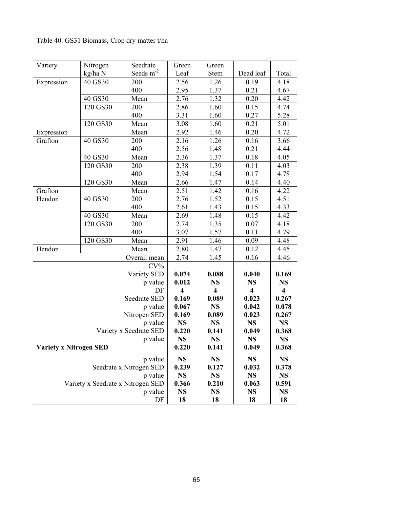Table 40. GS31 Biomass, Crop dry matter t/ha

|                               | Nitrogen<br>Seedrate<br>Variety |                                   | Green                   | Green                   |                         |                         |
|-------------------------------|---------------------------------|-----------------------------------|-------------------------|-------------------------|-------------------------|-------------------------|
|                               | kg/ha N                         | Seeds $m^{-2}$                    | Leaf                    | Stem                    | Dead leaf               | Total                   |
| Expression                    | 40 GS30                         | 200                               | 2.56                    | 1.26                    | 0.19                    | 4.18                    |
|                               |                                 | 400                               | 2.95                    | 1.37                    | 0.21                    | 4.67                    |
|                               | 40 GS30<br>Mean                 |                                   | 2.76                    | 1.32                    | 0.20                    | 4.42                    |
|                               | 120 GS30                        | 200                               |                         | 1.60                    | 0.15                    | 4.74                    |
|                               |                                 | 400                               | 3.31                    |                         | 0.27                    | 5.28                    |
|                               | 120 GS30                        | Mean                              | 3.08                    | 1.60                    | 0.21                    | 5.01                    |
| Expression                    |                                 | Mean                              | 2.92                    | 1.46                    | 0.20                    | 4.72                    |
| Grafton                       | 40 GS30                         | 200                               | 2.16                    | 1.26                    | 0.16                    | 3.66                    |
|                               |                                 | 400                               | 2.56                    | 1.48                    | 0.21                    | 4.44                    |
|                               | 40 GS30<br>Mean                 |                                   | 2.36                    | 1.37                    | 0.18                    | 4.05                    |
|                               | 120 GS30                        | 200                               | 2.38                    | 1.39                    | 0.11                    | 4.03                    |
|                               |                                 | 400                               | 2.94                    | 1.54                    | 0.17                    | 4.78                    |
|                               | 120 GS30                        | Mean                              | 2.66                    | 1.47                    | 0.14                    | 4.40                    |
| Grafton                       |                                 | Mean                              | 2.51                    | 1.42                    | 0.16                    | 4.22                    |
| Hendon                        | 40 GS30                         | 200                               | 2.76                    | 1.52                    | 0.15                    | 4.51                    |
|                               |                                 | 400                               | 2.61                    | 1.43                    | 0.15                    | 4.33                    |
|                               | 40 GS30                         | Mean                              | 2.69                    | 1.48                    | 0.15                    | 4.42                    |
|                               | 120 GS30                        | 200                               | 2.74                    | 1.35                    | 0.07                    | 4.18                    |
|                               |                                 | 400                               | 3.07                    | 1.57                    | 0.11                    | 4.79                    |
|                               | $120$ GS30                      | Mean                              | 2.91                    | 1.46                    | 0.09                    | 4.48                    |
| Hendon                        |                                 | Mean                              | 2.80                    | 1.47                    | 0.12                    | 4.45                    |
|                               |                                 | Overall mean                      | 2.74                    | 1.45                    | 0.16                    | 4.46                    |
|                               |                                 | $CV\%$                            |                         |                         |                         |                         |
|                               |                                 | Variety SED                       | 0.074                   | 0.088                   | 0.040                   | 0.169                   |
|                               |                                 | p value                           | 0.012                   | <b>NS</b>               | <b>NS</b>               | <b>NS</b>               |
|                               |                                 | DF                                | $\overline{\mathbf{4}}$ | $\overline{\mathbf{4}}$ | $\overline{\mathbf{4}}$ | $\overline{\mathbf{4}}$ |
|                               |                                 | Seedrate SED                      | 0.169                   | 0.089                   | 0.023                   | 0.267                   |
|                               |                                 | p value                           | 0.067                   | <b>NS</b>               | 0.042                   | 0.078                   |
|                               |                                 | Nitrogen SED                      | 0.169                   | 0.089                   | 0.023                   | 0.267                   |
|                               |                                 | p value                           | <b>NS</b>               | <b>NS</b>               | <b>NS</b>               | <b>NS</b>               |
|                               |                                 | Variety x Seedrate SED            | 0.220                   | 0.141                   | 0.049                   | 0.368                   |
|                               |                                 | p value                           | <b>NS</b>               | <b>NS</b>               | <b>NS</b>               | <b>NS</b>               |
| <b>Variety x Nitrogen SED</b> |                                 |                                   | 0.220                   | 0.141                   | 0.049                   | 0.368                   |
|                               |                                 | p value                           | <b>NS</b>               | <b>NS</b>               | <b>NS</b>               | <b>NS</b>               |
|                               |                                 | Seedrate x Nitrogen SED           | 0.239                   | 0.127                   | 0.032                   | 0.378                   |
|                               |                                 | p value                           | <b>NS</b>               | <b>NS</b>               | <b>NS</b>               | <b>NS</b>               |
|                               |                                 | Variety x Seedrate x Nitrogen SED | 0.366                   | 0.210                   | 0.063                   | 0.591                   |
|                               |                                 | p value                           | <b>NS</b>               | <b>NS</b>               | <b>NS</b>               | <b>NS</b>               |
|                               |                                 | DF                                | 18                      | 18                      | 18                      | 18                      |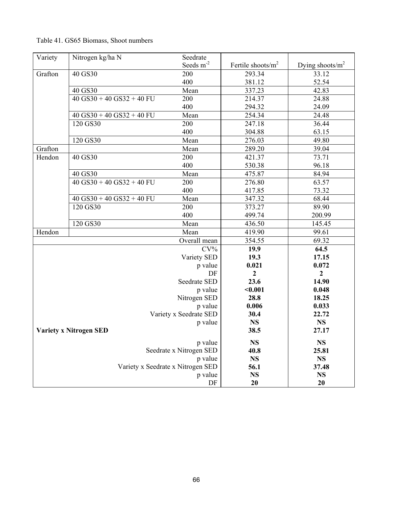| Table 41. GS65 Biomass, Shoot numbers |  |
|---------------------------------------|--|
|---------------------------------------|--|

| Variety | Nitrogen kg/ha N                | Seedrate                          |                       |                     |
|---------|---------------------------------|-----------------------------------|-----------------------|---------------------|
|         |                                 | Seeds m <sup>-2</sup>             | Fertile shoots/ $m^2$ | Dying shoots/ $m^2$ |
| Grafton | 40 GS30                         | 200                               | 293.34                | 33.12               |
|         |                                 | 400                               | 381.12                | 52.54               |
|         | 40 GS30                         | Mean                              | 337.23                | 42.83               |
|         | $40$ GS30 + 40 GS32 + 40 FU     | 200                               | 214.37                | 24.88               |
|         |                                 | 400                               | 294.32                | 24.09               |
|         | $40$ GS30 + 40 GS32 + 40 FU     | Mean                              | 254.34                | 24.48               |
|         | 120 GS30                        | 200                               | 247.18                | 36.44               |
|         |                                 | 400                               | 304.88                | 63.15               |
|         | 120 GS30                        | Mean                              | 276.03                | 49.80               |
| Grafton |                                 | Mean                              | 289.20                | 39.04               |
| Hendon  | 40 GS30                         | 200                               | 421.37                | 73.71               |
|         |                                 | 400                               | 530.38                | 96.18               |
|         | 40 GS30                         | Mean                              | 475.87                | 84.94               |
|         | $40$ GS30 + $40$ GS32 + $40$ FU | 200                               | 276.80                | 63.57               |
|         |                                 | 400                               | 417.85                | 73.32               |
|         | $40$ GS30 + $40$ GS32 + $40$ FU | Mean                              | 347.32                | 68.44               |
|         | 120 GS30                        | 200                               | 373.27                | 89.90               |
|         |                                 | 400                               | 499.74                | 200.99              |
|         | 120 GS30                        | Mean                              | 436.50                | 145.45              |
| Hendon  |                                 | Mean                              | 419.90                | 99.61               |
|         |                                 | Overall mean                      | 354.55                | 69.32               |
|         |                                 | $CV\%$                            | 19.9                  | 64.5                |
|         |                                 | Variety SED                       | 19.3                  | 17.15               |
|         |                                 | p value                           | 0.021                 | 0.072               |
|         |                                 | DF                                | $\overline{2}$        | $\overline{2}$      |
|         |                                 | Seedrate SED                      | 23.6                  | 14.90               |
|         |                                 | p value                           | $0.001$               | 0.048               |
|         |                                 | Nitrogen SED                      | 28.8                  | 18.25               |
|         |                                 | p value                           | 0.006                 | 0.033               |
|         |                                 | Variety x Seedrate SED            | 30.4                  | 22.72               |
|         |                                 | p value                           | <b>NS</b>             | <b>NS</b>           |
|         | <b>Variety x Nitrogen SED</b>   |                                   | 38.5                  | 27.17               |
|         |                                 | p value                           | <b>NS</b>             | <b>NS</b>           |
|         |                                 | Seedrate x Nitrogen SED           | 40.8                  | 25.81               |
|         |                                 | p value                           | <b>NS</b>             | <b>NS</b>           |
|         |                                 | Variety x Seedrate x Nitrogen SED | 56.1                  | 37.48               |
|         |                                 | p value                           | <b>NS</b>             | <b>NS</b>           |
|         |                                 | DF                                | 20                    | 20                  |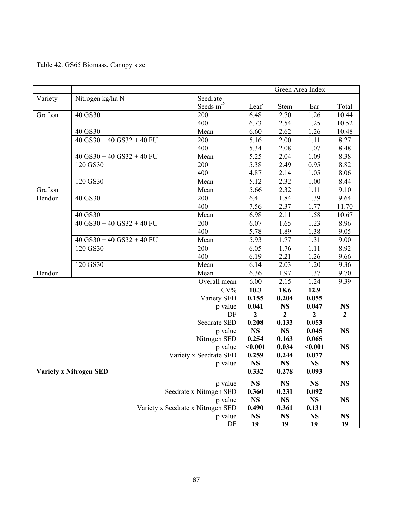|  | Table 42. GS65 Biomass, Canopy size |  |
|--|-------------------------------------|--|
|  |                                     |  |

|                                   |                                 |                       | Green Area Index |              |              |                |
|-----------------------------------|---------------------------------|-----------------------|------------------|--------------|--------------|----------------|
| Variety                           | Nitrogen kg/ha N                | Seedrate              |                  |              |              |                |
|                                   |                                 | Seeds m <sup>-2</sup> | Leaf             | Stem         | Ear          | Total          |
| Grafton                           | 40 GS30                         | 200                   | 6.48             | 2.70         | 1.26         | 10.44          |
|                                   |                                 | 400                   | 6.73             | 2.54         | 1.25         | 10.52          |
|                                   | 40 GS30                         | Mean                  | 6.60             | 2.62         | 1.26         | 10.48          |
|                                   | $40$ GS30 + 40 GS32 + 40 FU     | 200                   | 5.16             | 2.00         | 1.11         | 8.27           |
|                                   |                                 | 400                   | 5.34             | 2.08         | 1.07         | 8.48           |
|                                   | $40$ GS30 + $40$ GS32 + $40$ FU | Mean                  | 5.25             | 2.04         | 1.09         | 8.38           |
|                                   | 120 GS30                        | 200                   | 5.38             | 2.49         | 0.95         | 8.82           |
|                                   |                                 | 400                   | 4.87             | 2.14         | 1.05         | 8.06           |
|                                   | 120 GS30                        | Mean                  | 5.12             | 2.32         | 1.00         | 8.44           |
| Grafton                           |                                 | Mean                  | 5.66             | 2.32         | 1.11         | 9.10           |
| Hendon                            | 40 GS30                         | 200                   | 6.41             | 1.84         | 1.39         | 9.64           |
|                                   |                                 | 400                   | 7.56             | 2.37         | 1.77         | 11.70          |
|                                   | 40 GS30                         | Mean                  | 6.98             | 2.11         | 1.58         | 10.67          |
|                                   | $40$ GS30 + 40 GS32 + 40 FU     | 200                   | 6.07             | 1.65         | 1.23         | 8.96           |
|                                   |                                 | 400                   | 5.78             | 1.89         | 1.38         | 9.05           |
|                                   | $40$ GS30 + $40$ GS32 + $40$ FU | Mean                  | 5.93             | 1.77         | 1.31         | 9.00           |
|                                   | 120 GS30                        | 200                   | 6.05             | 1.76         | 1.11         | 8.92           |
|                                   |                                 | 400                   | 6.19             | 2.21         | 1.26         | 9.66           |
|                                   | 120 GS30                        | Mean                  | 6.14             | 2.03         | 1.20         | 9.36           |
| Hendon                            |                                 | Mean                  | 6.36             | 1.97         | 1.37         | 9.70           |
|                                   |                                 | Overall mean          | 6.00             | 2.15         | 1.24         | 9.39           |
|                                   |                                 | $CV\%$                | 10.3             | 18.6         | 12.9         |                |
|                                   |                                 | Variety SED           | 0.155            | 0.204        | 0.055        |                |
| p value                           |                                 |                       | 0.041            | <b>NS</b>    | 0.047        | <b>NS</b>      |
|                                   |                                 | DF                    | $\mathbf{2}$     | $\mathbf{2}$ | $\mathbf{2}$ | $\overline{2}$ |
|                                   |                                 | Seedrate SED          | 0.208            | 0.133        | 0.053        |                |
| p value                           |                                 |                       | <b>NS</b>        | <b>NS</b>    | 0.045        | <b>NS</b>      |
| Nitrogen SED                      |                                 |                       | 0.254            | 0.163        | 0.065        |                |
| p value                           |                                 |                       | $0.001$          | 0.034        | $0.001$      | <b>NS</b>      |
| Variety x Seedrate SED            |                                 |                       | 0.259            | 0.244        | 0.077        |                |
| p value                           |                                 |                       | <b>NS</b>        | <b>NS</b>    | <b>NS</b>    | <b>NS</b>      |
| <b>Variety x Nitrogen SED</b>     |                                 |                       | 0.332            | 0.278        | 0.093        |                |
| p value                           |                                 |                       | <b>NS</b>        | <b>NS</b>    | <b>NS</b>    | <b>NS</b>      |
| Seedrate x Nitrogen SED           |                                 |                       | 0.360            | 0.231        | 0.092        |                |
| p value                           |                                 |                       | <b>NS</b>        | <b>NS</b>    | <b>NS</b>    | <b>NS</b>      |
| Variety x Seedrate x Nitrogen SED |                                 |                       | 0.490            | 0.361        | 0.131        |                |
| p value                           |                                 |                       |                  | <b>NS</b>    | <b>NS</b>    | <b>NS</b>      |
| DF                                |                                 |                       |                  | 19           | 19           | 19             |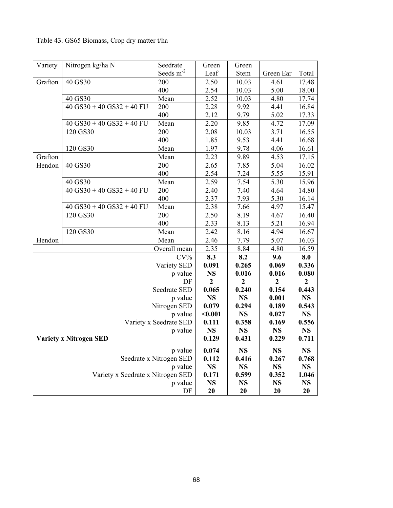## Table 43. GS65 Biomass, Crop dry matter t/ha

| Variety                           | Nitrogen kg/ha N                       | Seedrate               | Green          | Green          |              |                |
|-----------------------------------|----------------------------------------|------------------------|----------------|----------------|--------------|----------------|
|                                   |                                        | Seeds m <sup>-2</sup>  | Leaf           | Stem           | Green Ear    | Total          |
| Grafton                           | 40 GS30                                | 200                    | 2.50           | 10.03          | 4.61         | 17.48          |
|                                   |                                        | 400                    | 2.54           | 10.03          | 5.00         | 18.00          |
|                                   | 40 GS30                                | Mean                   | 2.52           | 10.03          | 4.80         | 17.74          |
|                                   | $\overline{40}$ GS30 + 40 GS32 + 40 FU | 200                    | 2.28           | 9.92           | 4.41         | 16.84          |
|                                   |                                        | 400                    | 2.12           | 9.79           | 5.02         | 17.33          |
|                                   | $40$ GS30 + $40$ GS32 + $40$ FU        | Mean                   | 2.20           | 9.85           | 4.72         | 17.09          |
|                                   | 120 GS30                               | 200                    | 2.08           | 10.03          | 3.71         | 16.55          |
|                                   |                                        | 400                    | 1.85           | 9.53           | 4.41         | 16.68          |
|                                   | 120 GS30                               | Mean                   | 1.97           | 9.78           | 4.06         | 16.61          |
| Grafton                           |                                        | Mean                   | 2.23           | 9.89           | 4.53         | 17.15          |
| Hendon                            | 40 GS30                                | 200                    | 2.65           | 7.85           | 5.04         | 16.02          |
|                                   |                                        | 400                    | 2.54           | 7.24           | 5.55         | 15.91          |
|                                   | 40 GS30                                | Mean                   | 2.59           | 7.54           | 5.30         | 15.96          |
|                                   | $40$ GS30 + $40$ GS32 + $40$ FU        | 200                    | 2.40           | 7.40           | 4.64         | 14.80          |
|                                   |                                        | 400                    | 2.37           | 7.93           | 5.30         | 16.14          |
|                                   | $40$ GS30 + $40$ GS32 + $40$ FU        | Mean                   | 2.38           | 7.66           | 4.97         | 15.47          |
|                                   | 120 GS30                               | 200                    | 2.50           | 8.19           | 4.67         | 16.40          |
|                                   |                                        | 400                    | 2.33           | 8.13           | 5.21         | 16.94          |
|                                   | 120 GS30                               | Mean                   | 2.42           | 8.16           | 4.94         | 16.67          |
| Hendon                            |                                        | Mean                   | 2.46           | 7.79           | 5.07         | 16.03          |
|                                   |                                        | Overall mean           | 2.35           | 8.84           | 4.80         | 16.59          |
|                                   |                                        | $CV\%$                 | 8.3            | 8.2            | 9.6          | 8.0            |
|                                   |                                        | Variety SED            | 0.091          | 0.265          | 0.069        | 0.336          |
| p value                           |                                        |                        | <b>NS</b>      | 0.016          | 0.016        | 0.080          |
|                                   |                                        | DF                     | $\overline{2}$ | $\overline{2}$ | $\mathbf{2}$ | $\overline{2}$ |
|                                   |                                        | Seedrate SED           | 0.065          | 0.240          | 0.154        | 0.443          |
|                                   |                                        | p value                | <b>NS</b>      | <b>NS</b>      | 0.001        | <b>NS</b>      |
|                                   |                                        | Nitrogen SED           | 0.079          | 0.294          | 0.189        | 0.543          |
|                                   |                                        | p value                | $0.001$        | <b>NS</b>      | 0.027        | <b>NS</b>      |
|                                   |                                        | Variety x Seedrate SED | 0.111          | 0.358          | 0.169        | 0.556          |
| p value                           |                                        |                        | <b>NS</b>      | <b>NS</b>      | <b>NS</b>    | <b>NS</b>      |
| <b>Variety x Nitrogen SED</b>     |                                        | 0.129                  | 0.431          | 0.229          | 0.711        |                |
| p value                           |                                        |                        | 0.074          | <b>NS</b>      | <b>NS</b>    | <b>NS</b>      |
| Seedrate x Nitrogen SED           |                                        |                        | 0.112          | 0.416          | 0.267        | 0.768          |
| p value                           |                                        |                        | <b>NS</b>      | <b>NS</b>      | <b>NS</b>    | <b>NS</b>      |
| Variety x Seedrate x Nitrogen SED |                                        |                        | 0.171          | 0.599          | 0.352        | 1.046          |
| p value                           |                                        |                        | <b>NS</b>      | <b>NS</b>      | <b>NS</b>    | <b>NS</b>      |
|                                   |                                        | DF                     | 20             | 20             | 20           | 20             |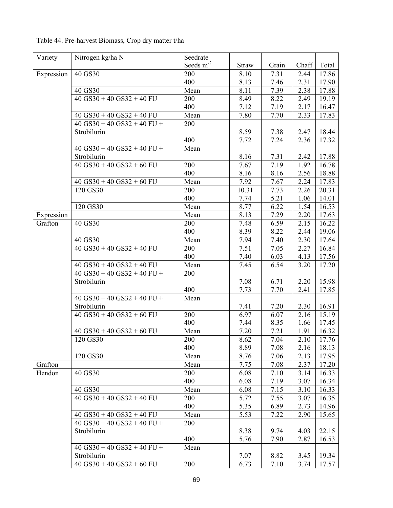| Table 44. Pre-harvest Biomass, Crop dry matter t/ha |  |
|-----------------------------------------------------|--|
|-----------------------------------------------------|--|

| Variety    | Nitrogen kg/ha N              | Seedrate       |       |       |       |       |
|------------|-------------------------------|----------------|-------|-------|-------|-------|
|            |                               | Seeds $m^{-2}$ | Straw | Grain | Chaff | Total |
| Expression | 40 GS30                       | 200            | 8.10  | 7.31  | 2.44  | 17.86 |
|            |                               | 400            | 8.13  | 7.46  | 2.31  | 17.90 |
|            | 40 GS30                       | Mean           | 8.11  | 7.39  | 2.38  | 17.88 |
|            | $40$ GS30 + 40 GS32 + 40 FU   | 200            | 8.49  | 8.22  | 2.49  | 19.19 |
|            |                               | 400            | 7.12  | 7.19  | 2.17  | 16.47 |
|            | $40$ GS30 + 40 GS32 + 40 FU   | Mean           | 7.80  | 7.70  | 2.33  | 17.83 |
|            | $40$ GS30 + 40 GS32 + 40 FU + | 200            |       |       |       |       |
|            | Strobilurin                   |                | 8.59  | 7.38  | 2.47  | 18.44 |
|            |                               | 400            | 7.72  | 7.24  | 2.36  | 17.32 |
|            | $40$ GS30 + 40 GS32 + 40 FU + | Mean           |       |       |       |       |
|            | Strobilurin                   |                | 8.16  | 7.31  | 2.42  | 17.88 |
|            | $40$ GS30 + 40 GS32 + 60 FU   | 200            | 7.67  | 7.19  | 1.92  | 16.78 |
|            |                               | 400            | 8.16  | 8.16  | 2.56  | 18.88 |
|            | $40$ GS30 + 40 GS32 + 60 FU   | Mean           | 7.92  | 7.67  | 2.24  | 17.83 |
|            | 120 GS30                      | 200            | 10.31 | 7.73  | 2.26  | 20.31 |
|            |                               | 400            | 7.74  | 5.21  | 1.06  | 14.01 |
|            | 120 GS30                      | Mean           | 8.77  | 6.22  | 1.54  | 16.53 |
| Expression |                               | Mean           | 8.13  | 7.29  | 2.20  | 17.63 |
| Grafton    | 40 GS30                       | 200            | 7.48  | 6.59  | 2.15  | 16.22 |
|            |                               | 400            | 8.39  | 8.22  | 2.44  | 19.06 |
|            | 40 GS30                       | Mean           | 7.94  | 7.40  | 2.30  | 17.64 |
|            | $40$ GS30 + 40 GS32 + 40 FU   | 200            | 7.51  | 7.05  | 2.27  | 16.84 |
|            |                               | 400            | 7.40  | 6.03  | 4.13  | 17.56 |
|            | $40$ GS30 + 40 GS32 + 40 FU   | Mean           | 7.45  | 6.54  | 3.20  | 17.20 |
|            | $40$ GS30 + 40 GS32 + 40 FU + | 200            |       |       |       |       |
|            | Strobilurin                   |                | 7.08  | 6.71  | 2.20  | 15.98 |
|            |                               | 400            | 7.73  | 7.70  | 2.41  | 17.85 |
|            | $40$ GS30 + 40 GS32 + 40 FU + | Mean           |       |       |       |       |
|            | Strobilurin                   |                | 7.41  | 7.20  | 2.30  | 16.91 |
|            | $40$ GS30 + 40 GS32 + 60 FU   | 200            | 6.97  | 6.07  | 2.16  | 15.19 |
|            |                               | 400            | 7.44  | 8.35  | 1.66  | 17.45 |
|            | $40$ GS30 + 40 GS32 + 60 FU   | Mean           | 7.20  | 7.21  | 1.91  | 16.32 |
|            | 120 GS30                      | 200            | 8.62  | 7.04  | 2.10  | 17.76 |
|            |                               | 400            | 8.89  | 7.08  | 2.16  | 18.13 |
|            | 120 GS30                      | Mean           | 8.76  | 7.06  | 2.13  | 17.95 |
| Grafton    |                               | Mean           | 7.75  | 7.08  | 2.37  | 17.20 |
| Hendon     | 40 GS30                       | 200            | 6.08  | 7.10  | 3.14  | 16.33 |
|            |                               | 400            | 6.08  | 7.19  | 3.07  | 16.34 |
|            | 40 GS30                       | Mean           | 6.08  | 7.15  | 3.10  | 16.33 |
|            | $40$ GS30 + 40 GS32 + 40 FU   | 200            | 5.72  | 7.55  | 3.07  | 16.35 |
|            |                               | 400            | 5.35  | 6.89  | 2.73  | 14.96 |
|            | $40$ GS30 + 40 GS32 + 40 FU   | Mean           | 5.53  | 7.22  | 2.90  | 15.65 |
|            | $40$ GS30 + 40 GS32 + 40 FU + | 200            |       |       |       |       |
|            | Strobilurin                   |                | 8.38  | 9.74  | 4.03  | 22.15 |
|            |                               | 400            | 5.76  | 7.90  | 2.87  | 16.53 |
|            | $40$ GS30 + 40 GS32 + 40 FU + | Mean           |       |       |       |       |
|            | Strobilurin                   |                | 7.07  | 8.82  | 3.45  | 19.34 |
|            | $40$ GS30 + 40 GS32 + 60 FU   | 200            | 6.73  | 7.10  | 3.74  | 17.57 |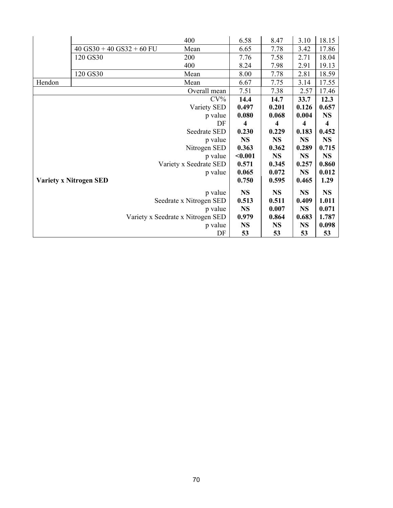|                                          |                             | 400                               | 6.58                    | 8.47                    | 3.10      | 18.15     |
|------------------------------------------|-----------------------------|-----------------------------------|-------------------------|-------------------------|-----------|-----------|
|                                          | $40$ GS30 + 40 GS32 + 60 FU | Mean                              | 6.65                    | 7.78                    | 3.42      | 17.86     |
|                                          | 120 GS30                    | 200                               | 7.76                    | 7.58                    | 2.71      | 18.04     |
|                                          |                             | 400                               | 8.24                    | 7.98                    | 2.91      | 19.13     |
|                                          | 120 GS30                    | Mean                              | 8.00                    | 7.78                    | 2.81      | 18.59     |
| Hendon                                   |                             | Mean                              | 6.67                    | 7.75                    | 3.14      | 17.55     |
|                                          |                             | Overall mean                      | 7.51                    | 7.38                    | 2.57      | 17.46     |
|                                          |                             | $CV\%$                            | 14.4                    | 14.7                    | 33.7      | 12.3      |
|                                          |                             | Variety SED                       | 0.497                   | 0.201                   | 0.126     | 0.657     |
|                                          |                             | p value                           | 0.080                   | 0.068                   | 0.004     | <b>NS</b> |
|                                          |                             | DF                                | $\overline{\mathbf{4}}$ | $\overline{\mathbf{4}}$ | 4         | 4         |
| Seedrate SED                             |                             | 0.230                             | 0.229                   | 0.183                   | 0.452     |           |
|                                          |                             | p value                           | <b>NS</b>               | <b>NS</b>               | <b>NS</b> | <b>NS</b> |
|                                          |                             | Nitrogen SED                      | 0.363                   | 0.362                   | 0.289     | 0.715     |
| p value                                  |                             | < 0.001                           | <b>NS</b>               | <b>NS</b>               | <b>NS</b> |           |
| Variety x Seedrate SED                   |                             |                                   | 0.571                   | 0.345                   | 0.257     | 0.860     |
| p value<br><b>Variety x Nitrogen SED</b> |                             | 0.065                             | 0.072                   | <b>NS</b>               | 0.012     |           |
|                                          |                             | 0.750                             | 0.595                   | 0.465                   | 1.29      |           |
|                                          |                             | p value                           | <b>NS</b>               | <b>NS</b>               | <b>NS</b> | <b>NS</b> |
|                                          |                             | Seedrate x Nitrogen SED           | 0.513                   | 0.511                   | 0.409     | 1.011     |
|                                          |                             | p value                           | <b>NS</b>               | 0.007                   | <b>NS</b> | 0.071     |
|                                          |                             | Variety x Seedrate x Nitrogen SED | 0.979                   | 0.864                   | 0.683     | 1.787     |
|                                          |                             | p value                           | <b>NS</b>               | <b>NS</b>               | <b>NS</b> | 0.098     |
|                                          |                             | DF                                | 53                      | 53                      | 53        | 53        |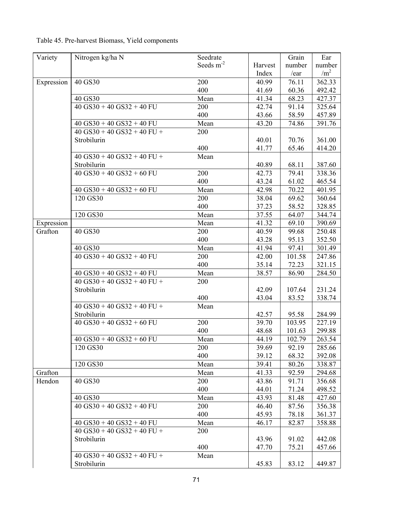| Variety    | Nitrogen kg/ha N                | Seedrate              |         | Grain  | Ear        |
|------------|---------------------------------|-----------------------|---------|--------|------------|
|            |                                 | Seeds m <sup>-2</sup> | Harvest | number | number     |
|            |                                 |                       | Index   | /ear   | $\rm /m^2$ |
| Expression | 40 GS30                         | 200                   | 40.99   | 76.11  | 362.33     |
|            |                                 | 400                   | 41.69   | 60.36  | 492.42     |
|            | 40 GS30                         | Mean                  | 41.34   | 68.23  | 427.37     |
|            | $40$ GS30 + 40 GS32 + 40 FU     | 200                   | 42.74   | 91.14  | 325.64     |
|            |                                 | 400                   | 43.66   | 58.59  | 457.89     |
|            | $40$ GS30 + 40 GS32 + 40 FU     | Mean                  | 43.20   | 74.86  | 391.76     |
|            | $40$ GS30 + 40 GS32 + 40 FU +   | 200                   |         |        |            |
|            | Strobilurin                     |                       | 40.01   | 70.76  | 361.00     |
|            |                                 | 400                   | 41.77   | 65.46  | 414.20     |
|            | $40$ GS30 + 40 GS32 + 40 FU +   | Mean                  |         |        |            |
|            | Strobilurin                     |                       | 40.89   | 68.11  | 387.60     |
|            | $40$ GS30 + 40 GS32 + 60 FU     | 200                   | 42.73   | 79.41  | 338.36     |
|            |                                 | 400                   | 43.24   | 61.02  | 465.54     |
|            | $40$ GS30 + 40 GS32 + 60 FU     | Mean                  | 42.98   | 70.22  | 401.95     |
|            | 120 GS30                        | 200                   | 38.04   | 69.62  | 360.64     |
|            |                                 | 400                   | 37.23   | 58.52  | 328.85     |
|            | 120 GS30                        | Mean                  | 37.55   | 64.07  | 344.74     |
| Expression |                                 | Mean                  | 41.32   | 69.10  | 390.69     |
| Grafton    | 40 GS30                         | 200                   | 40.59   | 99.68  | 250.48     |
|            |                                 | 400                   | 43.28   | 95.13  | 352.50     |
|            | 40 GS30                         | Mean                  | 41.94   | 97.41  | 301.49     |
|            | $40$ GS30 + 40 GS32 + 40 FU     | 200                   | 42.00   | 101.58 | 247.86     |
|            |                                 | 400                   | 35.14   | 72.23  | 321.15     |
|            | $40$ GS30 + 40 GS32 + 40 FU     | Mean                  | 38.57   | 86.90  | 284.50     |
|            | $40$ GS30 + 40 GS32 + 40 FU +   | 200                   |         |        |            |
|            | Strobilurin                     |                       | 42.09   | 107.64 | 231.24     |
|            |                                 | 400                   | 43.04   | 83.52  | 338.74     |
|            | $40$ GS30 + 40 GS32 + 40 FU +   | Mean                  |         |        |            |
|            | Strobilurin                     |                       | 42.57   | 95.58  | 284.99     |
|            | $40$ GS30 + 40 GS32 + 60 FU     | 200                   | 39.70   | 103.95 | 227.19     |
|            |                                 | 400                   | 48.68   | 101.63 | 299.88     |
|            | $40$ GS30 + 40 GS32 + 60 FU     | Mean                  | 44.19   | 102.79 | 263.54     |
|            | 120 GS30                        | 200                   | 39.69   | 92.19  | 285.66     |
|            |                                 | 400                   | 39.12   | 68.32  | 392.08     |
|            | 120 GS30                        | Mean                  | 39.41   | 80.26  | 338.87     |
| Grafton    |                                 | Mean                  | 41.33   | 92.59  | 294.68     |
| Hendon     | 40 GS30                         | 200                   | 43.86   | 91.71  | 356.68     |
|            |                                 | 400                   | 44.01   | 71.24  | 498.52     |
|            | 40 GS30                         | Mean                  | 43.93   | 81.48  | 427.60     |
|            | $40$ GS30 + $40$ GS32 + $40$ FU | 200                   | 46.40   | 87.56  | 356.38     |
|            |                                 | 400                   | 45.93   | 78.18  | 361.37     |
|            | $40$ GS30 + 40 GS32 + 40 FU     | Mean                  | 46.17   | 82.87  | 358.88     |
|            | $40$ GS30 + 40 GS32 + 40 FU +   | 200                   |         |        |            |
|            | Strobilurin                     |                       | 43.96   | 91.02  | 442.08     |
|            |                                 | 400                   | 47.70   | 75.21  | 457.66     |
|            | $40$ GS30 + 40 GS32 + 40 FU +   | Mean                  |         |        |            |
|            | Strobilurin                     |                       | 45.83   | 83.12  | 449.87     |

Table 45. Pre-harvest Biomass, Yield components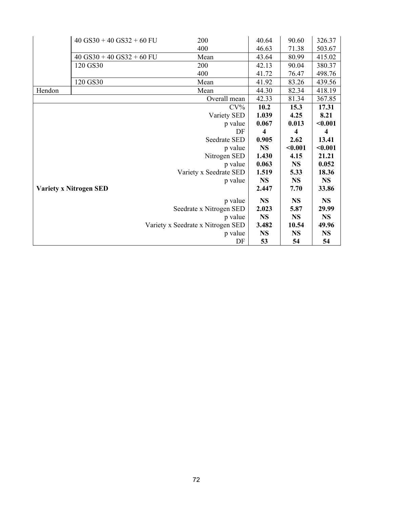|        | $40$ GS30 + 40 GS32 + 60 FU   | 200                               | 40.64                   | 90.60     | 326.37    |
|--------|-------------------------------|-----------------------------------|-------------------------|-----------|-----------|
|        |                               | 400                               | 46.63                   | 71.38     | 503.67    |
|        | $40$ GS30 + 40 GS32 + 60 FU   | Mean                              | 43.64                   | 80.99     | 415.02    |
|        | 120 GS30                      | 200                               | 42.13                   | 90.04     | 380.37    |
|        |                               | 400                               | 41.72                   | 76.47     | 498.76    |
|        | 120 GS30                      | Mean                              | 41.92                   | 83.26     | 439.56    |
| Hendon |                               | Mean                              | 44.30                   | 82.34     | 418.19    |
|        |                               | Overall mean                      | 42.33                   | 81.34     | 367.85    |
|        |                               | $CV\%$                            | 10.2                    | 15.3      | 17.31     |
|        |                               | Variety SED                       | 1.039                   | 4.25      | 8.21      |
|        |                               | p value                           | 0.067                   | 0.013     | $0.001$   |
|        |                               | DF                                | $\overline{\mathbf{4}}$ | 4         | 4         |
|        |                               | Seedrate SED                      | 0.905                   | 2.62      | 13.41     |
|        |                               | p value                           | <b>NS</b>               | $0.001$   | $0.001$   |
|        |                               | Nitrogen SED                      | 1.430                   | 4.15      | 21.21     |
|        |                               | p value                           | 0.063                   | <b>NS</b> | 0.052     |
|        |                               | Variety x Seedrate SED            | 1.519                   | 5.33      | 18.36     |
|        |                               | p value                           | <b>NS</b>               | <b>NS</b> | <b>NS</b> |
|        | <b>Variety x Nitrogen SED</b> |                                   | 2.447                   | 7.70      | 33.86     |
|        |                               | p value                           | <b>NS</b>               | <b>NS</b> | <b>NS</b> |
|        |                               | Seedrate x Nitrogen SED           | 2.023                   | 5.87      | 29.99     |
|        |                               | p value                           | <b>NS</b>               | <b>NS</b> | <b>NS</b> |
|        |                               | Variety x Seedrate x Nitrogen SED | 3.482                   | 10.54     | 49.96     |
|        |                               | p value                           | <b>NS</b>               | <b>NS</b> | <b>NS</b> |
|        |                               | DF                                | 53                      | 54        | 54        |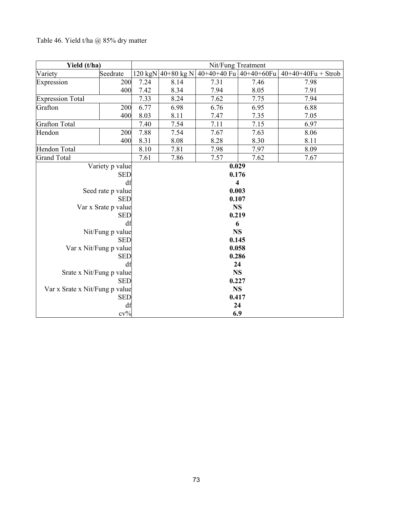### Table 46. Yield t/ha @ 85% dry matter

| Yield (t/ha)                   | Nit/Fung Treatment     |                         |                    |                             |      |                      |  |
|--------------------------------|------------------------|-------------------------|--------------------|-----------------------------|------|----------------------|--|
| Variety                        | Seedrate               |                         | 120 kgN 40+80 kg N | $40+40+40$ Fu $40+40+60$ Fu |      | $40+40+40Fu + Strob$ |  |
| Expression                     | 200                    | 7.24                    | 8.14               | 7.31                        | 7.46 | 7.98                 |  |
|                                | 400                    | 7.42                    | 8.34               | 7.94                        | 8.05 | 7.91                 |  |
| <b>Expression Total</b>        |                        | 7.33                    | 8.24               | 7.62                        | 7.75 | 7.94                 |  |
| Grafton                        | 200                    | 6.77                    | 6.98               | 6.76                        | 6.95 | 6.88                 |  |
|                                | 400                    | 8.03                    | 8.11               | 7.47                        | 7.35 | 7.05                 |  |
| <b>Grafton Total</b>           |                        | 7.40                    | 7.54               | 7.11                        | 7.15 | 6.97                 |  |
| Hendon                         | 200                    | 7.88                    | 7.54               | 7.67                        | 7.63 | 8.06                 |  |
|                                | 400                    | 8.31                    | 8.08               | 8.28                        | 8.30 | 8.11                 |  |
| Hendon Total                   |                        | 8.10                    | 7.81               | 7.98                        | 7.97 | 8.09                 |  |
| <b>Grand Total</b>             |                        | 7.61                    | 7.86               | 7.57                        | 7.62 | 7.67                 |  |
|                                | Variety p value        |                         |                    | 0.029                       |      |                      |  |
|                                | <b>SED</b>             | 0.176                   |                    |                             |      |                      |  |
|                                | df                     | $\overline{\mathbf{4}}$ |                    |                             |      |                      |  |
|                                | Seed rate p value      | 0.003                   |                    |                             |      |                      |  |
|                                | <b>SED</b>             | 0.107                   |                    |                             |      |                      |  |
|                                | Var x Srate p value    | <b>NS</b>               |                    |                             |      |                      |  |
|                                | <b>SED</b>             | 0.219                   |                    |                             |      |                      |  |
|                                | df                     | 6                       |                    |                             |      |                      |  |
|                                | Nit/Fung p value       | <b>NS</b>               |                    |                             |      |                      |  |
|                                | <b>SED</b>             | 0.145                   |                    |                             |      |                      |  |
|                                | Var x Nit/Fung p value | 0.058                   |                    |                             |      |                      |  |
|                                | <b>SED</b>             | 0.286                   |                    |                             |      |                      |  |
|                                | df                     | 24                      |                    |                             |      |                      |  |
| Srate x Nit/Fung p value       |                        | <b>NS</b>               |                    |                             |      |                      |  |
|                                | <b>SED</b>             | 0.227                   |                    |                             |      |                      |  |
| Var x Srate x Nit/Fung p value |                        | <b>NS</b>               |                    |                             |      |                      |  |
|                                | <b>SED</b>             |                         |                    | 0.417                       |      |                      |  |
|                                | df<br>$cv\%$           |                         |                    | 24                          |      |                      |  |
|                                |                        |                         | 6.9                |                             |      |                      |  |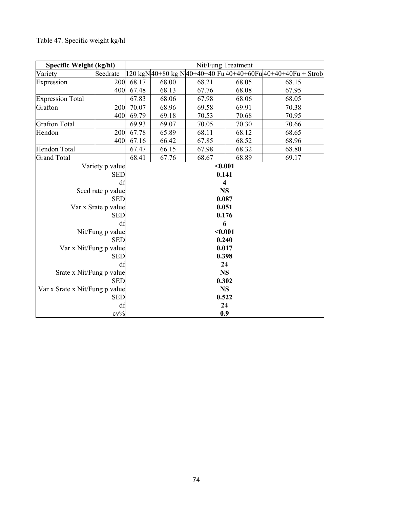| Specific Weight (kg/hl)        |                     | Nit/Fung Treatment      |       |         |       |                                                              |  |
|--------------------------------|---------------------|-------------------------|-------|---------|-------|--------------------------------------------------------------|--|
| Variety                        | Seedrate            |                         |       |         |       | 120 kgN 40+80 kg N 40+40+40 Fu 40+40+60Fu 40+40+40Fu + Strob |  |
| Expression                     | 200                 | 68.17                   | 68.00 | 68.21   | 68.05 | 68.15                                                        |  |
|                                | 400                 | 67.48                   | 68.13 | 67.76   | 68.08 | 67.95                                                        |  |
| <b>Expression Total</b>        |                     | 67.83                   | 68.06 | 67.98   | 68.06 | 68.05                                                        |  |
| Grafton                        | 200                 | 70.07                   | 68.96 | 69.58   | 69.91 | 70.38                                                        |  |
|                                | 400                 | 69.79                   | 69.18 | 70.53   | 70.68 | 70.95                                                        |  |
| <b>Grafton Total</b>           |                     | 69.93                   | 69.07 | 70.05   | 70.30 | 70.66                                                        |  |
| Hendon                         | 200                 | 67.78                   | 65.89 | 68.11   | 68.12 | 68.65                                                        |  |
|                                | 400                 | 67.16                   | 66.42 | 67.85   | 68.52 | 68.96                                                        |  |
| Hendon Total                   |                     | 67.47                   | 66.15 | 67.98   | 68.32 | 68.80                                                        |  |
| <b>Grand Total</b>             |                     | 68.41                   | 67.76 | 68.67   | 68.89 | 69.17                                                        |  |
|                                | Variety p value     |                         |       | $0.001$ |       |                                                              |  |
|                                | <b>SED</b>          | 0.141                   |       |         |       |                                                              |  |
|                                | df                  | $\overline{\mathbf{4}}$ |       |         |       |                                                              |  |
|                                | Seed rate p value   | <b>NS</b>               |       |         |       |                                                              |  |
|                                | <b>SED</b>          | 0.087                   |       |         |       |                                                              |  |
|                                | Var x Srate p value | 0.051                   |       |         |       |                                                              |  |
|                                | <b>SED</b>          | 0.176                   |       |         |       |                                                              |  |
|                                | df                  | 6                       |       |         |       |                                                              |  |
|                                | Nit/Fung p value    | $0.001$                 |       |         |       |                                                              |  |
|                                | <b>SED</b>          |                         | 0.240 |         |       |                                                              |  |
| Var x Nit/Fung p value         |                     | 0.017                   |       |         |       |                                                              |  |
|                                | <b>SED</b>          | 0.398                   |       |         |       |                                                              |  |
|                                | df                  | 24                      |       |         |       |                                                              |  |
| Srate x Nit/Fung p value       | <b>SED</b>          | <b>NS</b>               |       |         |       |                                                              |  |
|                                | 0.302               |                         |       |         |       |                                                              |  |
| Var x Srate x Nit/Fung p value |                     | <b>NS</b>               |       |         |       |                                                              |  |
|                                | <b>SED</b>          |                         |       | 0.522   |       |                                                              |  |
|                                | df<br>$cv\%$        |                         |       | 24      |       |                                                              |  |
|                                |                     |                         | 0.9   |         |       |                                                              |  |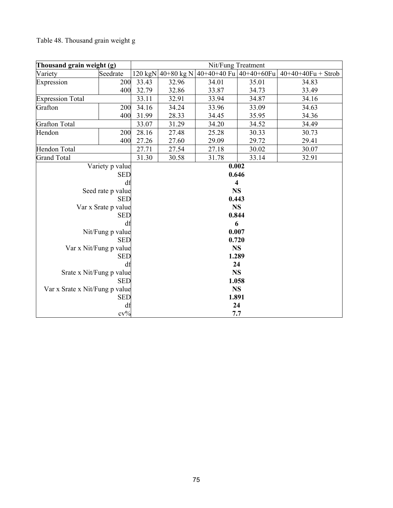# Table 48. Thousand grain weight g

| Thousand grain weight (g)      | Nit/Fung Treatment  |           |       |                                                      |       |                      |  |
|--------------------------------|---------------------|-----------|-------|------------------------------------------------------|-------|----------------------|--|
| Variety                        | Seedrate            |           |       | $120 \text{ kgN}$  40+80 kg N 40+40+40 Fu 40+40+60Fu |       | $40+40+40Fu + Strob$ |  |
| Expression                     | 200                 | 33.43     | 32.96 | 34.01                                                | 35.01 | 34.83                |  |
|                                | 400                 | 32.79     | 32.86 | 33.87                                                | 34.73 | 33.49                |  |
| <b>Expression Total</b>        |                     | 33.11     | 32.91 | 33.94                                                | 34.87 | 34.16                |  |
| Grafton                        | 200                 | 34.16     | 34.24 | 33.96                                                | 33.09 | 34.63                |  |
|                                | 400                 | 31.99     | 28.33 | 34.45                                                | 35.95 | 34.36                |  |
| <b>Grafton Total</b>           |                     | 33.07     | 31.29 | 34.20                                                | 34.52 | 34.49                |  |
| Hendon                         | 200                 | 28.16     | 27.48 | 25.28                                                | 30.33 | 30.73                |  |
|                                | 400                 | 27.26     | 27.60 | 29.09                                                | 29.72 | 29.41                |  |
| <b>Hendon Total</b>            |                     | 27.71     | 27.54 | 27.18                                                | 30.02 | 30.07                |  |
| <b>Grand Total</b>             |                     | 31.30     | 30.58 | 31.78                                                | 33.14 | 32.91                |  |
|                                | Variety p value     |           |       | 0.002                                                |       |                      |  |
|                                | <b>SED</b>          | 0.646     |       |                                                      |       |                      |  |
|                                | df                  | 4         |       |                                                      |       |                      |  |
|                                | Seed rate p value   | <b>NS</b> |       |                                                      |       |                      |  |
|                                | <b>SED</b>          | 0.443     |       |                                                      |       |                      |  |
|                                | Var x Srate p value | <b>NS</b> |       |                                                      |       |                      |  |
|                                | <b>SED</b>          | 0.844     |       |                                                      |       |                      |  |
|                                | df                  | 6         |       |                                                      |       |                      |  |
|                                | Nit/Fung p value    | 0.007     |       |                                                      |       |                      |  |
|                                | <b>SED</b>          | 0.720     |       |                                                      |       |                      |  |
| Var x Nit/Fung p value         |                     | <b>NS</b> |       |                                                      |       |                      |  |
|                                | <b>SED</b>          | 1.289     |       |                                                      |       |                      |  |
|                                | df                  | 24        |       |                                                      |       |                      |  |
| Srate x Nit/Fung p value       |                     | <b>NS</b> |       |                                                      |       |                      |  |
| <b>SED</b><br>1.058            |                     |           |       |                                                      |       |                      |  |
| Var x Srate x Nit/Fung p value |                     | <b>NS</b> |       |                                                      |       |                      |  |
|                                | <b>SED</b>          |           |       | 1.891                                                |       |                      |  |
|                                | df<br>$cv\%$        |           |       | 24                                                   |       |                      |  |
|                                |                     |           | 7.7   |                                                      |       |                      |  |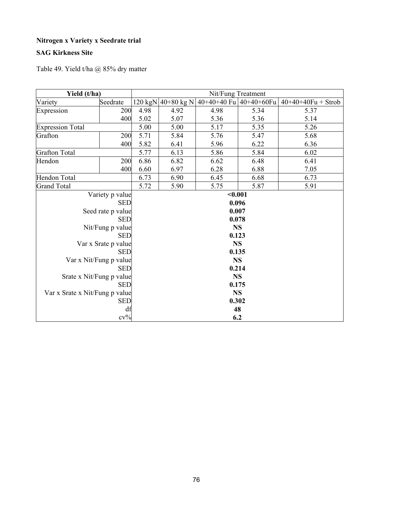### **Nitrogen x Variety x Seedrate trial**

### **SAG Kirkness Site**

Table 49. Yield t/ha @ 85% dry matter

| Yield (t/ha)                   | Nit/Fung Treatment     |           |                    |                              |      |                      |  |
|--------------------------------|------------------------|-----------|--------------------|------------------------------|------|----------------------|--|
| Variety                        | Seedrate               |           | 120 kgN 40+80 kg N | $40+40+40$ Fu $ 40+40+60$ Fu |      | $40+40+40Fu + Strob$ |  |
| Expression                     | 200                    | 4.98      | 4.92               | 4.98                         | 5.34 | 5.37                 |  |
|                                | 400                    | 5.02      | 5.07               | 5.36                         | 5.36 | 5.14                 |  |
| <b>Expression Total</b>        |                        | 5.00      | 5.00               | 5.17                         | 5.35 | 5.26                 |  |
| Grafton                        | 200                    | 5.71      | 5.84               | 5.76                         | 5.47 | 5.68                 |  |
|                                | 400                    | 5.82      | 6.41               | 5.96                         | 6.22 | 6.36                 |  |
| <b>Grafton Total</b>           |                        | 5.77      | 6.13               | 5.86                         | 5.84 | 6.02                 |  |
| Hendon                         | 200                    | 6.86      | 6.82               | 6.62                         | 6.48 | 6.41                 |  |
|                                | 400                    | 6.60      | 6.97               | 6.28                         | 6.88 | 7.05                 |  |
| Hendon Total                   |                        | 6.73      | 6.90               | 6.45                         | 6.68 | 6.73                 |  |
| <b>Grand Total</b>             |                        | 5.72      | 5.90               | 5.75                         | 5.87 | 5.91                 |  |
|                                | Variety p value        |           | $0.001$            |                              |      |                      |  |
|                                | <b>SED</b>             | 0.096     |                    |                              |      |                      |  |
|                                | Seed rate p value      | 0.007     |                    |                              |      |                      |  |
|                                | <b>SED</b>             | 0.078     |                    |                              |      |                      |  |
|                                | Nit/Fung p value       | <b>NS</b> |                    |                              |      |                      |  |
|                                | <b>SED</b>             | 0.123     |                    |                              |      |                      |  |
|                                | Var x Srate p value    | <b>NS</b> |                    |                              |      |                      |  |
|                                | <b>SED</b>             | 0.135     |                    |                              |      |                      |  |
|                                | Var x Nit/Fung p value | <b>NS</b> |                    |                              |      |                      |  |
|                                | <b>SED</b>             | 0.214     |                    |                              |      |                      |  |
| Srate x Nit/Fung p value       |                        | <b>NS</b> |                    |                              |      |                      |  |
|                                | <b>SED</b><br>0.175    |           |                    |                              |      |                      |  |
| Var x Srate x Nit/Fung p value |                        |           |                    | <b>NS</b>                    |      |                      |  |
|                                | <b>SED</b>             | 0.302     |                    |                              |      |                      |  |
|                                | df<br>$cv\%$           |           |                    | 48                           |      |                      |  |
|                                | 6.2                    |           |                    |                              |      |                      |  |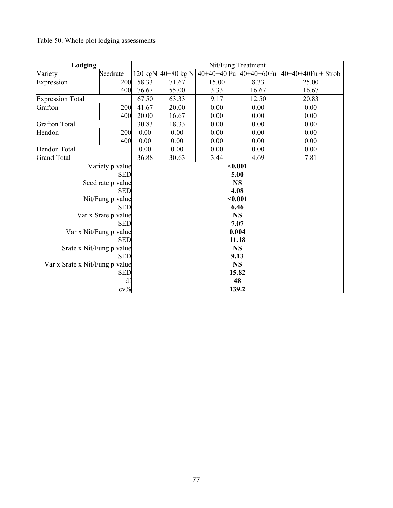# Table 50. Whole plot lodging assessments

| Lodging                        | Nit/Fung Treatment     |           |                    |                              |       |                      |  |
|--------------------------------|------------------------|-----------|--------------------|------------------------------|-------|----------------------|--|
| Variety                        | Seedrate               |           | 120 kgN 40+80 kg N | $40+40+40$ Fu $ 40+40+60$ Fu |       | $40+40+40Fu + Strob$ |  |
| Expression                     | 200                    | 58.33     | 71.67              | 15.00                        | 8.33  | 25.00                |  |
|                                | 400                    | 76.67     | 55.00              | 3.33                         | 16.67 | 16.67                |  |
| <b>Expression Total</b>        |                        | 67.50     | 63.33              | 9.17                         | 12.50 | 20.83                |  |
| Grafton                        | 200                    | 41.67     | 20.00              | 0.00                         | 0.00  | 0.00                 |  |
|                                | 400                    | 20.00     | 16.67              | 0.00                         | 0.00  | 0.00                 |  |
| <b>Grafton Total</b>           |                        | 30.83     | 18.33              | 0.00                         | 0.00  | 0.00                 |  |
| Hendon                         | 200                    | 0.00      | 0.00               | 0.00                         | 0.00  | 0.00                 |  |
|                                | 400                    | 0.00      | 0.00               | 0.00                         | 0.00  | 0.00                 |  |
| <b>Hendon Total</b>            |                        | 0.00      | 0.00               | 0.00                         | 0.00  | 0.00                 |  |
| <b>Grand Total</b>             |                        | 36.88     | 30.63              | 3.44                         | 4.69  | 7.81                 |  |
|                                | Variety p value        |           | $0.001$            |                              |       |                      |  |
|                                | <b>SED</b>             | 5.00      |                    |                              |       |                      |  |
|                                | Seed rate p value      | <b>NS</b> |                    |                              |       |                      |  |
|                                | <b>SED</b>             | 4.08      |                    |                              |       |                      |  |
|                                | Nit/Fung p value       | $0.001$   |                    |                              |       |                      |  |
|                                | <b>SED</b>             | 6.46      |                    |                              |       |                      |  |
|                                | Var x Srate p value    | <b>NS</b> |                    |                              |       |                      |  |
|                                | <b>SED</b>             | 7.07      |                    |                              |       |                      |  |
|                                | Var x Nit/Fung p value | 0.004     |                    |                              |       |                      |  |
|                                | <b>SED</b>             | 11.18     |                    |                              |       |                      |  |
| Srate x Nit/Fung p value       | <b>SED</b>             | <b>NS</b> |                    |                              |       |                      |  |
|                                | 9.13                   |           |                    |                              |       |                      |  |
| Var x Srate x Nit/Fung p value | <b>NS</b>              |           |                    |                              |       |                      |  |
|                                | <b>SED</b>             | 15.82     |                    |                              |       |                      |  |
|                                | df                     | 48        |                    |                              |       |                      |  |
|                                | $cv\%$                 |           |                    | 139.2                        |       |                      |  |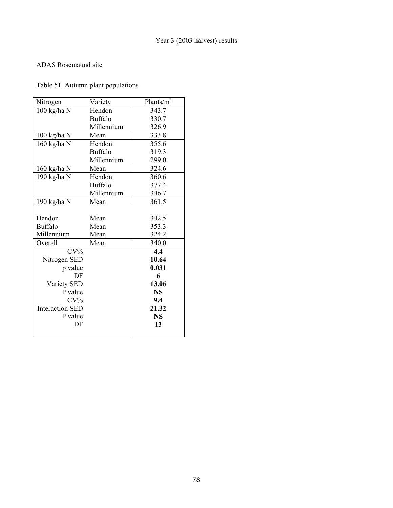#### ADAS Rosemaund site

### Table 51. Autumn plant populations

| Nitrogen               | Variety        | Plants/ $\overline{m^2}$ |
|------------------------|----------------|--------------------------|
| 100 kg/ha N            | Hendon         | 343.7                    |
|                        | <b>Buffalo</b> | 330.7                    |
|                        | Millennium     | 326.9                    |
| $100 \text{ kg/ha}$ N  | Mean           | 333.8                    |
| 160 kg/ha N            | Hendon         | 355.6                    |
|                        | <b>Buffalo</b> | 319.3                    |
|                        | Millennium     | 299.0                    |
| 160 kg/ha N            | Mean           | 324.6                    |
| 190 kg/ha N            | Hendon         | 360.6                    |
|                        | <b>Buffalo</b> | 377.4                    |
|                        | Millennium     | 346.7                    |
| 190 kg/ha N            | Mean           | 361.5                    |
|                        |                |                          |
| Hendon                 | Mean           | 342.5                    |
| <b>Buffalo</b>         | Mean           | 353.3                    |
| Millennium             | Mean           | 324.2                    |
| Overall                | Mean           | 340.0                    |
| $CV\%$                 |                | 4.4                      |
| Nitrogen SED           |                | 10.64                    |
| p value                |                | 0.031                    |
| DF                     |                | 6                        |
| Variety SED            |                | 13.06                    |
| P value                |                | <b>NS</b>                |
| $CV\%$                 |                | 9.4                      |
| <b>Interaction SED</b> |                | 21.32                    |
| P value                |                | <b>NS</b>                |
| DF                     |                | 13                       |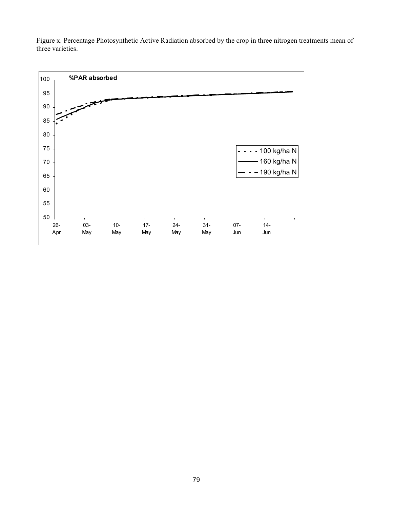

Figure x. Percentage Photosynthetic Active Radiation absorbed by the crop in three nitrogen treatments mean of three varieties.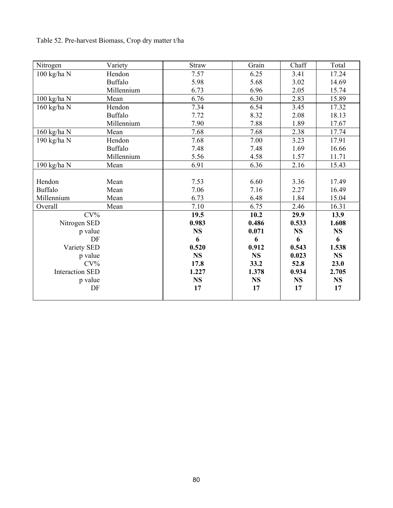| Nitrogen               | Variety    | Straw     | Grain     | Chaff     | Total     |
|------------------------|------------|-----------|-----------|-----------|-----------|
| 100 kg/ha N            | Hendon     | 7.57      | 6.25      | 3.41      | 17.24     |
|                        | Buffalo    | 5.98      | 5.68      | 3.02      | 14.69     |
|                        | Millennium | 6.73      | 6.96      | 2.05      | 15.74     |
| 100 kg/ha N            | Mean       | 6.76      | 6.30      | 2.83      | 15.89     |
| 160 kg/ha N            | Hendon     | 7.34      | 6.54      | 3.45      | 17.32     |
|                        | Buffalo    | 7.72      | 8.32      | 2.08      | 18.13     |
|                        | Millennium | 7.90      | 7.88      | 1.89      | 17.67     |
| 160 kg/ha N            | Mean       | 7.68      | 7.68      | 2.38      | 17.74     |
| 190 kg/ha N            | Hendon     | 7.68      | 7.00      | 3.23      | 17.91     |
|                        | Buffalo    | 7.48      | 7.48      | 1.69      | 16.66     |
|                        | Millennium | 5.56      | 4.58      | 1.57      | 11.71     |
| 190 kg/ha N            | Mean       | 6.91      | 6.36      | 2.16      | 15.43     |
|                        |            |           |           |           |           |
| Hendon                 | Mean       | 7.53      | 6.60      | 3.36      | 17.49     |
| <b>Buffalo</b>         | Mean       | 7.06      | 7.16      | 2.27      | 16.49     |
| Millennium             | Mean       | 6.73      | 6.48      | 1.84      | 15.04     |
| Overall                | Mean       | 7.10      | 6.75      | 2.46      | 16.31     |
| $CV\%$                 |            | 19.5      | 10.2      | 29.9      | 13.9      |
| Nitrogen SED           |            | 0.983     | 0.486     | 0.533     | 1.608     |
| p value                |            | <b>NS</b> | 0.071     | <b>NS</b> | <b>NS</b> |
| DF                     |            | 6         | 6         | 6         | 6         |
| Variety SED            |            | 0.520     | 0.912     | 0.543     | 1.538     |
| p value                |            | <b>NS</b> | <b>NS</b> | 0.023     | <b>NS</b> |
| $CV\%$                 |            | 17.8      | 33.2      | 52.8      | 23.0      |
| <b>Interaction SED</b> |            | 1.227     | 1.378     | 0.934     | 2.705     |
| p value                |            | <b>NS</b> | <b>NS</b> | <b>NS</b> | <b>NS</b> |
| DF                     |            | 17        | 17        | 17        | 17        |
|                        |            |           |           |           |           |

Table 52. Pre-harvest Biomass, Crop dry matter t/ha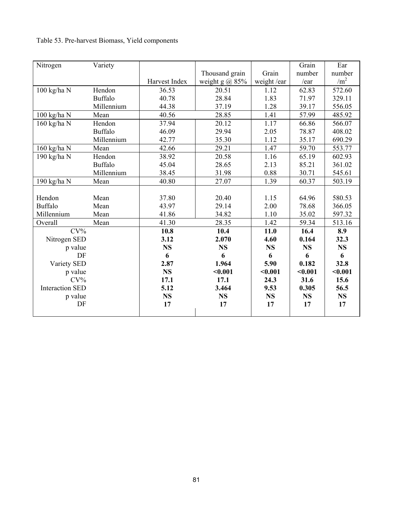| Nitrogen               | Variety        |               |                       |            | Grain     | Ear             |
|------------------------|----------------|---------------|-----------------------|------------|-----------|-----------------|
|                        |                |               | Thousand grain        | Grain      | number    | number          |
|                        |                | Harvest Index | weight g $\omega$ 85% | weight/ear | /ear      | /m <sup>2</sup> |
| 100 kg/ha N            | Hendon         | 36.53         | 20.51                 | 1.12       | 62.83     | 572.60          |
|                        | <b>Buffalo</b> | 40.78         | 28.84                 | 1.83       | 71.97     | 329.11          |
|                        | Millennium     | 44.38         | 37.19                 | 1.28       | 39.17     | 556.05          |
| 100 kg/ha N            | Mean           | 40.56         | 28.85                 | 1.41       | 57.99     | 485.92          |
| 160 kg/ha N            | Hendon         | 37.94         | 20.12                 | 1.17       | 66.86     | 566.07          |
|                        | <b>Buffalo</b> | 46.09         | 29.94                 | 2.05       | 78.87     | 408.02          |
|                        | Millennium     | 42.77         | 35.30                 | 1.12       | 35.17     | 690.29          |
| 160 kg/ha N            | Mean           | 42.66         | 29.21                 | 1.47       | 59.70     | 553.77          |
| 190 kg/ha N            | Hendon         | 38.92         | 20.58                 | 1.16       | 65.19     | 602.93          |
|                        | <b>Buffalo</b> | 45.04         | 28.65                 | 2.13       | 85.21     | 361.02          |
|                        | Millennium     | 38.45         | 31.98                 | 0.88       | 30.71     | 545.61          |
| 190 kg/ha N            | Mean           | 40.80         | 27.07                 | 1.39       | 60.37     | 503.19          |
|                        |                |               |                       |            |           |                 |
| Hendon                 | Mean           | 37.80         | 20.40                 | 1.15       | 64.96     | 580.53          |
| <b>Buffalo</b>         | Mean           | 43.97         | 29.14                 | 2.00       | 78.68     | 366.05          |
| Millennium             | Mean           | 41.86         | 34.82                 | 1.10       | 35.02     | 597.32          |
| Overall                | Mean           | 41.30         | 28.35                 | 1.42       | 59.34     | 513.16          |
| $CV\%$                 |                | 10.8          | 10.4                  | 11.0       | 16.4      | 8.9             |
| Nitrogen SED           |                | 3.12          | 2.070                 | 4.60       | 0.164     | 32.3            |
| p value                |                | <b>NS</b>     | <b>NS</b>             | <b>NS</b>  | <b>NS</b> | <b>NS</b>       |
| DF                     |                | 6             | 6                     | 6          | 6         | 6               |
| Variety SED            |                | 2.87          | 1.964                 | 5.90       | 0.182     | 32.8            |
| p value                |                | <b>NS</b>     | $0.001$               | < 0.001    | $0.001$   | $0.001$         |
| $CV\%$                 |                | 17.1          | 17.1                  | 24.3       | 31.6      | 15.6            |
| <b>Interaction SED</b> |                | 5.12          | 3.464                 | 9.53       | 0.305     | 56.5            |
| p value                |                | <b>NS</b>     | <b>NS</b>             | <b>NS</b>  | <b>NS</b> | <b>NS</b>       |
| DF                     |                | 17            | 17                    | 17         | 17        | 17              |
|                        |                |               |                       |            |           |                 |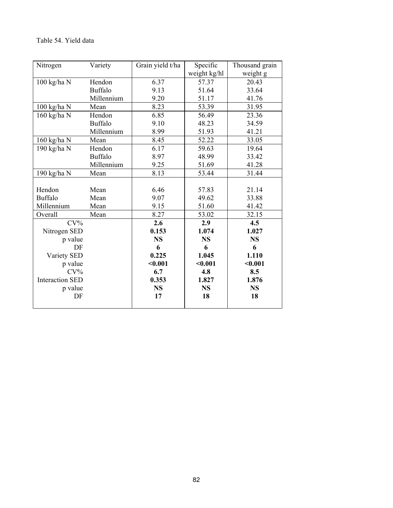#### Table 54. Yield data

| Nitrogen               | Variety        | Grain yield t/ha | Specific     | Thousand grain |
|------------------------|----------------|------------------|--------------|----------------|
|                        |                |                  | weight kg/hl | weight g       |
| $100$ kg/ha $\rm N$    | Hendon         | 6.37             | 57.37        | 20.43          |
|                        | <b>Buffalo</b> | 9.13             | 51.64        | 33.64          |
|                        | Millennium     | 9.20             | 51.17        | 41.76          |
| 100 kg/ha N            | Mean           | 8.23             | 53.39        | 31.95          |
| 160 kg/ha N            | Hendon         | 6.85             | 56.49        | 23.36          |
|                        | <b>Buffalo</b> | 9.10             | 48.23        | 34.59          |
|                        | Millennium     | 8.99             | 51.93        | 41.21          |
| 160 kg/ha N            | Mean           | 8.45             | 52.22        | 33.05          |
| 190 kg/ha N            | Hendon         | 6.17             | 59.63        | 19.64          |
|                        | <b>Buffalo</b> | 8.97             | 48.99        | 33.42          |
|                        | Millennium     | 9.25             | 51.69        | 41.28          |
| 190 kg/ha N            | Mean           | 8.13             | 53.44        | 31.44          |
|                        |                |                  |              |                |
| Hendon                 | Mean           | 6.46             | 57.83        | 21.14          |
| <b>Buffalo</b>         | Mean           | 9.07             | 49.62        | 33.88          |
| Millennium             | Mean           | 9.15             | 51.60        | 41.42          |
| Overall                | Mean           | 8.27             | 53.02        | 32.15          |
| $CV\%$                 |                | 2.6              | 2.9          | 4.5            |
| Nitrogen SED           |                | 0.153            | 1.074        | 1.027          |
| p value                |                | <b>NS</b>        | <b>NS</b>    | <b>NS</b>      |
| DF                     |                | 6                | 6            | 6              |
| Variety SED            |                | 0.225            | 1.045        | 1.110          |
| p value                |                | $0.001$          | < 0.001      | $0.001$        |
| $CV\%$                 |                | 6.7              | 4.8          | 8.5            |
| <b>Interaction SED</b> |                | 0.353            | 1.827        | 1.876          |
| p value                |                | <b>NS</b>        | <b>NS</b>    | <b>NS</b>      |
| DF                     |                | 17               | 18           | 18             |
|                        |                |                  |              |                |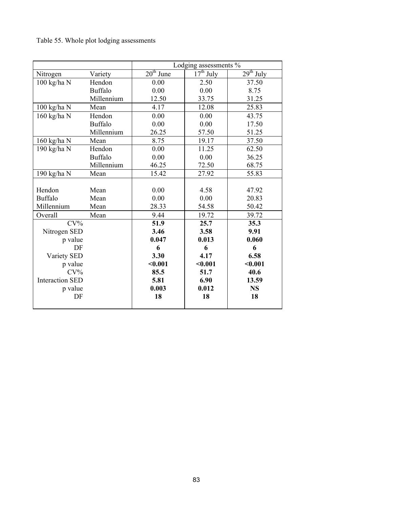### Table 55. Whole plot lodging assessments

|                        |                | Lodging assessments % |             |             |
|------------------------|----------------|-----------------------|-------------|-------------|
| Nitrogen               | Variety        | $20th$ June           | $17th$ July | $29th$ July |
| 100 kg/ha N            | Hendon         | 0.00                  | 2.50        | 37.50       |
|                        | <b>Buffalo</b> | 0.00                  | 0.00        | 8.75        |
|                        | Millennium     | 12.50                 | 33.75       | 31.25       |
| $100$ kg/ha N          | Mean           | 4.17                  | 12.08       | 25.83       |
| 160 kg/ha N            | Hendon         | 0.00                  | 0.00        | 43.75       |
|                        | <b>Buffalo</b> | 0.00                  | 0.00        | 17.50       |
|                        | Millennium     | 26.25                 | 57.50       | 51.25       |
| 160 kg/ha N            | Mean           | 8.75                  | 19.17       | 37.50       |
| 190 kg/ha N            | Hendon         | 0.00                  | 11.25       | 62.50       |
|                        | <b>Buffalo</b> | 0.00                  | 0.00        | 36.25       |
|                        | Millennium     | 46.25                 | 72.50       | 68.75       |
| 190 kg/ha N            | Mean           | 15.42                 | 27.92       | 55.83       |
|                        |                |                       |             |             |
| Hendon                 | Mean           | 0.00                  | 4.58        | 47.92       |
| <b>Buffalo</b>         | Mean           | 0.00                  | 0.00        | 20.83       |
| Millennium             | Mean           | 28.33                 | 54.58       | 50.42       |
| Overall                | Mean           | 9.44                  | 19.72       | 39.72       |
| $CV\%$                 |                | 51.9                  | 25.7        | 35.3        |
| Nitrogen SED           |                | 3.46                  | 3.58        | 9.91        |
| p value                |                | 0.047                 | 0.013       | 0.060       |
| DF                     |                | 6                     | 6           | 6           |
| Variety SED            |                | 3.30                  | 4.17        | 6.58        |
| p value                |                | $0.001$               | $0.001$     | < 0.001     |
| $CV\%$                 |                | 85.5                  | 51.7        | 40.6        |
| <b>Interaction SED</b> |                | 5.81                  | 6.90        | 13.59       |
| p value                |                | 0.003                 | 0.012       | <b>NS</b>   |
| DF                     |                | 18                    | 18          | 18          |
|                        |                |                       |             |             |